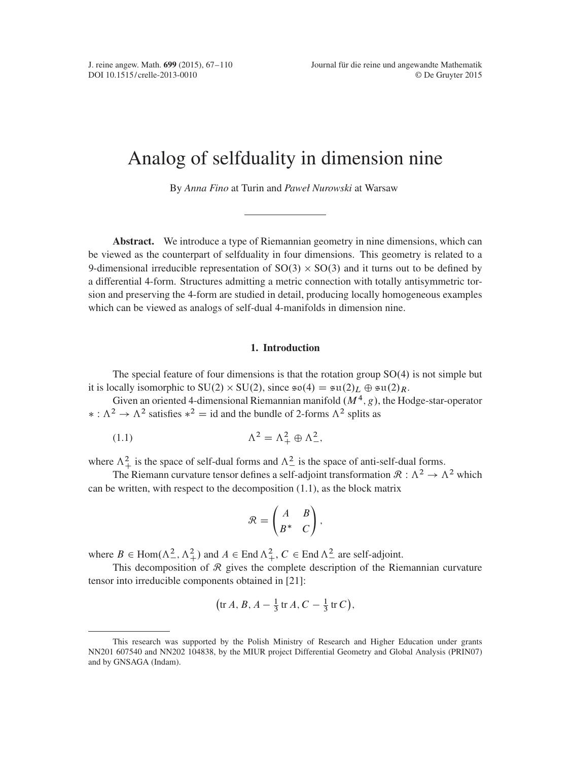# Analog of selfduality in dimension nine

By *Anna Fino* at Turin and *Paweł Nurowski* at Warsaw

Abstract. We introduce a type of Riemannian geometry in nine dimensions, which can be viewed as the counterpart of selfduality in four dimensions. This geometry is related to a 9-dimensional irreducible representation of  $SO(3) \times SO(3)$  and it turns out to be defined by a differential 4-form. Structures admitting a metric connection with totally antisymmetric torsion and preserving the 4-form are studied in detail, producing locally homogeneous examples which can be viewed as analogs of self-dual 4-manifolds in dimension nine.

## 1. Introduction

The special feature of four dimensions is that the rotation group  $SO(4)$  is not simple but it is locally isomorphic to SU(2)  $\times$  SU(2), since  $\mathfrak{so}(4) = \mathfrak{su}(2)_L \oplus \mathfrak{su}(2)_R$ .

Given an oriented 4-dimensional Riemannian manifold  $(M^4, g)$ , the Hodge-star-operator  $\ast : \Lambda^2 \to \Lambda^2$  satisfies  $\ast^2 = id$  and the bundle of 2-forms  $\Lambda^2$  splits as

$$
(1.1)\qquad \qquad \Lambda^2 = \Lambda^2_+ \oplus \Lambda^2_-,
$$

where  $\Lambda^2_+$  is the space of self-dual forms and  $\Lambda^2_-$  is the space of anti-self-dual forms.

The Riemann curvature tensor defines a self-adjoint transformation  $\mathcal{R}: \Lambda^2 \to \Lambda^2$  which can be written, with respect to the decomposition [\(1.1\)](#page-0-0), as the block matrix

<span id="page-0-0"></span>
$$
\mathcal{R} = \begin{pmatrix} A & B \\ B^* & C \end{pmatrix},
$$

where  $B \in \text{Hom}(\Lambda^2_-, \Lambda^2_+)$  and  $A \in \text{End } \Lambda^2_+, C \in \text{End } \Lambda^2_-$  are self-adjoint.

This decomposition of  $\mathcal R$  gives the complete description of the Riemannian curvature tensor into irreducible components obtained in [\[21\]](#page-43-0):

$$
\left(\operatorname{tr} A,B,A-\frac{1}{3}\operatorname{tr} A,C-\frac{1}{3}\operatorname{tr} C\right),\right
$$

This research was supported by the Polish Ministry of Research and Higher Education under grants NN201 607540 and NN202 104838, by the MIUR project Differential Geometry and Global Analysis (PRIN07) and by GNSAGA (Indam).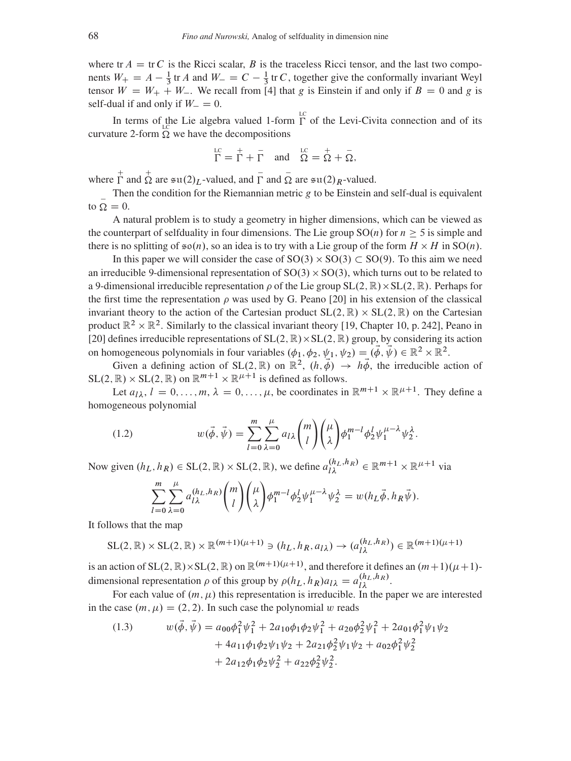where tr  $A = \text{tr } C$  is the Ricci scalar, B is the traceless Ricci tensor, and the last two components  $W_+ = A - \frac{1}{3}$  $\frac{1}{3}$  tr *A* and  $W = C - \frac{1}{3}$  $\frac{1}{3}$  tr C, together give the conformally invariant Weyl tensor  $W = W_+ + W_-$ . We recall from [\[4\]](#page-42-1) that g is Einstein if and only if  $B = 0$  and g is self-dual if and only if  $W_ = 0$ .

In terms of the Lie algebra valued 1-form  $\Gamma$  of the Levi-Civita connection and of its curvature 2-form  $\Omega$  we have the decompositions

$$
\Gamma = \Gamma + \overline{\Gamma} \quad \text{and} \quad \overline{\Omega} = \overline{\Omega} + \overline{\Omega},
$$

where  $\overline{\Gamma}$  and  $\overline{\Omega}$  are  $\sin(2)_L$ -valued, and  $\overline{\Gamma}$  and  $\overline{\Omega}$  are  $\sin(2)_R$ -valued.

Then the condition for the Riemannian metric  $g$  to be Einstein and self-dual is equivalent to  $\overline{Q} = 0$ .

A natural problem is to study a geometry in higher dimensions, which can be viewed as the counterpart of selfduality in four dimensions. The Lie group  $SO(n)$  for  $n > 5$  is simple and there is no splitting of  $\mathfrak{so}(n)$ , so an idea is to try with a Lie group of the form  $H \times H$  in  $SO(n)$ .

In this paper we will consider the case of  $SO(3) \times SO(3) \subset SO(9)$ . To this aim we need an irreducible 9-dimensional representation of  $SO(3) \times SO(3)$ , which turns out to be related to a 9-dimensional irreducible representation  $\rho$  of the Lie group  $SL(2, \mathbb{R}) \times SL(2, \mathbb{R})$ . Perhaps for the first time the representation  $\rho$  was used by G. Peano [\[20\]](#page-43-1) in his extension of the classical invariant theory to the action of the Cartesian product  $SL(2, \mathbb{R}) \times SL(2, \mathbb{R})$  on the Cartesian product  $\mathbb{R}^2 \times \mathbb{R}^2$ . Similarly to the classical invariant theory [\[19,](#page-43-2) Chapter 10, p. 242], Peano in [\[20\]](#page-43-1) defines irreducible representations of  $SL(2, \mathbb{R}) \times SL(2, \mathbb{R})$  group, by considering its action on homogeneous polynomials in four variables  $(\phi_1, \phi_2, \psi_1, \psi_2) = (\phi, \vec{\psi}) \in \mathbb{R}^2 \times \mathbb{R}^2$ .

Given a defining action of SL(2, R) on  $\mathbb{R}^2$ ,  $(h, \vec{\phi}) \rightarrow h \vec{\phi}$ , the irreducible action of  $SL(2, \mathbb{R}) \times SL(2, \mathbb{R})$  on  $\mathbb{R}^{m+1} \times \mathbb{R}^{\mu+1}$  is defined as follows.

Let  $a_{\lambda}$ ,  $l = 0, ..., m$ ,  $\lambda = 0, ..., \mu$ , be coordinates in  $\mathbb{R}^{m+1} \times \mathbb{R}^{\mu+1}$ . They define a homogeneous polynomial

(1.2) 
$$
w(\vec{\phi}, \vec{\psi}) = \sum_{l=0}^{m} \sum_{\lambda=0}^{\mu} a_{l\lambda} {m \choose l} {m \choose \lambda} \phi_1^{m-l} \phi_2^l \psi_1^{\mu-\lambda} \psi_2^{\lambda}.
$$

Now given  $(h_L, h_R) \in SL(2, \mathbb{R}) \times SL(2, \mathbb{R})$ , we define  $a_{l\lambda}^{(h_L, h_R)} \in \mathbb{R}^{m+1} \times \mathbb{R}^{\mu+1}$  via

<span id="page-1-1"></span>
$$
\sum_{l=0}^{m} \sum_{\lambda=0}^{\mu} a_{l\lambda}^{(h_L, h_R)} \binom{m}{l} \binom{\mu}{\lambda} \phi_1^{m-l} \phi_2^l \psi_1^{\mu-\lambda} \psi_2^{\lambda} = w(h_L \vec{\phi}, h_R \vec{\psi}).
$$

It follows that the map

 $\text{SL}(2,\mathbb{R})\times \text{SL}(2,\mathbb{R})\times \mathbb{R}^{(m+1)(\mu+1)} \ni (h_L, h_R, a_{\lambda}) \rightarrow (a_{\lambda}^{(h_L, h_R)}) \in \mathbb{R}^{(m+1)(\mu+1)}$ 

is an action of SL $(2, \mathbb{R}) \times$ SL $(2, \mathbb{R})$  on  $\mathbb{R}^{(m+1)(\mu+1)}$ , and therefore it defines an  $(m+1)(\mu+1)$ dimensional representation  $\rho$  of this group by  $\rho(h_L, h_R) a_{l\lambda} = a_{l\lambda}^{(h_L, h_R)}$ .

For each value of  $(m, \mu)$  this representation is irreducible. In the paper we are interested in the case  $(m, \mu) = (2, 2)$ . In such case the polynomial w reads

<span id="page-1-0"></span>(1.3) 
$$
w(\vec{\phi}, \vec{\psi}) = a_{00}\phi_1^2 \psi_1^2 + 2a_{10}\phi_1 \phi_2 \psi_1^2 + a_{20}\phi_2^2 \psi_1^2 + 2a_{01}\phi_1^2 \psi_1 \psi_2 + 4a_{11}\phi_1 \phi_2 \psi_1 \psi_2 + 2a_{21}\phi_2^2 \psi_1 \psi_2 + a_{02}\phi_1^2 \psi_2^2 + 2a_{12}\phi_1 \phi_2 \psi_2^2 + a_{22}\phi_2^2 \psi_2^2.
$$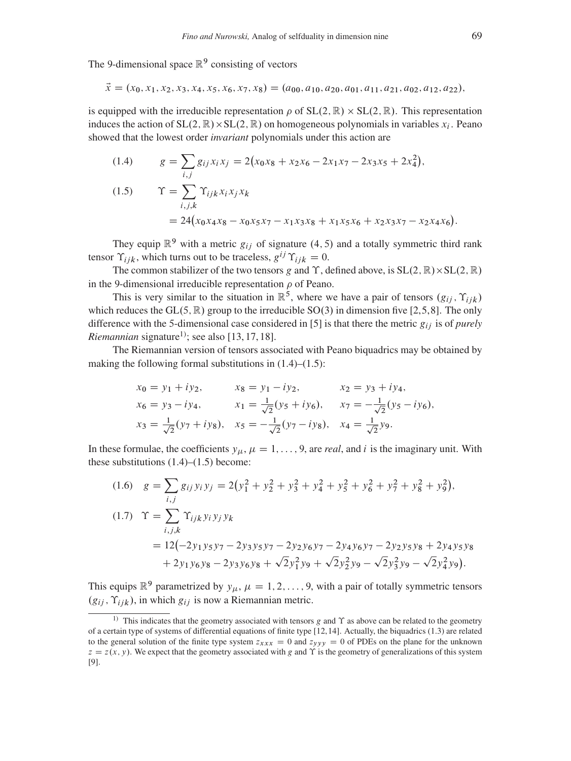The 9-dimensional space  $\mathbb{R}^9$  consisting of vectors

$$
\vec{x} = (x_0, x_1, x_2, x_3, x_4, x_5, x_6, x_7, x_8) = (a_{00}, a_{10}, a_{20}, a_{01}, a_{11}, a_{21}, a_{02}, a_{12}, a_{22}),
$$

is equipped with the irreducible representation  $\rho$  of  $SL(2, \mathbb{R}) \times SL(2, \mathbb{R})$ . This representation induces the action of  $SL(2, \mathbb{R}) \times SL(2, \mathbb{R})$  on homogeneous polynomials in variables  $x_i$ . Peano showed that the lowest order *invariant* polynomials under this action are

<span id="page-2-2"></span><span id="page-2-1"></span>(1.4) 
$$
g = \sum_{i,j} g_{ij} x_i x_j = 2(x_0 x_8 + x_2 x_6 - 2x_1 x_7 - 2x_3 x_5 + 2x_4^2),
$$
  
(1.5) 
$$
\Upsilon = \sum_{i,j,k} \Upsilon_{ijk} x_i x_j x_k
$$

$$
= 24(x_0 x_4 x_8 - x_0 x_5 x_7 - x_1 x_3 x_8 + x_1 x_5 x_6 + x_2 x_3 x_7 - x_2 x_4 x_6).
$$

They equip  $\mathbb{R}^9$  with a metric  $g_{ij}$  of signature (4, 5) and a totally symmetric third rank tensor  $\Upsilon_{ijk}$ , which turns out to be traceless,  $g^{ij} \Upsilon_{ijk} = 0$ .

The common stabilizer of the two tensors g and  $\Upsilon$ , defined above, is  $SL(2, \mathbb{R}) \times SL(2, \mathbb{R})$ in the 9-dimensional irreducible representation  $\rho$  of Peano.

This is very similar to the situation in  $\mathbb{R}^5$ , where we have a pair of tensors  $(g_{ij}, \Upsilon_{ijk})$ which reduces the GL $(5, \mathbb{R})$  $(5, \mathbb{R})$  $(5, \mathbb{R})$  group to the irreducible SO $(3)$  in dimension five [\[2,](#page-42-2)5,[8\]](#page-42-4). The only difference with the 5-dimensional case considered in [\[5\]](#page-42-3) is that there the metric  $g_{ij}$  is of *purely Riemannian* signature<sup>[1\)](#page-2-0)</sup>; see also [\[13,](#page-42-5) [17,](#page-42-6) [18\]](#page-43-3).

The Riemannian version of tensors associated with Peano biquadrics may be obtained by making the following formal substitutions in  $(1.4)$ – $(1.5)$ :

$$
x_0 = y_1 + iy_2,
$$
  $x_8 = y_1 - iy_2,$   $x_2 = y_3 + iy_4,$   
\n $x_6 = y_3 - iy_4,$   $x_1 = \frac{1}{\sqrt{2}}(y_5 + iy_6),$   $x_7 = -\frac{1}{\sqrt{2}}(y_5 - iy_6),$   
\n $x_3 = \frac{1}{\sqrt{2}}(y_7 + iy_8),$   $x_5 = -\frac{1}{\sqrt{2}}(y_7 - iy_8),$   $x_4 = \frac{1}{\sqrt{2}}y_9.$ 

In these formulae, the coefficients  $y_{\mu}, \mu = 1, \ldots, 9$ , are *real*, and *i* is the imaginary unit. With these substitutions  $(1.4)$ – $(1.5)$  become:

<span id="page-2-4"></span><span id="page-2-3"></span>
$$
(1.6) \quad g = \sum_{i,j} g_{ij} y_i y_j = 2(y_1^2 + y_2^2 + y_3^2 + y_4^2 + y_5^2 + y_6^2 + y_7^2 + y_8^2 + y_9^2),
$$
\n
$$
(1.7) \quad \Upsilon = \sum_{i,j,k} \Upsilon_{ijk} y_i y_j y_k
$$
\n
$$
= 12(-2y_1 y_5 y_7 - 2y_3 y_5 y_7 - 2y_2 y_6 y_7 - 2y_4 y_6 y_7 - 2y_2 y_5 y_8 + 2y_4 y_5 y_8 + 2y_1 y_6 y_8 - 2y_3 y_6 y_8 + \sqrt{2}y_1^2 y_9 + \sqrt{2}y_2^2 y_9 - \sqrt{2}y_3^2 y_9 - \sqrt{2}y_4^2 y_9).
$$

This equips  $\mathbb{R}^9$  parametrized by  $y_\mu$ ,  $\mu = 1, 2, \dots, 9$ , with a pair of totally symmetric tensors  $(g_{ij}, \Upsilon_{ijk})$ , in which  $g_{ij}$  is now a Riemannian metric.

<span id="page-2-0"></span><sup>&</sup>lt;sup>1)</sup> This indicates that the geometry associated with tensors g and  $\Upsilon$  as above can be related to the geometry of a certain type of systems of differential equations of finite type [\[12,](#page-42-7)[14\]](#page-42-8). Actually, the biquadrics [\(1.3\)](#page-1-0) are related to the general solution of the finite type system  $z_{xxx} = 0$  and  $z_{yyy} = 0$  of PDEs on the plane for the unknown  $z = z(x, y)$ . We expect that the geometry associated with g and  $\Upsilon$  is the geometry of generalizations of this system [\[9\]](#page-42-9).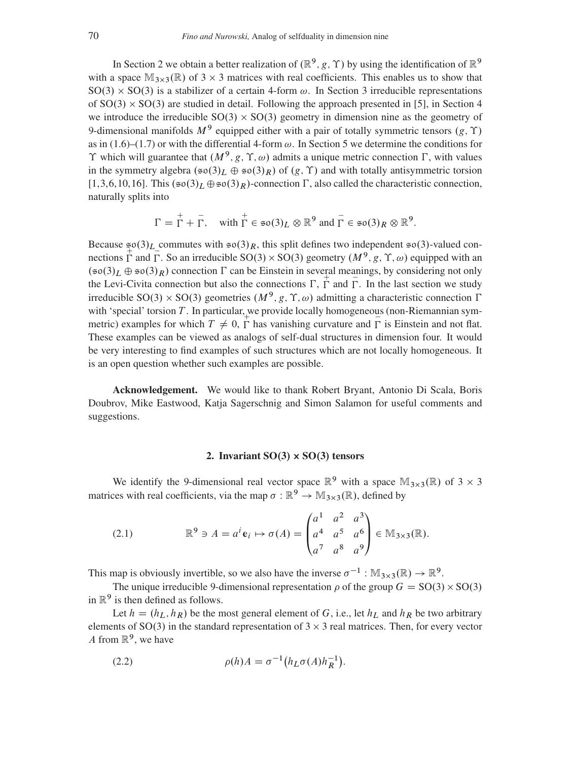In Section [2](#page-3-0) we obtain a better realization of  $(\mathbb{R}^9, g, \Upsilon)$  by using the identification of  $\mathbb{R}^9$ with a space  $M_{3\times 3}(\mathbb{R})$  of 3  $\times$  3 matrices with real coefficients. This enables us to show that  $SO(3) \times SO(3)$  $SO(3) \times SO(3)$  $SO(3) \times SO(3)$  is a stabilizer of a certain 4-form  $\omega$ . In Section 3 irreducible representations of  $SO(3) \times SO(3)$  are studied in detail. Following the approach presented in [\[5\]](#page-42-3), in Section [4](#page-14-0) we introduce the irreducible  $SO(3) \times SO(3)$  geometry in dimension nine as the geometry of 9-dimensional manifolds  $M<sup>9</sup>$  equipped either with a pair of totally symmetric tensors  $(g, \Upsilon)$ as in [\(1.6\)](#page-2-3)–[\(1.7\)](#page-2-4) or with the differential 4-form  $\omega$ . In Section [5](#page-20-0) we determine the conditions for  $\Upsilon$  which will guarantee that  $(M^9, g, \Upsilon, \omega)$  admits a unique metric connection  $\Gamma$ , with values in the symmetry algebra  $(\mathfrak{so}(3)_L \oplus \mathfrak{so}(3)_R)$  of  $(g, \Upsilon)$  and with totally antisymmetric torsion  $[1,3,6,10,16]$  $[1,3,6,10,16]$  $[1,3,6,10,16]$  $[1,3,6,10,16]$  $[1,3,6,10,16]$ . This  $(\mathfrak{so}(3)_L \oplus \mathfrak{so}(3)_R)$ -connection  $\Gamma$ , also called the characteristic connection, naturally splits into

$$
\Gamma = \Gamma + \overline{\Gamma}, \quad \text{with } \Gamma \in \mathfrak{so}(3)_L \otimes \mathbb{R}^9 \text{ and } \overline{\Gamma} \in \mathfrak{so}(3)_R \otimes \mathbb{R}^9.
$$

Because  $\frac{\infty}{4}$  (3)<sub>L</sub> commutes with  $\infty(3)_R$ , this split defines two independent  $\infty(3)$ -valued connections  $\overline{\Gamma}$  and  $\overline{\Gamma}$ . So an irreducible SO(3) × SO(3) geometry  $(M^9, g, \Upsilon, \omega)$  equipped with an  $(\mathfrak{so}(3)_L \oplus \mathfrak{so}(3)_R)$  connection  $\Gamma$  can be Einstein in several meanings, by considering not only the Levi-Civita connection but also the connections  $\Gamma$ ,  $\Gamma$  and  $\Gamma$ . In the last section we study irreducible SO(3)  $\times$  SO(3) geometries  $(M^9, g, \Upsilon, \omega)$  admitting a characteristic connection  $\Gamma$ with 'special' torsion T. In particular, we provide locally homogeneous (non-Riemannian symmetric) examples for which  $T \neq 0$ ,  $\overline{\Gamma}$  has vanishing curvature and  $\overline{\Gamma}$  is Einstein and not flat. These examples can be viewed as analogs of self-dual structures in dimension four. It would be very interesting to find examples of such structures which are not locally homogeneous. It is an open question whether such examples are possible.

Acknowledgement. We would like to thank Robert Bryant, Antonio Di Scala, Boris Doubrov, Mike Eastwood, Katja Sagerschnig and Simon Salamon for useful comments and suggestions.

# 2. Invariant  $SO(3) \times SO(3)$  tensors

<span id="page-3-0"></span>We identify the 9-dimensional real vector space  $\mathbb{R}^9$  with a space  $\mathbb{M}_{3\times3}(\mathbb{R})$  of 3  $\times$  3 matrices with real coefficients, via the map  $\sigma : \mathbb{R}^9 \to \mathbb{M}_{3 \times 3}(\mathbb{R})$ , defined by

(2.1) 
$$
\mathbb{R}^{9} \ni A = a^{i} \mathbf{e}_{i} \mapsto \sigma(A) = \begin{pmatrix} a^{1} & a^{2} & a^{3} \\ a^{4} & a^{5} & a^{6} \\ a^{7} & a^{8} & a^{9} \end{pmatrix} \in \mathbb{M}_{3 \times 3}(\mathbb{R}).
$$

This map is obviously invertible, so we also have the inverse  $\sigma^{-1}: \mathbb{M}_{3\times3}(\mathbb{R}) \to \mathbb{R}^9$ .

The unique irreducible 9-dimensional representation  $\rho$  of the group  $G = SO(3) \times SO(3)$ in  $\mathbb{R}^9$  is then defined as follows.

Let  $h = (h_L, h_R)$  be the most general element of G, i.e., let  $h_L$  and  $h_R$  be two arbitrary elements of SO(3) in the standard representation of  $3 \times 3$  real matrices. Then, for every vector A from  $\mathbb{R}^9$ , we have

(2.2) 
$$
\rho(h)A = \sigma^{-1}(h_L \sigma(A)h_R^{-1}).
$$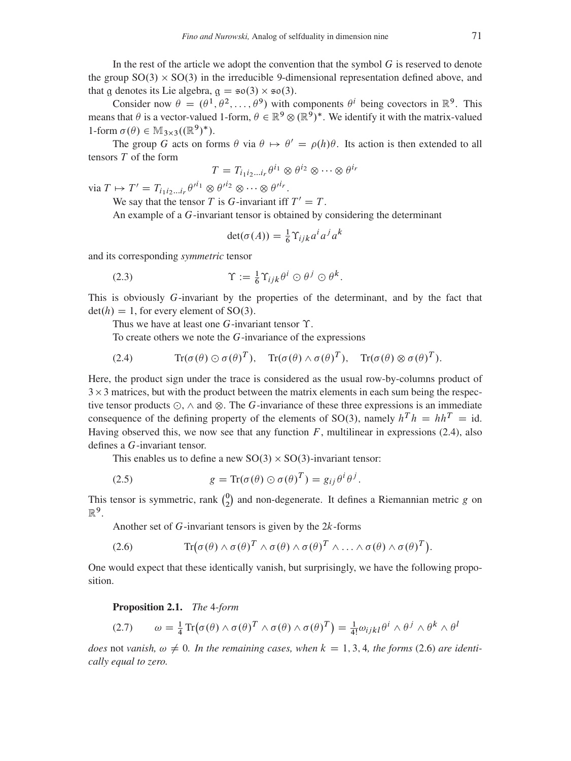In the rest of the article we adopt the convention that the symbol  $G$  is reserved to denote the group  $SO(3) \times SO(3)$  in the irreducible 9-dimensional representation defined above, and that g denotes its Lie algebra,  $g = \epsilon \rho(3) \times \epsilon \rho(3)$ .

Consider now  $\theta = (\theta^1, \theta^2, \dots, \theta^9)$  with components  $\theta^i$  being covectors in  $\mathbb{R}^9$ . This means that  $\theta$  is a vector-valued 1-form,  $\theta \in \mathbb{R}^9 \otimes (\mathbb{R}^9)^*$ . We identify it with the matrix-valued 1-form  $\sigma(\theta) \in \mathbb{M}_{3\times 3}((\mathbb{R}^9)^*)$ .

The group G acts on forms  $\theta$  via  $\theta \mapsto \theta' = \rho(h)\theta$ . Its action is then extended to all tensors T of the form

$$
T = T_{i_1 i_2 \dots i_r} \theta^{i_1} \otimes \theta^{i_2} \otimes \dots \otimes \theta^{i_r}
$$

via  $T \mapsto T' = T_{i_1 i_2 \dots i_r} \theta'^{i_1} \otimes \theta'^{i_2} \otimes \dots \otimes \theta'^{i_r}.$ 

We say that the tensor T is G-invariant iff  $T' = T$ .

An example of a G-invariant tensor is obtained by considering the determinant

<span id="page-4-2"></span>
$$
\det(\sigma(A)) = \frac{1}{6} \Upsilon_{ijk} a^i a^j a^k
$$

and its corresponding *symmetric* tensor

(2.3) 
$$
\Upsilon := \frac{1}{6} \Upsilon_{ijk} \theta^i \odot \theta^j \odot \theta^k
$$

This is obviously G-invariant by the properties of the determinant, and by the fact that  $det(h) = 1$ , for every element of SO(3).

:

Thus we have at least one  $G$ -invariant tensor  $\Upsilon$ .

To create others we note the G-invariance of the expressions

<span id="page-4-0"></span>(2.4)  $\text{Tr}(\sigma(\theta) \odot \sigma(\theta)^T), \quad \text{Tr}(\sigma(\theta) \wedge \sigma(\theta)^T), \quad \text{Tr}(\sigma(\theta) \otimes \sigma(\theta)^T).$ 

Here, the product sign under the trace is considered as the usual row-by-columns product of  $3 \times 3$  matrices, but with the product between the matrix elements in each sum being the respective tensor products  $\odot$ ,  $\wedge$  and  $\otimes$ . The G-invariance of these three expressions is an immediate consequence of the defining property of the elements of SO(3), namely  $h^T h = h h^T = id$ . Having observed this, we now see that any function  $F$ , multilinear in expressions [\(2.4\)](#page-4-0), also defines a G-invariant tensor.

This enables us to define a new  $SO(3) \times SO(3)$ -invariant tensor:

<span id="page-4-3"></span>(2.5) 
$$
g = \text{Tr}(\sigma(\theta) \odot \sigma(\theta)^{T}) = g_{ij} \theta^{i} \theta^{j}.
$$

This tensor is symmetric, rank  $\binom{0}{2}$  $_{2}^{0}$ ) and non-degenerate. It defines a Riemannian metric g on  $\mathbb{R}^9$ .

Another set of  $G$ -invariant tensors is given by the  $2k$ -forms

<span id="page-4-1"></span>(2.6) 
$$
\operatorname{Tr}(\sigma(\theta) \wedge \sigma(\theta)^T \wedge \sigma(\theta) \wedge \sigma(\theta)^T \wedge \ldots \wedge \sigma(\theta) \wedge \sigma(\theta)^T).
$$

One would expect that these identically vanish, but surprisingly, we have the following proposition.

Proposition 2.1. *The* 4*-form*

<span id="page-4-4"></span>
$$
(2.7) \qquad \omega = \frac{1}{4} \operatorname{Tr}(\sigma(\theta) \wedge \sigma(\theta)^T \wedge \sigma(\theta) \wedge \sigma(\theta)^T) = \frac{1}{4!} \omega_{ijkl} \theta^i \wedge \theta^j \wedge \theta^k \wedge \theta^l
$$

*does* not *vanish,*  $\omega \neq 0$ . In the remaining cases, when  $k = 1, 3, 4$ , the forms [\(2.6\)](#page-4-1) are identi*cally equal to zero.*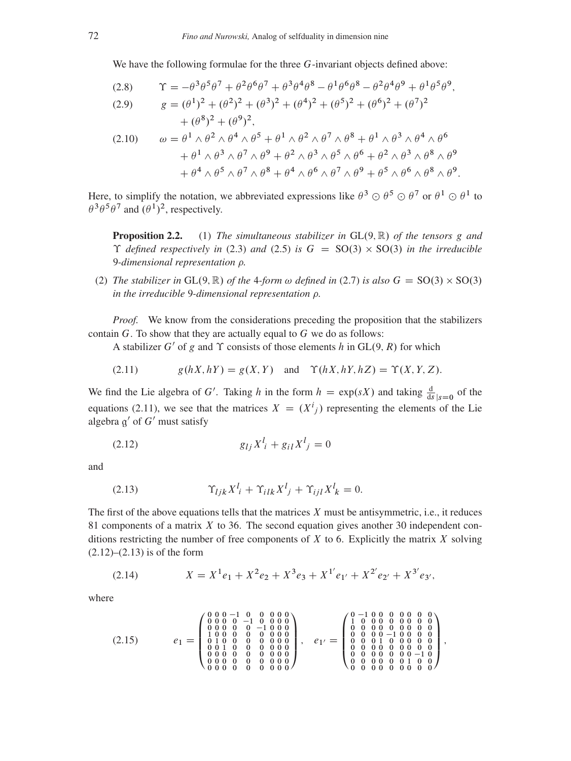We have the following formulae for the three G-invariant objects defined above:

<span id="page-5-5"></span>(2.8) 
$$
\begin{aligned}\n\Upsilon &= -\theta^3 \theta^5 \theta^7 + \theta^2 \theta^6 \theta^7 + \theta^3 \theta^4 \theta^8 - \theta^1 \theta^6 \theta^8 - \theta^2 \theta^4 \theta^9 + \theta^1 \theta^5 \theta^9, \\
g &= (\theta^1)^2 + (\theta^2)^2 + (\theta^3)^2 + (\theta^4)^2 + (\theta^5)^2 + (\theta^6)^2 + (\theta^7)^2\n\end{aligned}
$$

<span id="page-5-6"></span>
$$
+(\theta^8)^2 + (\theta^9)^2,
$$
  
(2.10) 
$$
\omega = \theta^1 \wedge \theta^2 \wedge \theta^4 \wedge \theta^5 + \theta^1 \wedge \theta^2 \wedge \theta^7 \wedge \theta^8 + \theta^1 \wedge \theta^3 \wedge \theta^4 \wedge \theta^6 + \theta^1 \wedge \theta^3 \wedge \theta^7 \wedge \theta^9 + \theta^2 \wedge \theta^3 \wedge \theta^5 \wedge \theta^6 + \theta^2 \wedge \theta^3 \wedge \theta^8 \wedge \theta^9 + \theta^4 \wedge \theta^5 \wedge \theta^7 \wedge \theta^8 + \theta^4 \wedge \theta^6 \wedge \theta^7 \wedge \theta^9 + \theta^5 \wedge \theta^6 \wedge \theta^8 \wedge \theta^9.
$$

Here, to simplify the notation, we abbreviated expressions like  $\theta^3 \odot \theta^5 \odot \theta^7$  or  $\theta^1 \odot \theta^1$  to  $\theta^3 \theta^5 \theta^7$  and  $(\theta^1)^2$ , respectively.

**Proposition 2.2.** (1) *The simultaneous stabilizer in*  $GL(9, \mathbb{R})$  *of the tensors* g *and*  $\Upsilon$  *defined respectively in* [\(2.3\)](#page-4-2) *and* [\(2.5\)](#page-4-3) *is*  $G = SO(3) \times SO(3)$  *in the irreducible* 9*-dimensional representation .*

(2) *The stabilizer in*  $GL(9, \mathbb{R})$  *of the 4-form*  $\omega$  *defined in* [\(2.7\)](#page-4-4) *is also*  $G = SO(3) \times SO(3)$ *in the irreducible* 9*-dimensional representation .*

*Proof.* We know from the considerations preceding the proposition that the stabilizers contain  $G$ . To show that they are actually equal to  $G$  we do as follows:

A stabilizer G' of g and  $\Upsilon$  consists of those elements h in GL(9, R) for which

<span id="page-5-0"></span>
$$
(2.11) \t\t g(hX, hY) = g(X, Y) \text{ and } \Upsilon(hX, hY, hZ) = \Upsilon(X, Y, Z).
$$

We find the Lie algebra of G'. Taking h in the form  $h = \exp(sX)$  and taking  $\frac{d}{ds}|_{s=0}$  of the equations [\(2.11\)](#page-5-0), we see that the matrices  $X = (X^i{}_j)$  representing the elements of the Lie algebra  $g'$  of  $G'$  must satisfy

<span id="page-5-1"></span>
$$
(2.12) \t\t\t g_{lj}X^{l} + g_{il}X^{l} = 0
$$

and

<span id="page-5-2"></span>
$$
(2.13) \t\t\t\t\t\Upsilon_{ljk}X^l_i + \Upsilon_{ilk}X^l_j + \Upsilon_{ijl}X^l_k = 0.
$$

The first of the above equations tells that the matrices  $X$  must be antisymmetric, i.e., it reduces 81 components of a matrix  $X$  to 36. The second equation gives another 30 independent conditions restricting the number of free components of  $X$  to 6. Explicitly the matrix  $X$  solving  $(2.12)$ – $(2.13)$  is of the form

<span id="page-5-3"></span>
$$
(2.14) \t\t X = X1e1 + X2e2 + X3e3 + X1'e1' + X2'e2' + X3'e3',
$$

where

<span id="page-5-4"></span>e<sup>1</sup> D 0 B B B @ 0 0 0 1 0 0 0 0 0 0 0 0 0 1 0 0 0 0 0 0 0 0 0 1 0 0 0 1 0 0 0 0 0 0 0 0 0 1 0 0 0 0 0 0 0 0 0 1 0 0 0 0 0 0 0 0 0 0 0 0 0 0 0 0 0 0 0 0 0 0 0 0 0 0 0 0 0 0 0 0 0 1 C C C A ; e1<sup>0</sup> D 0 B B B @ 0 1 0 0 0 0 0 0 0 1 0 0 0 0 0 0 0 0 0 0 0 0 0 0 0 0 0 0 0 0 0 1 0 0 0 0 0 0 0 1 0 0 0 0 0 0 0 0 0 0 0 0 0 0 0 0 0 0 0 0 0 1 0 0 0 0 0 0 0 1 0 0 0 0 0 0 0 0 0 0 0 1 C C C A (2.15) ;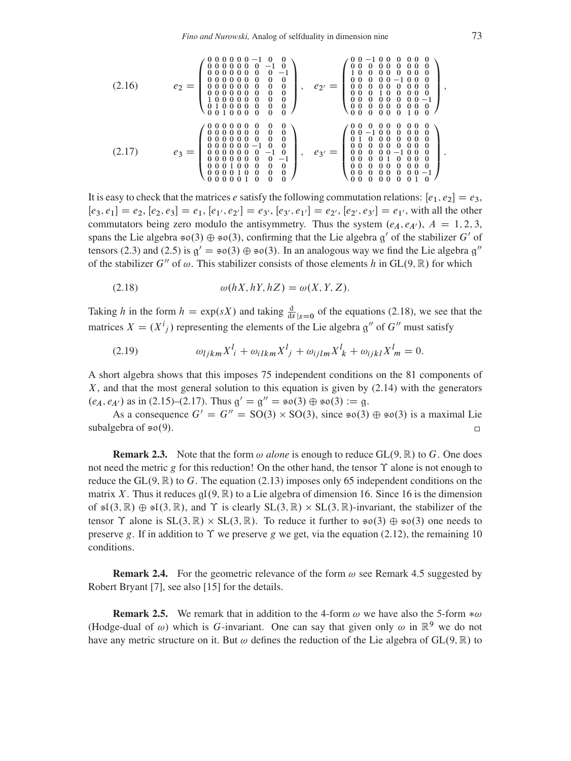$$
(2.16) \t e_2 = \begin{pmatrix} 0 & 0 & 0 & 0 & 0 & -1 & 0 & 0 \\ 0 & 0 & 0 & 0 & 0 & 0 & 0 & -1 & 0 \\ 0 & 0 & 0 & 0 & 0 & 0 & 0 & 0 & 0 \\ 0 & 0 & 0 & 0 & 0 & 0 & 0 & 0 & 0 \\ 0 & 0 & 0 & 0 & 0 & 0 & 0 & 0 & 0 \\ 0 & 0 & 0 & 0 & 0 & 0 & 0 & 0 & 0 \\ 0 & 0 & 0 & 0 & 0 & 0 & 0 & 0 & 0 \\ 0 & 0 & 0 & 0 & 0 & 0 & 0 & 0 & 0 \\ 0 & 0 & 0 & 0 & 0 & 0 & 0 & 0 & 0 \\ 0 & 0 & 0 & 0 & 0 & 0 & 0 & 0 & 0 \\ 0 & 0 & 0 & 0 & 0 & 0 & 0 & 0 & 0 \\ 0 & 0 & 0 & 0 & 0 & 0 & 0 & 0 & 0 \\ 0 & 0 & 0 & 0 & 0 & 0 & 0 & 0 & 0 \\ 0 & 0 & 0 & 0 & 0 & 0 & 0 & 0 & 0 \\ 0 & 0 & 0 & 0 & 0 & 0 & 0 & 0 & 0 \\ 0 & 0 & 0 & 0 & 0 & 0 & 0 & 0 & 0 \\ 0 & 0 & 0 & 0 & 0 & 0 & 0 & 0 & 0 \\ 0 & 0 & 0 & 0 & 0 & 0 & 0 & 0 & 0 \\ 0 & 0 & 0 & 0 & 0 & 0 & 0 & 0 & 0 \\ 0 & 0 & 0 & 0 & 0 & 0 & 0 & 0 & 0 \\ 0 & 0 & 0 & 0 & 0 & 0 & 0 & 0 & 0 \\ 0 & 0 & 0 & 0 & 0 & 0 & 0 & 0 & 0 \\ 0 & 0 & 0 & 0 & 0 & 0 & 0 & 0 & 0 \\ 0 & 0 & 0 & 0 & 0 & 0 & 0 & 0 & 0 \\ 0 & 0 & 0 & 0 & 0 & 0 & 0 & 0 & 0 \\ 0 & 0 & 0 & 0 & 0 & 0 & 0 & 0 & 0 \\ 0 & 0 & 0 & 0 & 0 & 0 & 0 & 0 & 0 \\ 0 & 0 & 0 & 0 & 0 &
$$

<span id="page-6-1"></span>It is easy to check that the matrices e satisfy the following commutation relations:  $[e_1, e_2] = e_3$ ,  $[e_3, e_1] = e_2, [e_2, e_3] = e_1, [e_1, e_2] = e_3, [e_3, e_1] = e_2, [e_2, e_3] = e_1$ , with all the other commutators being zero modulo the antisymmetry. Thus the system  $(e_A, e_{A'})$ ,  $A = 1, 2, 3$ , spans the Lie algebra  $\mathfrak{so}(3) \oplus \mathfrak{so}(3)$ , confirming that the Lie algebra  $\mathfrak{g}'$  of the stabilizer G' of tensors (2.3) and (2.5) is  $g' = \epsilon \sigma(3) \oplus \epsilon \sigma(3)$ . In an analogous way we find the Lie algebra  $g''$ of the stabilizer G'' of  $\omega$ . This stabilizer consists of those elements h in GL(9, R) for which

<span id="page-6-0"></span>
$$
\omega(hX, hY, hZ) = \omega(X, Y, Z).
$$

Taking h in the form  $h = \exp(sX)$  and taking  $\frac{d}{ds}|_{s=0}$  of the equations (2.18), we see that the matrices  $X = (X^i)$  representing the elements of the Lie algebra  $g''$  of  $G''$  must satisfy

$$
(2.19) \t\t \omega_{ljkm} X^l_i + \omega_{ilkm} X^l_j + \omega_{ijlm} X^l_k + \omega_{ijkl} X^l_m = 0
$$

A short algebra shows that this imposes 75 independent conditions on the 81 components of  $X$ , and that the most general solution to this equation is given by  $(2.14)$  with the generators  $(e_A, e_{A'})$  as in (2.15)–(2.17). Thus  $g' = g'' = \pi o(3) \oplus \pi o(3) := g$ .

As a consequence  $G' = G'' = SO(3) \times SO(3)$ , since  $\mathfrak{so}(3) \oplus \mathfrak{so}(3)$  is a maximal Lie subalgebra of  $\epsilon \rho(9)$ .  $\Box$ 

**Remark 2.3.** Note that the form  $\omega$  alone is enough to reduce GL(9,  $\mathbb{R}$ ) to G. One does not need the metric g for this reduction! On the other hand, the tensor  $\Upsilon$  alone is not enough to reduce the GL $(9, \mathbb{R})$  to G. The equation (2.13) imposes only 65 independent conditions on the matrix X. Thus it reduces  $qI(9, \mathbb{R})$  to a Lie algebra of dimension 16. Since 16 is the dimension of  $\mathfrak{sl}(3,\mathbb{R})\oplus\mathfrak{sl}(3,\mathbb{R})$ , and  $\Upsilon$  is clearly  $SL(3,\mathbb{R})\times SL(3,\mathbb{R})$ -invariant, the stabilizer of the tensor  $\Upsilon$  alone is  $SL(3,\mathbb{R}) \times SL(3,\mathbb{R})$ . To reduce it further to  $\mathfrak{so}(3) \oplus \mathfrak{so}(3)$  one needs to preserve g. If in addition to  $\Upsilon$  we preserve g we get, via the equation (2.12), the remaining 10 conditions.

**Remark 2.4.** For the geometric relevance of the form  $\omega$  see Remark 4.5 suggested by Robert Bryant [7], see also [15] for the details.

**Remark 2.5.** We remark that in addition to the 4-form  $\omega$  we have also the 5-form  $*\omega$ (Hodge-dual of  $\omega$ ) which is G-invariant. One can say that given only  $\omega$  in  $\mathbb{R}^9$  we do not have any metric structure on it. But  $\omega$  defines the reduction of the Lie algebra of GL(9, R) to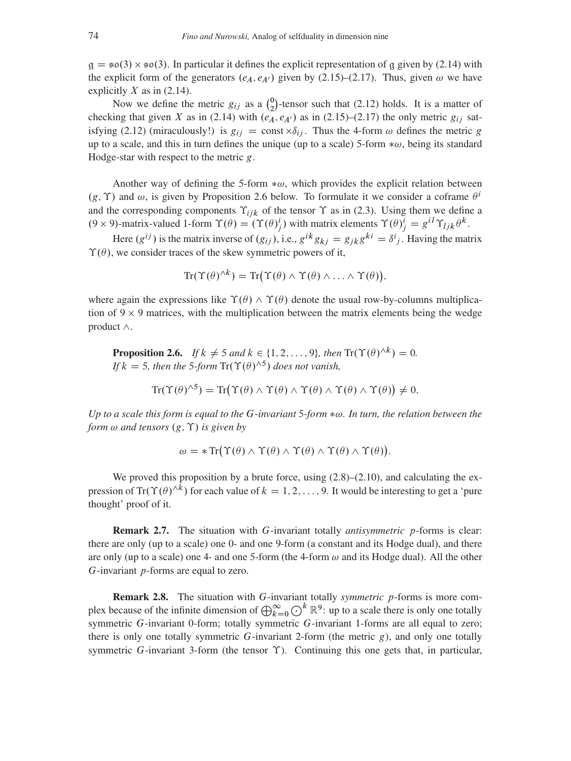$g = \epsilon o(3) \times \epsilon o(3)$ . In particular it defines the explicit representation of g given by [\(2.14\)](#page-5-3) with the explicit form of the generators  $(e_A, e_{A'})$  given by [\(2.15\)](#page-5-4)–[\(2.17\)](#page-6-1). Thus, given  $\omega$  we have explicitly  $X$  as in [\(2.14\)](#page-5-3).

Now we define the metric  $g_{ij}$  as a  $\binom{0}{2}$  $_{2}^{0}$ )-tensor such that [\(2.12\)](#page-5-1) holds. It is a matter of checking that given X as in [\(2.14\)](#page-5-3) with  $(e_A, e_{A'})$  as in [\(2.15\)](#page-5-4)–[\(2.17\)](#page-6-1) the only metric  $g_{ij}$  sat-isfying [\(2.12\)](#page-5-1) (miraculously!) is  $g_{ij} = \text{const} \times \delta_{ij}$ . Thus the 4-form  $\omega$  defines the metric g up to a scale, and this in turn defines the unique (up to a scale) 5-form  $*\omega$ , being its standard Hodge-star with respect to the metric  $g$ .

Another way of defining the 5-form  $*\omega$ , which provides the explicit relation between  $(g, \Upsilon)$  and  $\omega$ , is given by Proposition [2.6](#page-7-0) below. To formulate it we consider a coframe  $\theta^i$ and the corresponding components  $\Upsilon_{ijk}$  of the tensor  $\Upsilon$  as in [\(2.3\)](#page-4-2). Using them we define a  $(9 \times 9)$ -matrix-valued 1-form  $\Upsilon(\theta) = (\Upsilon(\theta)^i_j)$  with matrix elements  $\Upsilon(\theta)^i_j = g^{i l} \Upsilon_{l j k} \theta^k$ .

Here  $(g^{ij})$  is the matrix inverse of  $(g_{ij})$ , i.e.,  $g^{ik}g_{kj} = g_{jk}g^{ki} = \delta^i{}_j$ . Having the matrix  $\Upsilon(\theta)$ , we consider traces of the skew symmetric powers of it,

$$
Tr(\Upsilon(\theta)^{\wedge k}) = Tr(\Upsilon(\theta) \wedge \Upsilon(\theta) \wedge \ldots \wedge \Upsilon(\theta)),
$$

where again the expressions like  $\Upsilon(\theta) \wedge \Upsilon(\theta)$  denote the usual row-by-columns multiplication of  $9 \times 9$  matrices, with the multiplication between the matrix elements being the wedge product  $\wedge$ .

<span id="page-7-0"></span>**Proposition 2.6.** *If*  $k \neq 5$  *and*  $k \in \{1, 2, ..., 9\}$ *, then*  $\text{Tr}(\Upsilon(\theta)^{\wedge k}) = 0$ *. If*  $k = 5$ , then the 5-form  $\text{Tr}(\Upsilon(\theta)^{.5})$  does not vanish,

$$
Tr(\Upsilon(\theta)^{\wedge 5}) = Tr(\Upsilon(\theta) \wedge \Upsilon(\theta) \wedge \Upsilon(\theta) \wedge \Upsilon(\theta) \wedge \Upsilon(\theta)) \neq 0.
$$

*Up to a scale this form is equal to the* G*-invariant* 5*-form* !*. In turn, the relation between the form*  $\omega$  *and tensors*  $(g, \Upsilon)$  *is given by* 

$$
\omega = * \operatorname{Tr}(\Upsilon(\theta) \wedge \Upsilon(\theta) \wedge \Upsilon(\theta) \wedge \Upsilon(\theta) \wedge \Upsilon(\theta)).
$$

We proved this proposition by a brute force, using  $(2.8)$ – $(2.10)$ , and calculating the expression of Tr( $\Upsilon(\theta)^{\wedge k}$ ) for each value of  $k = 1, 2, ..., 9$ . It would be interesting to get a 'pure thought' proof of it.

Remark 2.7. The situation with G-invariant totally *antisymmetric* p-forms is clear: there are only (up to a scale) one 0- and one 9-form (a constant and its Hodge dual), and there are only (up to a scale) one 4- and one 5-form (the 4-form  $\omega$  and its Hodge dual). All the other G-invariant p-forms are equal to zero.

Remark 2.8. The situation with G-invariant totally *symmetric* p-forms is more complex because of the infinite dimension of  $\bigoplus_{k=0}^{\infty} \bigodot^{k} \mathbb{R}^{9}$ : up to a scale there is only one totally symmetric G-invariant 0-form; totally symmetric G-invariant 1-forms are all equal to zero; there is only one totally symmetric  $G$ -invariant 2-form (the metric  $g$ ), and only one totally symmetric G-invariant 3-form (the tensor  $\Upsilon$ ). Continuing this one gets that, in particular,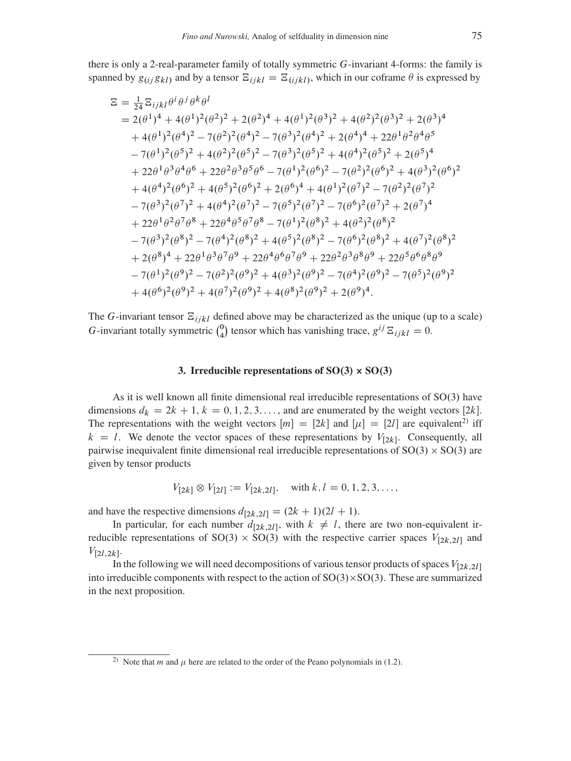there is only a 2-real-parameter family of totally symmetric G-invariant 4-forms: the family is spanned by  $g_{(i j} g_{kl)}$  and by a tensor  $\Xi_{i i k l} = \Xi_{(i j k l)}$ , which in our coframe  $\theta$  is expressed by

$$
\Xi = \frac{1}{24} \Sigma_{ijkl} \theta^i \theta^j \theta^k \theta^l
$$
  
\n
$$
= 2(\theta^1)^4 + 4(\theta^1)^2(\theta^2)^2 + 2(\theta^2)^4 + 4(\theta^1)^2(\theta^3)^2 + 4(\theta^2)^2(\theta^3)^2 + 2(\theta^3)^4
$$
  
\n
$$
+ 4(\theta^1)^2(\theta^4)^2 - 7(\theta^2)^2(\theta^4)^2 - 7(\theta^3)^2(\theta^4)^2 + 2(\theta^4)^4 + 22\theta^1\theta^2\theta^4\theta^5
$$
  
\n
$$
-7(\theta^1)^2(\theta^5)^2 + 4(\theta^2)^2(\theta^5)^2 - 7(\theta^3)^2(\theta^5)^2 + 4(\theta^4)^2(\theta^5)^2 + 2(\theta^5)^4
$$
  
\n
$$
+ 22\theta^1\theta^3\theta^4\theta^6 + 22\theta^2\theta^3\theta^5\theta^6 - 7(\theta^1)^2(\theta^6)^2 - 7(\theta^2)^2(\theta^6)^2 + 4(\theta^3)^2(\theta^6)^2
$$
  
\n
$$
+ 4(\theta^4)^2(\theta^6)^2 + 4(\theta^5)^2(\theta^6)^2 + 2(\theta^6)^4 + 4(\theta^1)^2(\theta^7)^2 - 7(\theta^2)^2(\theta^7)^2
$$
  
\n
$$
- 7(\theta^3)^2(\theta^7)^2 + 4(\theta^4)^2(\theta^7)^2 - 7(\theta^5)^2(\theta^7)^2 - 7(\theta^6)^2(\theta^7)^2 + 2(\theta^7)^4
$$
  
\n
$$
+ 22\theta^1\theta^2\theta^7\theta^8 + 22\theta^4\theta^5\theta^7\theta^8 - 7(\theta^1)^2(\theta^8)^2 + 4(\theta^2)^2(\theta^8)^2
$$
  
\n
$$
- 7(\theta^3)^2(\theta^8)^2 - 7(\theta^4)^2(\theta^8)^2 + 4(\theta^5)^2(\theta^8)^2 - 7(\theta^6)^2(\theta^8)^2 + 4(\theta^7)^2(\theta^8)^2
$$
  
\n
$$
+ 2(\theta^8)^4 + 22\theta^1\theta^3\theta^7\theta^9 + 22\theta^4\
$$

The G-invariant tensor  $\Xi_{ijkl}$  defined above may be characterized as the unique (up to a scale) G-invariant totally symmetric  $\binom{0}{4}$  tensor which has vanishing trace,  $g^{ij} \Xi_{ijkl} = 0$ .

### 3. Irreducible representations of  $SO(3) \times SO(3)$

<span id="page-8-0"></span>As it is well known all finite dimensional real irreducible representations of  $SO(3)$  have dimensions  $d_k = 2k + 1$ ,  $k = 0, 1, 2, 3, \dots$ , and are enumerated by the weight vectors [2k]. The representations with the weight vectors  $[m] = [2k]$  and  $[\mu] = [2l]$  are equivalent<sup>2)</sup> iff  $k = l$ . We denote the vector spaces of these representations by  $V_{[2k]}$ . Consequently, all pairwise inequivalent finite dimensional real irreducible representations of  $SO(3) \times SO(3)$  are given by tensor products

$$
V_{[2k]} \otimes V_{[2l]} := V_{[2k,2l]}, \quad \text{with } k, l = 0, 1, 2, 3, \dots,
$$

and have the respective dimensions  $d_{[2k,2l]} = (2k + 1)(2l + 1)$ .

In particular, for each number  $d_{[2k,2l]}$ , with  $k \neq l$ , there are two non-equivalent irreducible representations of SO(3) × SO(3) with the respective carrier spaces  $V_{[2k,2l]}$  and  $V_{[2l,2k]}$ .

In the following we will need decompositions of various tensor products of spaces  $V_{[2k,2l]}$ into irreducible components with respect to the action of  $SO(3) \times SO(3)$ . These are summarized in the next proposition.

<span id="page-8-1"></span><sup>&</sup>lt;sup>2)</sup> Note that *m* and  $\mu$  here are related to the order of the Peano polynomials in (1.2).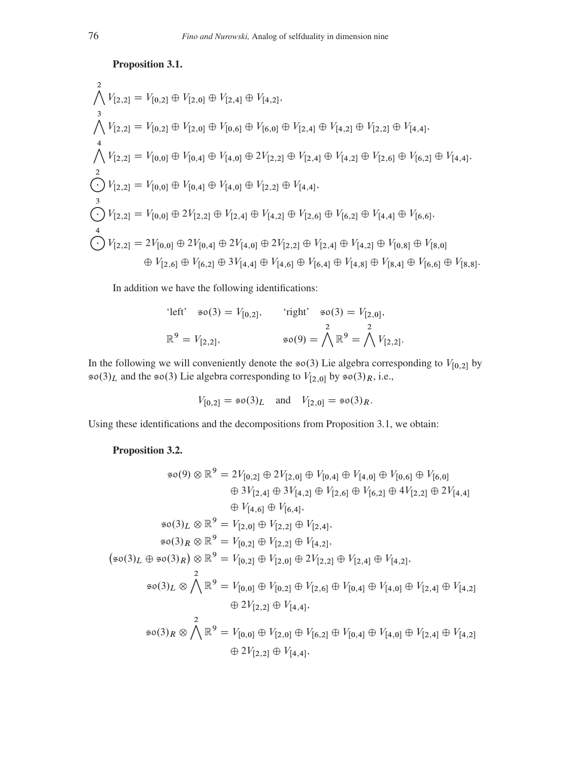<span id="page-9-0"></span>Proposition 3.1.

^ 2 VŒ2;2 D VŒ0;2 ˚ VŒ2;0 ˚ VŒ2;4 ˚ VŒ4;2; ^ 3 VŒ2;2 D VŒ0;2 ˚ VŒ2;0 ˚ VŒ0;6 ˚ VŒ6;0 ˚ VŒ2;4 ˚ VŒ4;2 ˚ VŒ2;2 ˚ VŒ4;4; ^ 4 VŒ2;2 D VŒ0;0 ˚ VŒ0;4 ˚ VŒ4;0 ˚ 2VŒ2;2 ˚ VŒ2;4 ˚ VŒ4;2 ˚ VŒ2;6 ˚ VŒ6;2 ˚ VŒ4;4; K 2 VŒ2;2 D VŒ0;0 ˚ VŒ0;4 ˚ VŒ4;0 ˚ VŒ2;2 ˚ VŒ4;4; K 3 VŒ2;2 D VŒ0;0 ˚ 2VŒ2;2 ˚ VŒ2;4 ˚ VŒ4;2 ˚ VŒ2;6 ˚ VŒ6;2 ˚ VŒ4;4 ˚ VŒ6;6; K 4 VŒ2;2 D 2VŒ0;0 ˚ 2VŒ0;4 ˚ 2VŒ4;0 ˚ 2VŒ2;2 ˚ VŒ2;4 ˚ VŒ4;2 ˚ VŒ0;8 ˚ VŒ8;0 ˚ VŒ2;6 ˚ VŒ6;2 ˚ 3VŒ4;4 ˚ VŒ4;6 ˚ VŒ6;4 ˚ VŒ4;8 ˚ VŒ8;4 ˚ VŒ6;6 ˚ VŒ8;8:

In addition we have the following identifications:

'left' 
$$
\approx 0(3) = V_{[0,2]},
$$
 'right'  $\approx 0(3) = V_{[2,0]},$   
 $\mathbb{R}^9 = V_{[2,2]},$   $\approx 0(9) = \bigwedge^2 \mathbb{R}^9 = \bigwedge^2 V_{[2,2]}.$ 

In the following we will conveniently denote the  $\mathfrak{so}(3)$  Lie algebra corresponding to  $V_{[0,2]}$  by  $\infty(3)_L$  and the  $\infty(3)$  Lie algebra corresponding to  $V_{[2,0]}$  by  $\infty(3)_R$ , i.e.,

$$
V_{[0,2]} = \mathfrak{so}(3)_L
$$
 and  $V_{[2,0]} = \mathfrak{so}(3)_R$ .

Using these identifications and the decompositions from Proposition [3.1,](#page-9-0) we obtain:

## Proposition 3.2.

$$
\mathfrak{so}(9) \otimes \mathbb{R}^{9} = 2V_{[0,2]} \oplus 2V_{[2,0]} \oplus V_{[0,4]} \oplus V_{[4,0]} \oplus V_{[0,6]} \oplus V_{[6,0]}
$$
  
\n
$$
\oplus 3V_{[2,4]} \oplus 3V_{[4,2]} \oplus V_{[2,6]} \oplus V_{[6,2]} \oplus 4V_{[2,2]} \oplus 2V_{[4,4]}
$$
  
\n
$$
\oplus V_{[4,6]} \oplus V_{[6,4]},
$$
  
\n
$$
\mathfrak{so}(3)_L \otimes \mathbb{R}^{9} = V_{[2,0]} \oplus V_{[2,2]} \oplus V_{[2,4]},
$$
  
\n
$$
\mathfrak{so}(3)_R \otimes \mathbb{R}^{9} = V_{[0,2]} \oplus V_{[2,2]} \oplus V_{[4,2]},
$$
  
\n
$$
(\mathfrak{so}(3)_L \oplus \mathfrak{so}(3)_R) \otimes \mathbb{R}^{9} = V_{[0,2]} \oplus V_{[2,0]} \oplus 2V_{[2,2]} \oplus V_{[2,4]} \oplus V_{[4,2]},
$$
  
\n
$$
\mathfrak{so}(3)_L \otimes \bigwedge \mathbb{R}^{9} = V_{[0,0]} \oplus V_{[0,2]} \oplus V_{[2,6]} \oplus V_{[0,4]} \oplus V_{[4,0]} \oplus V_{[2,4]} \oplus V_{[4,2]}
$$
  
\n
$$
\oplus 2V_{[2,2]} \oplus V_{[4,4]},
$$
  
\n
$$
\mathfrak{so}(3)_R \otimes \bigwedge \mathbb{R}^{9} = V_{[0,0]} \oplus V_{[2,0]} \oplus V_{[6,2]} \oplus V_{[0,4]} \oplus V_{[4,0]} \oplus V_{[2,4]} \oplus V_{[4,2]}
$$
  
\n
$$
\oplus 2V_{[2,2]} \oplus V_{[4,4]},
$$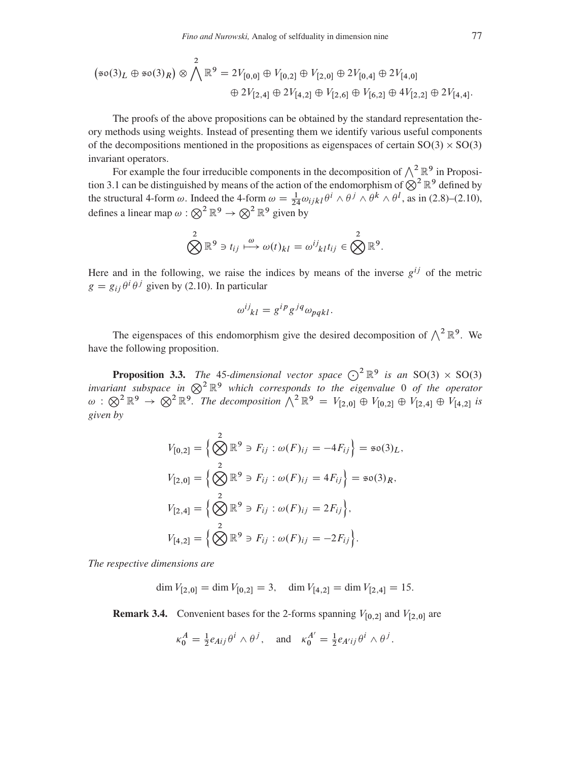$$
(\mathfrak{so}(3)_L \oplus \mathfrak{so}(3)_R) \otimes \bigwedge^2 \mathbb{R}^9 = 2V_{[0,0]} \oplus V_{[0,2]} \oplus V_{[2,0]} \oplus 2V_{[0,4]} \oplus 2V_{[4,0]}
$$
  

$$
\oplus 2V_{[2,4]} \oplus 2V_{[4,2]} \oplus V_{[2,6]} \oplus V_{[6,2]} \oplus 4V_{[2,2]} \oplus 2V_{[4,4]}.
$$

The proofs of the above propositions can be obtained by the standard representation theory methods using weights. Instead of presenting them we identify various useful components of the decompositions mentioned in the propositions as eigenspaces of certain  $SO(3) \times SO(3)$ invariant operators.

For example the four irreducible components in the decomposition of  $\wedge^2 \mathbb{R}^9$  in Proposi-tion [3.1](#page-9-0) can be distinguished by means of the action of the endomorphism of  $\otimes^2 \mathbb{R}^9$  defined by the structural 4-form  $\omega$ . Indeed the 4-form  $\omega = \frac{1}{24} \omega_{ijkl} \theta^i \wedge \theta^j \wedge \theta^k \wedge \theta^l$ , as in [\(2.8\)](#page-5-5)–[\(2.10\)](#page-5-6), defines a linear map  $\omega : \bigotimes^2 \mathbb{R}^9 \to \bigotimes^2 \mathbb{R}^9$  given by

$$
\bigotimes^2 \mathbb{R}^9 \ni t_{ij} \stackrel{\omega}{\longmapsto} \omega(t)_{kl} = \omega^{ij}{}_{kl} t_{ij} \in \bigotimes^2 \mathbb{R}^9.
$$

Here and in the following, we raise the indices by means of the inverse  $g^{ij}$  of the metric  $g = g_{ij} \theta^i \theta^j$  given by [\(2.10\)](#page-5-6). In particular

$$
\omega^{ij}_{kl} = g^{ip}g^{jq}\omega_{pqkl}.
$$

The eigenspaces of this endomorphism give the desired decomposition of  $\wedge^2 \mathbb{R}^9$ . We have the following proposition.

**Proposition 3.3.** The 45-dimensional vector space  $\bigodot^2 \mathbb{R}^9$  is an SO(3)  $\times$  SO(3) *invariant subspace in*  $\otimes^2 \mathbb{R}^9$  *which corresponds to the eigenvalue* 0 *of the operator*  $\omega : \bigotimes^2 \mathbb{R}^9 \to \bigotimes^2 \mathbb{R}^9$ . The decomposition  $\bigwedge^2 \mathbb{R}^9 = V_{[2,0]} \oplus V_{[0,2]} \oplus V_{[2,4]} \oplus V_{[4,2]}$  is *given by*

$$
V_{[0,2]} = \left\{ \bigotimes_{i=1}^{2} \mathbb{R}^{9} \ni F_{ij} : \omega(F)_{ij} = -4F_{ij} \right\} = \mathfrak{so}(3)_L,
$$
  
\n
$$
V_{[2,0]} = \left\{ \bigotimes_{i=1}^{2} \mathbb{R}^{9} \ni F_{ij} : \omega(F)_{ij} = 4F_{ij} \right\} = \mathfrak{so}(3)_R,
$$
  
\n
$$
V_{[2,4]} = \left\{ \bigotimes_{i=1}^{2} \mathbb{R}^{9} \ni F_{ij} : \omega(F)_{ij} = 2F_{ij} \right\},
$$
  
\n
$$
V_{[4,2]} = \left\{ \bigotimes_{i=1}^{2} \mathbb{R}^{9} \ni F_{ij} : \omega(F)_{ij} = -2F_{ij} \right\}.
$$

*The respective dimensions are*

 $\dim V_{[2,0]} = \dim V_{[0,2]} = 3, \quad \dim V_{[4,2]} = \dim V_{[2,4]} = 15.$ 

<span id="page-10-0"></span>**Remark 3.4.** Convenient bases for the 2-forms spanning  $V_{[0,2]}$  and  $V_{[2,0]}$  are

$$
\kappa_0^A = \frac{1}{2} e_{Aij} \theta^i \wedge \theta^j, \quad \text{and} \quad \kappa_0^{A'} = \frac{1}{2} e_{A'ij} \theta^i \wedge \theta^j.
$$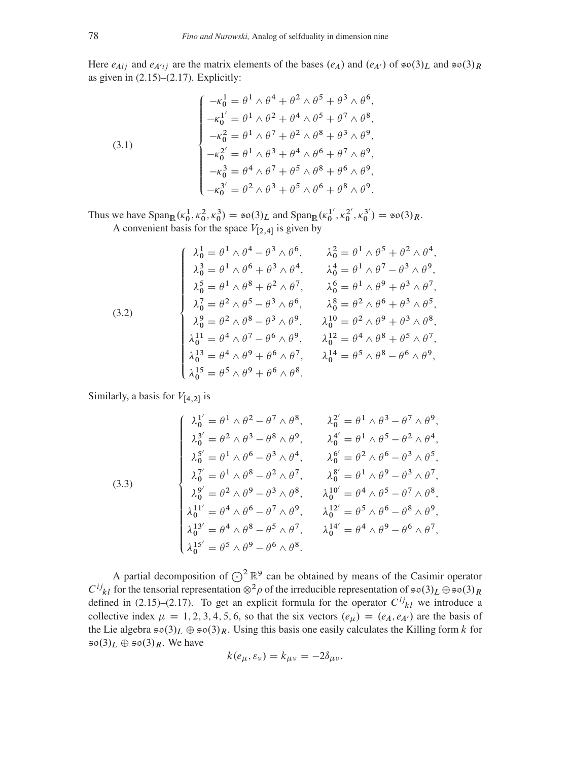Here  $e_{Aij}$  and  $e_{A'ij}$  are the matrix elements of the bases  $(e_A)$  and  $(e_{A'})$  of  $\mathfrak{so}(3)_L$  and  $\mathfrak{so}(3)_R$ as given in  $(2.15)$ – $(2.17)$ . Explicitly:

<span id="page-11-0"></span>(3.1)  

$$
\begin{cases}\n-\kappa_0^1 = \theta^1 \wedge \theta^4 + \theta^2 \wedge \theta^5 + \theta^3 \wedge \theta^6, \\
-\kappa_0^{1'} = \theta^1 \wedge \theta^2 + \theta^4 \wedge \theta^5 + \theta^7 \wedge \theta^8, \\
-\kappa_0^2 = \theta^1 \wedge \theta^7 + \theta^2 \wedge \theta^8 + \theta^3 \wedge \theta^9, \\
-\kappa_0^{2'} = \theta^1 \wedge \theta^3 + \theta^4 \wedge \theta^6 + \theta^7 \wedge \theta^9, \\
-\kappa_0^3 = \theta^4 \wedge \theta^7 + \theta^5 \wedge \theta^8 + \theta^6 \wedge \theta^9, \\
-\kappa_0^{3'} = \theta^2 \wedge \theta^3 + \theta^5 \wedge \theta^6 + \theta^8 \wedge \theta^9.\n\end{cases}
$$

Thus we have  $\text{Span}_{\mathbb{R}}(\kappa_0^1, \kappa_0^2, \kappa_0^3) = \text{so}(3)_L$  and  $\text{Span}_{\mathbb{R}}(\kappa_0^1)$  $\frac{1'}{0}, \kappa_0^{2'}$  $\binom{2^{\prime}}{0}, \kappa_0^{3^{\prime}}$  $S_0^{(3')}$  = \$0(3)<sub>R</sub>. A convenient basis for the space  $V_{[2,4]}$  is given by

(3.2)  
\n
$$
\begin{cases}\n\lambda_0^1 = \theta^1 \wedge \theta^4 - \theta^3 \wedge \theta^6, & \lambda_0^2 = \theta^1 \wedge \theta^5 + \theta^2 \wedge \theta^4, \\
\lambda_0^3 = \theta^1 \wedge \theta^6 + \theta^3 \wedge \theta^4, & \lambda_0^4 = \theta^1 \wedge \theta^7 - \theta^3 \wedge \theta^9, \\
\lambda_0^5 = \theta^1 \wedge \theta^8 + \theta^2 \wedge \theta^7, & \lambda_0^6 = \theta^1 \wedge \theta^9 + \theta^3 \wedge \theta^7, \\
\lambda_0^7 = \theta^2 \wedge \theta^5 - \theta^3 \wedge \theta^6, & \lambda_0^8 = \theta^2 \wedge \theta^6 + \theta^3 \wedge \theta^5, \\
\lambda_0^9 = \theta^2 \wedge \theta^8 - \theta^3 \wedge \theta^9, & \lambda_0^{10} = \theta^2 \wedge \theta^9 + \theta^3 \wedge \theta^8, \\
\lambda_0^{11} = \theta^4 \wedge \theta^7 - \theta^6 \wedge \theta^9, & \lambda_0^{12} = \theta^4 \wedge \theta^8 + \theta^5 \wedge \theta^7, \\
\lambda_0^{13} = \theta^4 \wedge \theta^9 + \theta^6 \wedge \theta^7, & \lambda_0^{14} = \theta^5 \wedge \theta^8 - \theta^6 \wedge \theta^9, \\
\lambda_0^{15} = \theta^5 \wedge \theta^9 + \theta^6 \wedge \theta^8.\n\end{cases}
$$

Similarly, a basis for  $V_{[4,2]}$  is

<span id="page-11-1"></span>(3.3)  
\n
$$
\begin{cases}\n\lambda_0^{1'} = \theta^1 \wedge \theta^2 - \theta^7 \wedge \theta^8, & \lambda_0^{2'} = \theta^1 \wedge \theta^3 - \theta^7 \wedge \theta^9, \\
\lambda_0^{3'} = \theta^2 \wedge \theta^3 - \theta^8 \wedge \theta^9, & \lambda_0^{4'} = \theta^1 \wedge \theta^5 - \theta^2 \wedge \theta^4, \\
\lambda_0^{5'} = \theta^1 \wedge \theta^6 - \theta^3 \wedge \theta^4, & \lambda_0^{6'} = \theta^2 \wedge \theta^6 - \theta^3 \wedge \theta^5, \\
\lambda_0^{7'} = \theta^1 \wedge \theta^8 - \theta^2 \wedge \theta^7, & \lambda_0^{8'} = \theta^1 \wedge \theta^9 - \theta^3 \wedge \theta^7, \\
\lambda_0^{9'} = \theta^2 \wedge \theta^9 - \theta^3 \wedge \theta^8, & \lambda_0^{10'} = \theta^4 \wedge \theta^5 - \theta^7 \wedge \theta^8, \\
\lambda_0^{11'} = \theta^4 \wedge \theta^6 - \theta^7 \wedge \theta^9, & \lambda_0^{12'} = \theta^5 \wedge \theta^6 - \theta^8 \wedge \theta^9, \\
\lambda_0^{13'} = \theta^4 \wedge \theta^8 - \theta^5 \wedge \theta^7, & \lambda_0^{14'} = \theta^4 \wedge \theta^9 - \theta^6 \wedge \theta^7, \\
\lambda_0^{15'} = \theta^5 \wedge \theta^9 - \theta^6 \wedge \theta^8.\n\end{cases}
$$

A partial decomposition of  $\bigodot^2 \mathbb{R}^9$  can be obtained by means of the Casimir operator  $C^{ij}_{kl}$  for the tensorial representation  $\otimes^2 \rho$  of the irreducible representation of  $\sin(3)_L \oplus \sin(3)_R$ defined in [\(2.15\)](#page-5-4)–[\(2.17\)](#page-6-1). To get an explicit formula for the operator  $C^{ij}$ <sub>kl</sub> we introduce a collective index  $\mu = 1, 2, 3, 4, 5, 6$ , so that the six vectors  $(e_{\mu}) = (e_A, e_{A'})$  are the basis of the Lie algebra  $\mathfrak{so}(3)_L \oplus \mathfrak{so}(3)_R$ . Using this basis one easily calculates the Killing form k for  $\mathfrak{so}(3)_L \oplus \mathfrak{so}(3)_R$ . We have

$$
k(e_{\mu}, \varepsilon_{\nu}) = k_{\mu\nu} = -2\delta_{\mu\nu}.
$$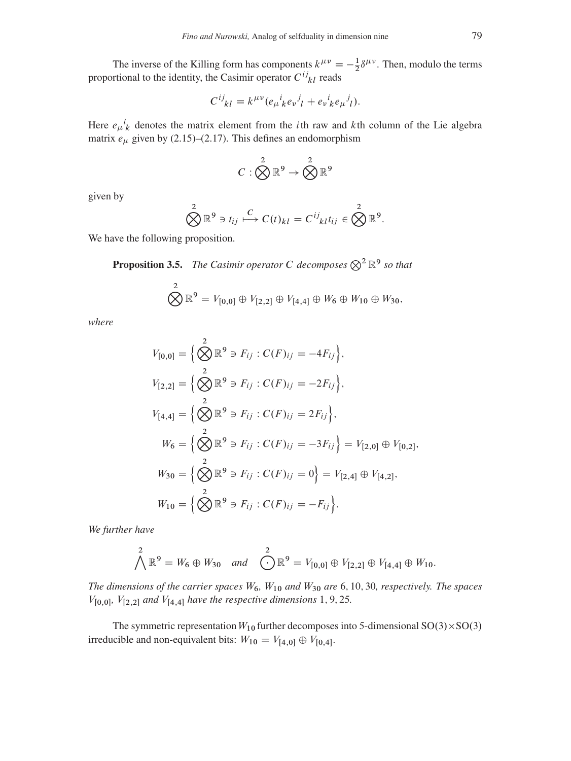The inverse of the Killing form has components  $k^{\mu\nu} = -\frac{1}{2}$  $\frac{1}{2}\delta^{\mu\nu}$ . Then, modulo the terms proportional to the identity, the Casimir operator  $C^{ij}_{kl}$  reads

$$
C^{ij}_{kl} = k^{\mu\nu} (e_{\mu}{}^i_k e_{\nu}{}^j_l + e_{\nu}{}^i_k e_{\mu}{}^j_l).
$$

Here  $e_{\mu}{}^{i}{}_{k}$  denotes the matrix element from the *i*th raw and *k*th column of the Lie algebra matrix  $e_{\mu}$  given by [\(2.15\)](#page-5-4)–[\(2.17\)](#page-6-1). This defines an endomorphism

$$
C:\bigotimes^2\mathbb{R}^9\to \bigotimes^2\mathbb{R}^9
$$

given by

$$
\bigotimes^2 \mathbb{R}^9 \ni t_{ij} \stackrel{C}{\longmapsto} C(t)_{kl} = C^{ij}{}_{kl} t_{ij} \in \bigotimes^2 \mathbb{R}^9.
$$

We have the following proposition.

**Proposition 3.5.** The Casimir operator C decomposes  $\otimes^2 \mathbb{R}^9$  so that

$$
\bigotimes^2 \mathbb{R}^9 = V_{[0,0]} \oplus V_{[2,2]} \oplus V_{[4,4]} \oplus W_6 \oplus W_{10} \oplus W_{30},
$$

*where*

$$
V_{[0,0]} = \left\{ \bigotimes_{i=1}^{2} \mathbb{R}^{9} \ni F_{ij} : C(F)_{ij} = -4F_{ij} \right\},
$$
  
\n
$$
V_{[2,2]} = \left\{ \bigotimes_{i=1}^{2} \mathbb{R}^{9} \ni F_{ij} : C(F)_{ij} = -2F_{ij} \right\},
$$
  
\n
$$
V_{[4,4]} = \left\{ \bigotimes_{i=1}^{2} \mathbb{R}^{9} \ni F_{ij} : C(F)_{ij} = 2F_{ij} \right\},
$$
  
\n
$$
W_{6} = \left\{ \bigotimes_{i=1}^{2} \mathbb{R}^{9} \ni F_{ij} : C(F)_{ij} = -3F_{ij} \right\} = V_{[2,0]} \oplus V_{[0,2]},
$$
  
\n
$$
W_{30} = \left\{ \bigotimes_{i=1}^{2} \mathbb{R}^{9} \ni F_{ij} : C(F)_{ij} = 0 \right\} = V_{[2,4]} \oplus V_{[4,2]},
$$
  
\n
$$
W_{10} = \left\{ \bigotimes_{i=1}^{2} \mathbb{R}^{9} \ni F_{ij} : C(F)_{ij} = -F_{ij} \right\}.
$$

*We further have*

$$
\bigwedge^2 \mathbb{R}^9 = W_6 \oplus W_{30} \quad \text{and} \quad \bigodot^2 \mathbb{R}^9 = V_{[0,0]} \oplus V_{[2,2]} \oplus V_{[4,4]} \oplus W_{10}.
$$

*The dimensions of the carrier spaces*  $W_6$ ,  $W_{10}$  *and*  $W_{30}$  *are* 6, 10, 30, *respectively. The spaces*  $V_{[0,0]}$ ,  $V_{[2,2]}$  and  $V_{[4,4]}$  have the respective dimensions 1, 9, 25.

The symmetric representation  $W_{10}$  further decomposes into 5-dimensional  $SO(3) \times SO(3)$ irreducible and non-equivalent bits:  $W_{10} = V_{[4,0]} \oplus V_{[0,4]}$ .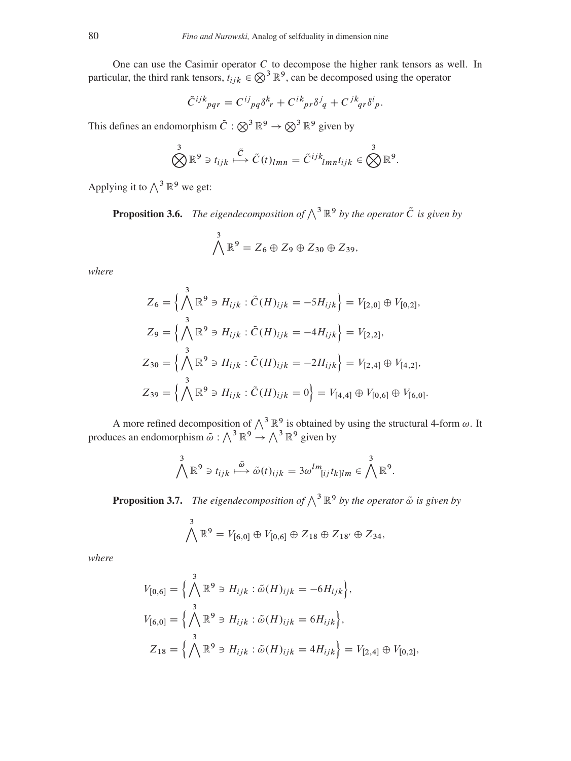One can use the Casimir operator  $C$  to decompose the higher rank tensors as well. In particular, the third rank tensors,  $t_{ijk} \in \bigotimes^3 \mathbb{R}^9$ , can be decomposed using the operator

$$
\tilde{C}^{ijk}_{pqr} = C^{ij}_{pq} \delta^k_r + C^{ik}_{pr} \delta^j_q + C^{jk}_{qr} \delta^i_p.
$$

This defines an endomorphism  $\tilde{C} : \bigotimes^3 \mathbb{R}^9 \to \bigotimes^3 \mathbb{R}^9$  given by

$$
\bigotimes^3 \mathbb{R}^9 \ni t_{ijk} \stackrel{\tilde{C}}{\longmapsto} \tilde{C}(t)_{lmn} = \tilde{C}^{ijk}_{lmn} t_{ijk} \in \bigotimes^3 \mathbb{R}^9.
$$

Applying it to  $\wedge^3 \mathbb{R}^9$  we get:

<span id="page-13-0"></span>**Proposition 3.6.** *The eigendecomposition of*  $\bigwedge^3 \mathbb{R}^9$  *by the operator*  $\tilde{C}$  *is given by* 

$$
\bigwedge^3 \mathbb{R}^9 = Z_6 \oplus Z_9 \oplus Z_{30} \oplus Z_{39},
$$

*where*

$$
Z_6 = \left\{ \bigwedge^3 \mathbb{R}^9 \ni H_{ijk} : \tilde{C}(H)_{ijk} = -5H_{ijk} \right\} = V_{[2,0]} \oplus V_{[0,2]},
$$
  
\n
$$
Z_9 = \left\{ \bigwedge^3 \mathbb{R}^9 \ni H_{ijk} : \tilde{C}(H)_{ijk} = -4H_{ijk} \right\} = V_{[2,2]},
$$
  
\n
$$
Z_{30} = \left\{ \bigwedge^3 \mathbb{R}^9 \ni H_{ijk} : \tilde{C}(H)_{ijk} = -2H_{ijk} \right\} = V_{[2,4]} \oplus V_{[4,2]},
$$
  
\n
$$
Z_{39} = \left\{ \bigwedge^3 \mathbb{R}^9 \ni H_{ijk} : \tilde{C}(H)_{ijk} = 0 \right\} = V_{[4,4]} \oplus V_{[0,6]} \oplus V_{[6,0]}.
$$

A more refined decomposition of  $\wedge^3 \mathbb{R}^9$  is obtained by using the structural 4-form  $\omega$ . It produces an endomorphism  $\tilde{\omega} : \bigwedge^3 \mathbb{R}^9 \to \bigwedge^3 \mathbb{R}^9$  given by

$$
\bigwedge^3 \mathbb{R}^9 \ni t_{ijk} \stackrel{\tilde{\omega}}{\longmapsto} \tilde{\omega}(t)_{ijk} = 3\omega^{lm} [ij \, t_{kl}]_m \in \bigwedge^3 \mathbb{R}^9.
$$

<span id="page-13-1"></span>**Proposition 3.7.** *The eigendecomposition of*  $\bigwedge^3 \mathbb{R}^9$  *by the operator*  $\tilde{\omega}$  *is given by* 

$$
\bigwedge^3 \mathbb{R}^9 = V_{[6,0]} \oplus V_{[0,6]} \oplus Z_{18} \oplus Z_{18'} \oplus Z_{34},
$$

*where*

$$
V_{[0,6]} = \left\{ \bigwedge^3 \mathbb{R}^9 \ni H_{ijk} : \tilde{\omega}(H)_{ijk} = -6H_{ijk} \right\},
$$
  
\n
$$
V_{[6,0]} = \left\{ \bigwedge^3 \mathbb{R}^9 \ni H_{ijk} : \tilde{\omega}(H)_{ijk} = 6H_{ijk} \right\},
$$
  
\n
$$
Z_{18} = \left\{ \bigwedge^3 \mathbb{R}^9 \ni H_{ijk} : \tilde{\omega}(H)_{ijk} = 4H_{ijk} \right\} = V_{[2,4]} \oplus V_{[0,2]},
$$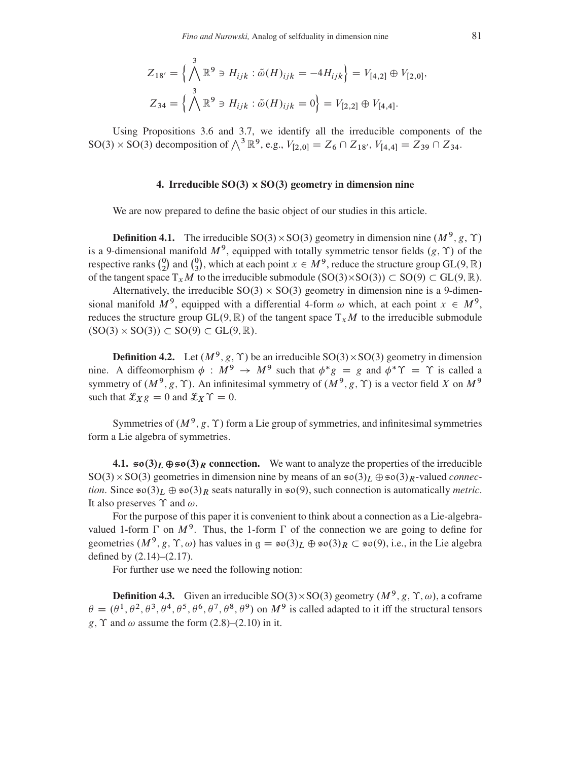$$
Z_{18'} = \left\{ \bigwedge^3 \mathbb{R}^9 \ni H_{ijk} : \tilde{\omega}(H)_{ijk} = -4H_{ijk} \right\} = V_{[4,2]} \oplus V_{[2,0]},
$$
  

$$
Z_{34} = \left\{ \bigwedge^3 \mathbb{R}^9 \ni H_{ijk} : \tilde{\omega}(H)_{ijk} = 0 \right\} = V_{[2,2]} \oplus V_{[4,4]}.
$$

Using Propositions [3.6](#page-13-0) and [3.7,](#page-13-1) we identify all the irreducible components of the SO(3) × SO(3) decomposition of  $\bigwedge^3 \mathbb{R}^9$ , e.g.,  $V_{[2,0]} = Z_6 \cap Z_{18}$ ,  $V_{[4,4]} = Z_{39} \cap Z_{34}$ .

# 4. Irreducible  $SO(3) \times SO(3)$  geometry in dimension nine

<span id="page-14-0"></span>We are now prepared to define the basic object of our studies in this article.

**Definition 4.1.** The irreducible SO(3) × SO(3) geometry in dimension nine  $(M^9, g, \Upsilon)$ is a 9-dimensional manifold  $M^9$ , equipped with totally symmetric tensor fields  $(g, \Upsilon)$  of the respective ranks  $\binom{0}{2}$  $\binom{0}{2}$  and  $\binom{0}{3}$  $^{0}$ , which at each point  $x \in M^9$ , reduce the structure group GL(9, R) of the tangent space  $T_x M$  to the irreducible submodule  $(SO(3) \times SO(3)) \subset SO(9) \subset GL(9, \mathbb{R})$ .

Alternatively, the irreducible  $SO(3) \times SO(3)$  geometry in dimension nine is a 9-dimensional manifold  $M^9$ , equipped with a differential 4-form  $\omega$  which, at each point  $x \in M^9$ , reduces the structure group GL $(9, \mathbb{R})$  of the tangent space  $T_xM$  to the irreducible submodule  $(SO(3) \times SO(3)) \subset SO(9) \subset GL(9, \mathbb{R}).$ 

**Definition 4.2.** Let  $(M^9, g, \Upsilon)$  be an irreducible SO(3) × SO(3) geometry in dimension nine. A diffeomorphism  $\phi : M^9 \to M^9$  such that  $\phi^* g = g$  and  $\phi^* \Upsilon = \Upsilon$  is called a symmetry of  $(M^9, g, \Upsilon)$ . An infinitesimal symmetry of  $(M^9, g, \Upsilon)$  is a vector field X on  $M^9$ such that  $\mathcal{L}_{X} g = 0$  and  $\mathcal{L}_{X} \Upsilon = 0$ .

Symmetries of  $(M^9, g, \Upsilon)$  form a Lie group of symmetries, and infinitesimal symmetries form a Lie algebra of symmetries.

<span id="page-14-1"></span>4.1.  $\mathfrak{so}(3)_L \oplus \mathfrak{so}(3)_R$  connection. We want to analyze the properties of the irreducible SO(3) × SO(3) geometries in dimension nine by means of an  $\mathfrak{so}(3)_L \oplus \mathfrak{so}(3)_R$ -valued *connection*. Since  $\mathfrak{so}(3)_L \oplus \mathfrak{so}(3)_R$  seats naturally in  $\mathfrak{so}(9)$ , such connection is automatically *metric*. It also preserves  $\Upsilon$  and  $\omega$ .

For the purpose of this paper it is convenient to think about a connection as a Lie-algebravalued 1-form  $\Gamma$  on  $M^9$ . Thus, the 1-form  $\Gamma$  of the connection we are going to define for geometries  $(M^9, g, \Upsilon, \omega)$  has values in  $g = \mathfrak{so}(3)_L \oplus \mathfrak{so}(3)_R \subset \mathfrak{so}(9)$ , i.e., in the Lie algebra defined by [\(2.14\)](#page-5-3)–[\(2.17\)](#page-6-1).

For further use we need the following notion:

**Definition 4.3.** Given an irreducible SO(3) $\times$ SO(3) geometry ( $M^9$ , g,  $\Upsilon$ ,  $\omega$ ), a coframe  $\theta = (\theta^1, \theta^2, \theta^3, \theta^4, \theta^5, \theta^6, \theta^7, \theta^8, \theta^9)$  on  $M^9$  is called adapted to it iff the structural tensors g,  $\Upsilon$  and  $\omega$  assume the form [\(2.8\)](#page-5-5)–[\(2.10\)](#page-5-6) in it.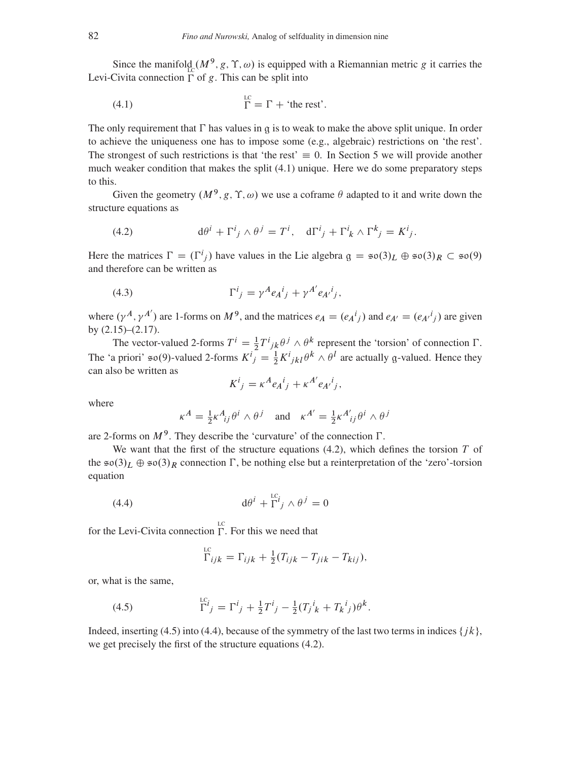Since the manifold  $(M^9, g, \Upsilon, \omega)$  is equipped with a Riemannian metric g it carries the Levi-Civita connection  $\Gamma$  of g. This can be split into

<span id="page-15-0"></span>(4.1) 
$$
\Gamma = \Gamma + \text{ 'the rest' }.
$$

The only requirement that  $\Gamma$  has values in q is to weak to make the above split unique. In order to achieve the uniqueness one has to impose some (e.g., algebraic) restrictions on 'the rest'. The strongest of such restrictions is that 'the rest'  $\equiv 0$ . In Section 5 we will provide another much weaker condition that makes the split [\(4.1\)](#page-15-0) unique. Here we do some preparatory steps to this.

Given the geometry  $(M^9, g, \Upsilon, \omega)$  we use a coframe  $\theta$  adapted to it and write down the structure equations as

<span id="page-15-1"></span>(4.2) 
$$
d\theta^{i} + \Gamma^{i}_{j} \wedge \theta^{j} = T^{i}, \quad d\Gamma^{i}_{j} + \Gamma^{i}_{k} \wedge \Gamma^{k}_{j} = K^{i}_{j}.
$$

Here the matrices  $\Gamma = (\Gamma^i{}_j)$  have values in the Lie algebra  $g = \mathfrak{so}(3)_L \oplus \mathfrak{so}(3)_R \subset \mathfrak{so}(9)$ and therefore can be written as

(4.3) 
$$
\Gamma^{i}{}_{j} = \gamma^{A} e_{A}{}^{i}{}_{j} + \gamma^{A'} e_{A'}{}^{i}{}_{j},
$$

where  $(\gamma^A, \gamma^{A'})$  are 1-forms on  $M^9$ , and the matrices  $e_A = (e_A^i)_j$  and  $e_{A'} = (e_{A'}^i)_j$  are given by [\(2.15\)](#page-5-4)–[\(2.17\)](#page-6-1).

The vector-valued 2-forms  $T^i = \frac{1}{2} T^i_{jk} \theta^j \wedge \theta^k$  represent the 'torsion' of connection  $\Gamma$ . The 'a priori'  $\mathfrak{so}(9)$ -valued 2-forms  $K^i{}_j = \frac{1}{2} K^i{}_{jkl} \theta^k \wedge \theta^l$  are actually g-valued. Hence they can also be written as

<span id="page-15-4"></span>
$$
K^i{}_j = \kappa^A e_A{}^i{}_j + \kappa^{A'} e_{A'}{}^i{}_j,
$$

where

$$
\kappa^A = \frac{1}{2} \kappa^A_{ij} \theta^i \wedge \theta^j \quad \text{and} \quad \kappa^{A'} = \frac{1}{2} \kappa^{A'}_{ij} \theta^i \wedge \theta^j
$$

are 2-forms on  $M^9$ . They describe the 'curvature' of the connection  $\Gamma$ .

We want that the first of the structure equations  $(4.2)$ , which defines the torsion T of the  $\mathfrak{so}(3)_L \oplus \mathfrak{so}(3)_R$  connection  $\Gamma$ , be nothing else but a reinterpretation of the 'zero'-torsion equation

(4.4) 
$$
d\theta^i + \Gamma^{i}j \wedge \theta^j = 0
$$

for the Levi-Civita connection  $\Gamma$ . For this we need that

<span id="page-15-3"></span><span id="page-15-2"></span>
$$
\Gamma_{ijk} = \Gamma_{ijk} + \frac{1}{2}(T_{ijk} - T_{jik} - T_{kij}),
$$

or, what is the same,

(4.5) 
$$
\Gamma^{i}{}_{j} = \Gamma^{i}{}_{j} + \frac{1}{2}T^{i}{}_{j} - \frac{1}{2}(T_{j}{}^{i}{}_{k} + T_{k}{}^{i}{}_{j})\theta^{k}.
$$

Indeed, inserting [\(4.5\)](#page-15-2) into [\(4.4\)](#page-15-3), because of the symmetry of the last two terms in indices  $\{jk\}$ , we get precisely the first of the structure equations [\(4.2\)](#page-15-1).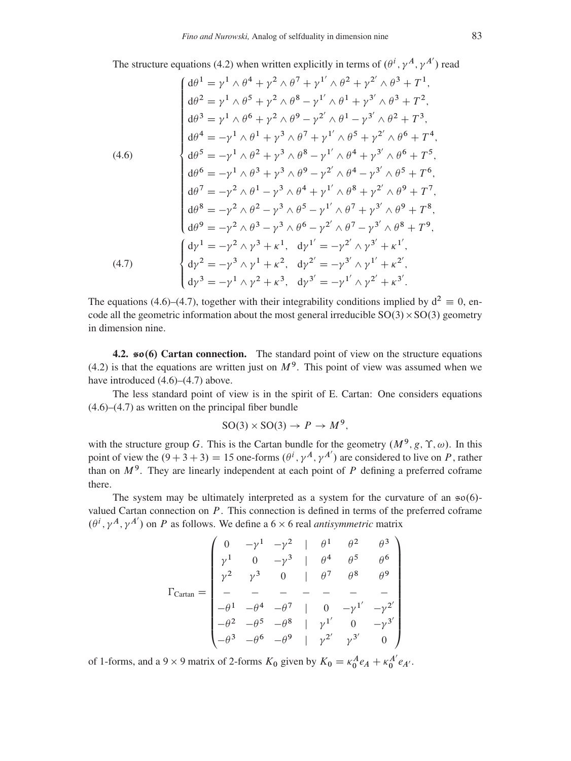The structure equations [\(4.2\)](#page-15-1) when written explicitly in terms of  $(\theta^i, \gamma^A, \gamma^{A'})$  read

<span id="page-16-0"></span>(4.6)  
\n
$$
\begin{cases}\nd\theta^{1} = \gamma^{1} \wedge \theta^{4} + \gamma^{2} \wedge \theta^{7} + \gamma^{1'} \wedge \theta^{2} + \gamma^{2'} \wedge \theta^{3} + T^{1}, \\
d\theta^{2} = \gamma^{1} \wedge \theta^{5} + \gamma^{2} \wedge \theta^{8} - \gamma^{1'} \wedge \theta^{1} + \gamma^{3'} \wedge \theta^{3} + T^{2}, \\
d\theta^{3} = \gamma^{1} \wedge \theta^{6} + \gamma^{2} \wedge \theta^{9} - \gamma^{2'} \wedge \theta^{1} - \gamma^{3'} \wedge \theta^{2} + T^{3}, \\
d\theta^{4} = -\gamma^{1} \wedge \theta^{1} + \gamma^{3} \wedge \theta^{7} + \gamma^{1'} \wedge \theta^{5} + \gamma^{2'} \wedge \theta^{6} + T^{4}, \\
d\theta^{5} = -\gamma^{1} \wedge \theta^{2} + \gamma^{3} \wedge \theta^{8} - \gamma^{1'} \wedge \theta^{4} + \gamma^{3'} \wedge \theta^{6} + T^{5}, \\
d\theta^{6} = -\gamma^{1} \wedge \theta^{3} + \gamma^{3} \wedge \theta^{9} - \gamma^{2'} \wedge \theta^{4} - \gamma^{3'} \wedge \theta^{5} + T^{6}, \\
d\theta^{7} = -\gamma^{2} \wedge \theta^{1} - \gamma^{3} \wedge \theta^{4} + \gamma^{1'} \wedge \theta^{8} + \gamma^{2'} \wedge \theta^{9} + T^{7}, \\
d\theta^{8} = -\gamma^{2} \wedge \theta^{2} - \gamma^{3} \wedge \theta^{5} - \gamma^{1'} \wedge \theta^{7} + \gamma^{3'} \wedge \theta^{9} + T^{8}, \\
d\theta^{9} = -\gamma^{2} \wedge \theta^{3} - \gamma^{3} \wedge \theta^{6} - \gamma^{2'} \wedge \theta^{7} - \gamma^{3'} \wedge \theta^{8} + T^{9}, \\
d\gamma^{1} = -\gamma^{2} \wedge \gamma^{3} + \kappa^{1}, \quad d\gamma^{1'} = -\gamma^{2'} \wedge \gamma^{3'} + \kappa^{1'}, \\
d\gamma^{2} = -\gamma^{3} \wedge \gamma^{1} + \kappa^{2}, \quad d\gamma^{2'} = -\gamma^{3'} \wedge \gamma^{1'} + \kappa^{2'}.\n\end{cases}
$$
\n(4

<span id="page-16-1"></span>The equations [\(4.6\)](#page-16-0)–[\(4.7\)](#page-16-1), together with their integrability conditions implied by  $d^2 \equiv 0$ , encode all the geometric information about the most general irreducible  $SO(3) \times SO(3)$  geometry in dimension nine.

4.2.  $\leq 6$  Cartan connection. The standard point of view on the structure equations [\(4.2\)](#page-15-1) is that the equations are written just on  $M<sup>9</sup>$ . This point of view was assumed when we have introduced  $(4.6)$ – $(4.7)$  above.

The less standard point of view is in the spirit of E. Cartan: One considers equations [\(4.6\)](#page-16-0)–[\(4.7\)](#page-16-1) as written on the principal fiber bundle

$$
SO(3) \times SO(3) \to P \to M^9,
$$

with the structure group G. This is the Cartan bundle for the geometry  $(M^9, g, \Upsilon, \omega)$ . In this point of view the  $(9+3+3) = 15$  one-forms  $(\theta^i, \gamma^A, \gamma^{A'})$  are considered to live on P, rather than on  $M^9$ . They are linearly independent at each point of P defining a preferred coframe there.

The system may be ultimately interpreted as a system for the curvature of an  $\approx 0.6$ valued Cartan connection on  $P$ . This connection is defined in terms of the preferred coframe  $(\theta^i, \gamma^A, \gamma^{A'})$  on P as follows. We define a 6  $\times$  6 real *antisymmetric* matrix

$$
\Gamma_{\text{Cartan}} = \begin{pmatrix}\n0 & -\gamma^1 & -\gamma^2 & | & \theta^1 & \theta^2 & \theta^3 \\
\gamma^1 & 0 & -\gamma^3 & | & \theta^4 & \theta^5 & \theta^6 \\
\gamma^2 & \gamma^3 & 0 & | & \theta^7 & \theta^8 & \theta^9 \\
- & - & - & - & - & - & - \\
-\theta^1 & -\theta^4 & -\theta^7 & | & 0 & -\gamma^1' & -\gamma^2' \\
-\theta^2 & -\theta^5 & -\theta^8 & | & \gamma^1' & 0 & -\gamma^3' \\
-\theta^3 & -\theta^6 & -\theta^9 & | & \gamma^2' & \gamma^3' & 0\n\end{pmatrix}
$$

of 1-forms, and a 9  $\times$  9 matrix of 2-forms  $K_0$  given by  $K_0 = \kappa_0^A e_A + \kappa_0^{A'} e_{A'}$ .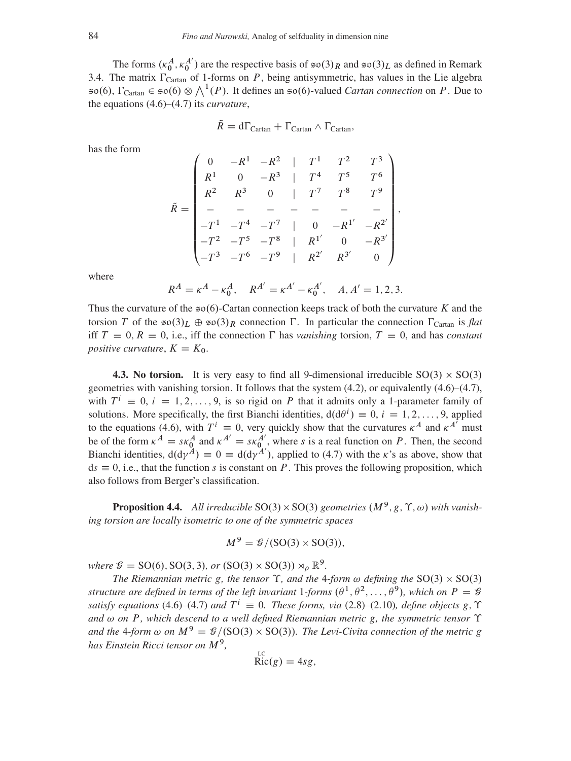The forms  $(\kappa_0^A, \kappa_0^{A'})$  are the respective basis of  $\mathfrak{so}(3)_R$  and  $\mathfrak{so}(3)_L$  as defined in Remark [3.4.](#page-10-0) The matrix  $\Gamma_{\text{Cartan}}$  of 1-forms on P, being antisymmetric, has values in the Lie algebra  $\mathfrak{so}(6)$ ,  $\Gamma_{\text{Cartan}} \in \mathfrak{so}(6) \otimes \bigwedge^1(P)$ . It defines an  $\mathfrak{so}(6)$ -valued *Cartan connection* on P. Due to the equations [\(4.6\)](#page-16-0)–[\(4.7\)](#page-16-1) its *curvature*,

$$
\tilde{R} = d\Gamma_{Cartan} + \Gamma_{Cartan} \wedge \Gamma_{Cartan},
$$

has the form

$$
\tilde{R} = \begin{pmatrix}\n0 & -R^1 & -R^2 & | & T^1 & T^2 & T^3 \\
R^1 & 0 & -R^3 & | & T^4 & T^5 & T^6 \\
R^2 & R^3 & 0 & | & T^7 & T^8 & T^9 \\
- & - & - & - & - & - & - \\
-T^1 & -T^4 & -T^7 & | & 0 & -R^{1'} & -R^{2'} \\
-T^2 & -T^5 & -T^8 & | & R^{1'} & 0 & -R^{3'} \\
-T^3 & -T^6 & -T^9 & | & R^{2'} & R^{3'} & 0\n\end{pmatrix},
$$

where

$$
R^A = \kappa^A - \kappa_0^A
$$
,  $R^{A'} = \kappa^{A'} - \kappa_0^{A'}$ ,  $A, A' = 1, 2, 3$ .

Thus the curvature of the  $\epsilon \infty(6)$ -Cartan connection keeps track of both the curvature K and the torsion T of the  $\mathfrak{so}(3)_L \oplus \mathfrak{so}(3)_R$  connection  $\Gamma$ . In particular the connection  $\Gamma_{\text{Cartan}}$  is *flat* iff  $T \equiv 0, R \equiv 0$ , i.e., iff the connection  $\Gamma$  has *vanishing* torsion,  $T \equiv 0$ , and has *constant positive curvature*,  $K = K_0$ .

<span id="page-17-0"></span>**4.3. No torsion.** It is very easy to find all 9-dimensional irreducible  $SO(3) \times SO(3)$ geometries with vanishing torsion. It follows that the system [\(4.2\)](#page-15-1), or equivalently [\(4.6\)](#page-16-0)–[\(4.7\)](#page-16-1), with  $T^i \equiv 0, i = 1, 2, ..., 9$ , is so rigid on P that it admits only a 1-parameter family of solutions. More specifically, the first Bianchi identities,  $d(d\theta^i) \equiv 0, i = 1, 2, ..., 9$ , applied to the equations [\(4.6\)](#page-16-0), with  $T^i \equiv 0$ , very quickly show that the curvatures  $\kappa^A$  and  $\kappa^{A'}$  must be of the form  $\kappa^A = s\kappa_0^A$  and  $\kappa^{A'} = s\kappa_{0}^{A'}$ , where s is a real function on P. Then, the second Bianchi identities,  $d(d\gamma^A) \equiv 0 \equiv d(d\gamma^{A'})$ , applied to [\(4.7\)](#page-16-1) with the  $\kappa$ 's as above, show that  $ds \equiv 0$ , i.e., that the function s is constant on P. This proves the following proposition, which also follows from Berger's classification.

**Proposition 4.4.** All irreducible  $SO(3) \times SO(3)$  geometries  $(M^9, g, \Upsilon, \omega)$  with vanish*ing torsion are locally isometric to one of the symmetric spaces*

$$
M^9 = \mathcal{G}/(\text{SO}(3) \times \text{SO}(3)),
$$

where  $\mathcal{G} = SO(6)$ ,  $SO(3, 3)$ , or  $(SO(3) \times SO(3)) \rtimes_{\rho} \mathbb{R}^9$ .

*The Riemannian metric* g, the tensor  $\Upsilon$ , and the 4-form  $\omega$  defining the SO(3)  $\times$  SO(3) structure are defined in terms of the left invariant 1-forms  $(\theta^1, \theta^2, \dots, \theta^9)$ , which on  $P = \mathcal{G}$ *satisfy equations* [\(4.6\)](#page-16-0)–[\(4.7\)](#page-16-1) *and*  $T^i \equiv 0$ *. These forms, via* [\(2.8\)](#page-5-5)–[\(2.10\)](#page-5-6)*, define objects* g,  $\Upsilon$ and  $\omega$  on P, which descend to a well defined Riemannian metric g, the symmetric tensor  $\Upsilon$ and the 4-form  $\omega$  on  $M^9 = \mathcal{G}/(\mathrm{SO}(3) \times \mathrm{SO}(3))$ . The Levi-Civita connection of the metric g *has Einstein Ricci tensor on* M<sup>9</sup> *,*

$$
\operatorname{Ric}(g) = 4sg,
$$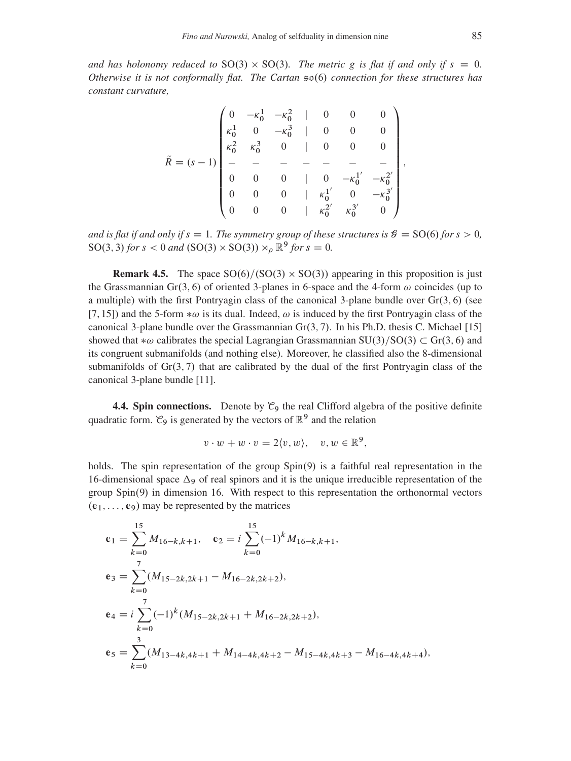and has holonomy reduced to  $SO(3) \times SO(3)$ . The metric g is flat if and only if  $s = 0$ . *Otherwise it is not conformally flat. The Cartan*  $\infty$  (6) *connection for these structures has constant curvature,*

$$
\tilde{R} = (s-1) \begin{pmatrix}\n0 & -\kappa_0^1 & -\kappa_0^2 & | & 0 & 0 & 0 \\
\kappa_0^1 & 0 & -\kappa_0^3 & | & 0 & 0 & 0 \\
\kappa_0^2 & \kappa_0^3 & 0 & | & 0 & 0 & 0 \\
- & - & - & - & - & - & - \\
0 & 0 & 0 & | & 0 & -\kappa_0^{1'} & -\kappa_0^{2'} \\
0 & 0 & 0 & | & \kappa_0^{1'} & 0 & -\kappa_0^{3'} \\
0 & 0 & 0 & | & \kappa_0^{2'} & \kappa_0^{3'} & 0\n\end{pmatrix},
$$

*and is flat if and only if*  $s = 1$ *. The symmetry group of these structures is*  $\mathcal{G} = SO(6)$  *for*  $s > 0$ *,*  $SO(3, 3)$  *for*  $s < 0$  *and*  $(SO(3) \times SO(3)) \rtimes_{\rho} \mathbb{R}^9$  *for*  $s = 0$ *.* 

<span id="page-18-0"></span>**Remark 4.5.** The space  $SO(6)/(SO(3) \times SO(3))$  appearing in this proposition is just the Grassmannian Gr(3, 6) of oriented 3-planes in 6-space and the 4-form  $\omega$  coincides (up to a multiple) with the first Pontryagin class of the canonical 3-plane bundle over  $Gr(3, 6)$  (see [\[7,](#page-42-15) [15\]](#page-42-16)) and the 5-form  $*\omega$  is its dual. Indeed,  $\omega$  is induced by the first Pontryagin class of the canonical 3-plane bundle over the Grassmannian  $Gr(3, 7)$ . In his Ph.D. thesis C. Michael [\[15\]](#page-42-16) showed that  $*\omega$  calibrates the special Lagrangian Grassmannian SU(3)/SO(3)  $\subset$  Gr(3, 6) and its congruent submanifolds (and nothing else). Moreover, he classified also the 8-dimensional submanifolds of  $Gr(3, 7)$  that are calibrated by the dual of the first Pontryagin class of the canonical 3-plane bundle [\[11\]](#page-42-17).

**4.4. Spin connections.** Denote by  $\mathcal{C}_9$  the real Clifford algebra of the positive definite quadratic form.  $\mathcal{C}_9$  is generated by the vectors of  $\mathbb{R}^9$  and the relation

$$
v \cdot w + w \cdot v = 2\langle v, w \rangle, \quad v, w \in \mathbb{R}^9,
$$

holds. The spin representation of the group  $Spin(9)$  is a faithful real representation in the 16-dimensional space  $\Delta$ <sup>9</sup> of real spinors and it is the unique irreducible representation of the  $group Spin(9)$  in dimension 16. With respect to this representation the orthonormal vectors  $(e_1, \ldots, e_9)$  may be represented by the matrices

$$
e_1 = \sum_{k=0}^{15} M_{16-k,k+1}, \quad e_2 = i \sum_{k=0}^{15} (-1)^k M_{16-k,k+1},
$$
  
\n
$$
e_3 = \sum_{k=0}^{7} (M_{15-2k,2k+1} - M_{16-2k,2k+2}),
$$
  
\n
$$
e_4 = i \sum_{k=0}^{7} (-1)^k (M_{15-2k,2k+1} + M_{16-2k,2k+2}),
$$
  
\n
$$
e_5 = \sum_{k=0}^{3} (M_{13-4k,4k+1} + M_{14-4k,4k+2} - M_{15-4k,4k+3} - M_{16-4k,4k+4}),
$$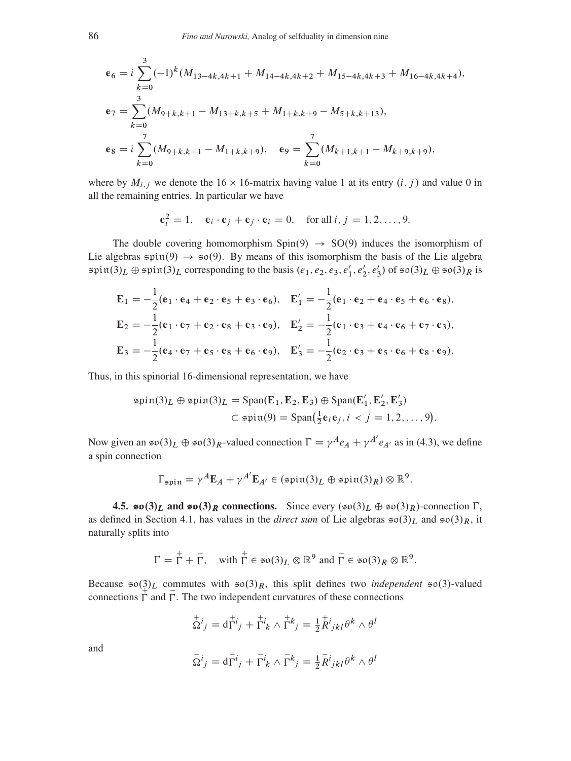$$
\mathbf{e}_6 = i \sum_{k=0}^3 (-1)^k (M_{13-4k,4k+1} + M_{14-4k,4k+2} + M_{15-4k,4k+3} + M_{16-4k,4k+4}),
$$
  
\n
$$
\mathbf{e}_7 = \sum_{k=0}^3 (M_{9+k,k+1} - M_{13+k,k+5} + M_{1+k,k+9} - M_{5+k,k+13}),
$$
  
\n
$$
\mathbf{e}_8 = i \sum_{k=0}^7 (M_{9+k,k+1} - M_{1+k,k+9}), \quad \mathbf{e}_9 = \sum_{k=0}^7 (M_{k+1,k+1} - M_{k+9,k+9}),
$$

where by  $M_{i,j}$  we denote the 16  $\times$  16-matrix having value 1 at its entry  $(i, j)$  and value 0 in all the remaining entries. In particular we have

$$
\mathbf{e}_i^2 = 1, \quad \mathbf{e}_i \cdot \mathbf{e}_j + \mathbf{e}_j \cdot \mathbf{e}_i = 0, \quad \text{for all } i, j = 1, 2, \dots, 9.
$$

The double covering homomorphism  $Spin(9) \rightarrow SO(9)$  induces the isomorphism of Lie algebras  $\sin(9) \rightarrow \sin(9)$ . By means of this isomorphism the basis of the Lie algebra  $\sin(3)_L \oplus \sin(3)_L$  corresponding to the basis  $(e_1, e_2, e_3, e'_1, e'_2, e'_3)$  of  $\sin(3)_L \oplus \sin(3)_R$  is

$$
\mathbf{E}_1 = -\frac{1}{2}(\mathbf{e}_1 \cdot \mathbf{e}_4 + \mathbf{e}_2 \cdot \mathbf{e}_5 + \mathbf{e}_3 \cdot \mathbf{e}_6), \quad \mathbf{E}'_1 = -\frac{1}{2}(\mathbf{e}_1 \cdot \mathbf{e}_2 + \mathbf{e}_4 \cdot \mathbf{e}_5 + \mathbf{e}_6 \cdot \mathbf{e}_8),
$$
\n
$$
\mathbf{E}_2 = -\frac{1}{2}(\mathbf{e}_1 \cdot \mathbf{e}_7 + \mathbf{e}_2 \cdot \mathbf{e}_8 + \mathbf{e}_3 \cdot \mathbf{e}_9), \quad \mathbf{E}'_2 = -\frac{1}{2}(\mathbf{e}_1 \cdot \mathbf{e}_3 + \mathbf{e}_4 \cdot \mathbf{e}_6 + \mathbf{e}_7 \cdot \mathbf{e}_3),
$$
\n
$$
\mathbf{E}_3 = -\frac{1}{2}(\mathbf{e}_4 \cdot \mathbf{e}_7 + \mathbf{e}_5 \cdot \mathbf{e}_8 + \mathbf{e}_6 \cdot \mathbf{e}_9), \quad \mathbf{E}'_3 = -\frac{1}{2}(\mathbf{e}_2 \cdot \mathbf{e}_3 + \mathbf{e}_5 \cdot \mathbf{e}_6 + \mathbf{e}_8 \cdot \mathbf{e}_9).
$$

Thus, in this spinorial 16-dimensional representation, we have

$$
\text{spin}(3)_L \oplus \text{spin}(3)_L = \text{Span}(\mathbf{E}_1, \mathbf{E}_2, \mathbf{E}_3) \oplus \text{Span}(\mathbf{E}'_1, \mathbf{E}'_2, \mathbf{E}'_3)
$$
  

$$
\subset \text{spin}(9) = \text{Span}(\frac{1}{2}\mathbf{e}_i\mathbf{e}_j, i < j = 1, 2, \dots, 9).
$$

Now given an  $\mathfrak{so}(3)_L \oplus \mathfrak{so}(3)_R$ -valued connection  $\Gamma = \gamma^A e_A + \gamma^{A'} e_{A'}$  as in (4.3), we define a spin connection

$$
\Gamma_{\text{spin}} = \gamma^A \mathbf{E}_A + \gamma^{A'} \mathbf{E}_{A'} \in (\text{spin}(3)_L \oplus \text{spin}(3)_R) \otimes \mathbb{R}^9.
$$

**4.5.**  $\mathfrak{so}(3)_L$  and  $\mathfrak{so}(3)_R$  connections. Since every  $(\mathfrak{so}(3)_L \oplus \mathfrak{so}(3)_R)$ -connection  $\Gamma$ , as defined in Section 4.1, has values in the *direct sum* of Lie algebras  $\mathfrak{so}(3)_L$  and  $\mathfrak{so}(3)_R$ , it naturally splits into

$$
\Gamma = \Gamma + \overline{\Gamma}, \quad \text{with } \Gamma \in \mathfrak{so}(3)_L \otimes \mathbb{R}^9 \text{ and } \overline{\Gamma} \in \mathfrak{so}(3)_R \otimes \mathbb{R}^9.
$$

Because  $\mathfrak{so}(3)_L$  commutes with  $\mathfrak{so}(3)_R$ , this split defines two *independent*  $\mathfrak{so}(3)$ -valued connections  $\Gamma$  and  $\Gamma$ . The two independent curvatures of these connections

$$
\nabla^i j = \mathrm{d} \Gamma^i j + \Gamma^i k \wedge \Gamma^k j = \tfrac{1}{2} R^i j k l \theta^k \wedge \theta^l
$$

and

$$
\bar{\Omega}^i{}_j = \mathrm{d}\bar{\Gamma}^i{}_j + \bar{\Gamma}^i{}_k \wedge \bar{\Gamma}^k{}_j = \tfrac{1}{2}\bar{R}^i{}_{jkl}\theta^k \wedge \theta^l
$$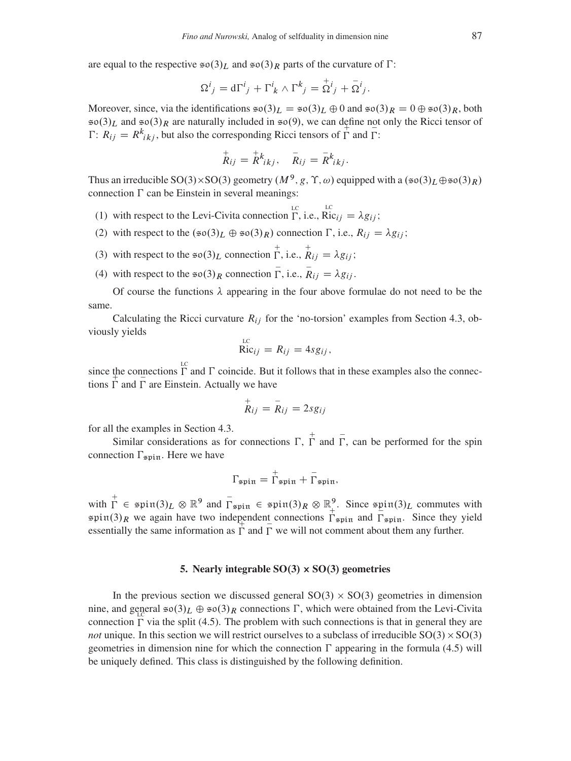are equal to the respective  $\mathfrak{so}(3)_L$  and  $\mathfrak{so}(3)_R$  parts of the curvature of  $\Gamma$ :

$$
\Omega^i{}_j = d\Gamma^i{}_j + \Gamma^i{}_k \wedge \Gamma^k{}_j = \mathop{\Omega}\limits^{\scriptscriptstyle +}{}^{\scriptscriptstyle +}{}_{\scriptscriptstyle \gamma} + \mathop{\Omega}\limits^{\scriptscriptstyle i}{}^{\scriptscriptstyle j}{}_j.
$$

Moreover, since, via the identifications  $\epsilon \sigma(3)_L = \epsilon \sigma(3)_L \oplus 0$  and  $\epsilon \sigma(3)_R = 0 \oplus \epsilon \sigma(3)_R$ , both  $\mathfrak{so}(3)_L$  and  $\mathfrak{so}(3)_R$  are naturally included in  $\mathfrak{so}(9)$ , we can define not only the Ricci tensor of  $\Gamma: R_{ij} = R_{ikj}^k$ , but also the corresponding Ricci tensors of  $\overline{\Gamma}$  and  $\overline{\Gamma}$ :

$$
\stackrel{+}{R}_{ij} = \stackrel{+}{R}_{ikj}^k, \quad \stackrel{-}{R}_{ij} = \stackrel{-}{R}_{ikj}^k.
$$

Thus an irreducible SO(3)×SO(3) geometry  $(M^9, g, \Upsilon, \omega)$  equipped with a  $(\mathfrak{so}(3)_L \oplus \mathfrak{so}(3)_R)$ connection  $\Gamma$  can be Einstein in several meanings:

- (1) with respect to the Levi-Civita connection  $\Gamma$ , i.e.,  $\text{Ric}_{ij} = \lambda g_{ij}$ ;
- (2) with respect to the  $(\mathfrak{so}(3)_L \oplus \mathfrak{so}(3)_R)$  connection  $\Gamma$ , i.e.,  $R_{ij} = \lambda g_{ij}$ ;
- (3) with respect to the  $\neq o(3)_L$  connection  $\Gamma$ , i.e.,  $\stackrel{+}{R}_{ij} = \lambda g_{ij}$ ;
- (4) with respect to the  $\neq o(3)_R$  connection  $\overline{\Gamma}$ , i.e.,  $\overline{R}_{ij} = \lambda g_{ij}$ .

Of course the functions  $\lambda$  appearing in the four above formulae do not need to be the same.

Calculating the Ricci curvature  $R_{ij}$  for the 'no-torsion' examples from Section [4.3,](#page-17-0) obviously yields

$$
\overrightarrow{\text{Ric}}_{ij} = R_{ij} = 4sg_{ij},
$$

since the connections  $\Gamma$  and  $\Gamma$  coincide. But it follows that in these examples also the connections  $\Gamma$  and  $\Gamma$  are Einstein. Actually we have

$$
\overset{+}{R}_{ij}=\overset{-}{R}_{ij}=2sg_{ij}
$$

for all the examples in Section [4.3.](#page-17-0)

Similar considerations as for connections  $\Gamma$ ,  $\overline{\Gamma}$  and  $\overline{\Gamma}$ , can be performed for the spin connection  $\Gamma_{\text{spin}}$ . Here we have

$$
\Gamma_{\text{spin}} = \overset{+}{\Gamma}_{\text{spin}} + \overset{-}{\Gamma}_{\text{spin}},
$$

with  $\overline{\Gamma} \in \pi$  spin $(3)_L \otimes \mathbb{R}^9$  and  $\overline{\Gamma}_{\pi \text{pin}} \in \pi$  spin $(3)_R \otimes \mathbb{R}^9_+$ . Since  $\pi$  spin $(3)_L$  commutes with  $\sin(3)_R$  we again have two independent connections  $\Gamma_{\text{spin}}$  and  $\Gamma_{\text{spin}}$ . Since they yield essentially the same information as  $\Gamma$  and  $\Gamma$  we will not comment about them any further.

# 5. Nearly integrable  $SO(3) \times SO(3)$  geometries

<span id="page-20-0"></span>In the previous section we discussed general  $SO(3) \times SO(3)$  geometries in dimension nine, and general  $\neq \infty(3)_L \oplus \neq \infty(3)_R$  connections  $\Gamma$ , which were obtained from the Levi-Civita connection  $\Gamma$  via the split [\(4.5\)](#page-15-2). The problem with such connections is that in general they are *not* unique. In this section we will restrict ourselves to a subclass of irreducible  $SO(3) \times SO(3)$ geometries in dimension nine for which the connection  $\Gamma$  appearing in the formula [\(4.5\)](#page-15-2) will be uniquely defined. This class is distinguished by the following definition.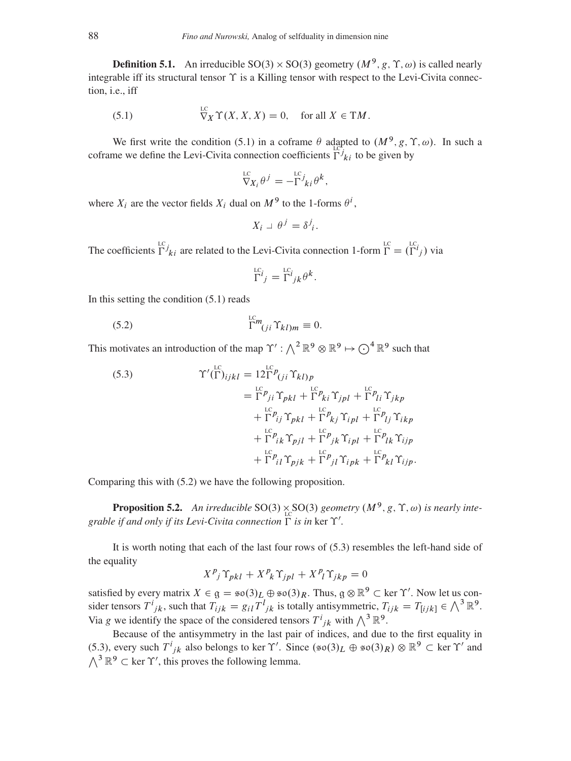**Definition 5.1.** An irreducible SO(3)  $\times$  SO(3) geometry  $(M^9, g, \Upsilon, \omega)$  is called nearly integrable iff its structural tensor  $\Upsilon$  is a Killing tensor with respect to the Levi-Civita connection, i.e., iff

(5.1) 
$$
\nabla_X^{\text{LC}} \Upsilon(X, X, X) = 0, \text{ for all } X \in \text{T}M.
$$

We first write the condition [\(5.1\)](#page-21-0) in a coframe  $\theta$  adapted to  $(M^9, g, \Upsilon, \omega)$ . In such a coframe we define the Levi-Civita connection coefficients  $\Gamma^{j}_{ki}$  to be given by

<span id="page-21-0"></span>
$$
\nabla_{X_i}^{\text{LC}} \theta^j = -\Gamma^{j} k_i \theta^k,
$$

where  $X_i$  are the vector fields  $X_i$  dual on  $M^9$  to the 1-forms  $\theta^i$ ,

$$
X_i \perp \theta^j = \delta^j_i.
$$

The coefficients  $\Gamma^{j}_{ki}$  are related to the Levi-Civita connection 1-form  $\Gamma = (\Gamma^{i}_{j})$  via

<span id="page-21-1"></span>
$$
\Gamma^{L}{}_{j} = \Gamma^{L}{}_{j k} \theta^{k}.
$$

In this setting the condition [\(5.1\)](#page-21-0) reads

(5.2) 
$$
\Gamma^{lcm}_{(ji} \Upsilon_{kl)m} \equiv 0.
$$

This motivates an introduction of the map  $\Upsilon' : \bigwedge^2 \mathbb{R}^9 \otimes \mathbb{R}^9 \mapsto \bigodot^4 \mathbb{R}^9$  such that

<span id="page-21-2"></span>(5.3)  
\n
$$
\Upsilon'(\Gamma)_{ijkl} = 12\Gamma^{\text{LC}} P_{(ji} \Upsilon_{kl)p}
$$
\n
$$
= \Gamma^{\text{LC}} p_{ij} \Upsilon_{pkl} + \Gamma^{\text{LC}} p_{ki} \Upsilon_{jpl} + \Gamma^{\text{LC}} p_{li} \Upsilon_{jkp}
$$
\n
$$
+ \Gamma^{\text{LC}} p_{ij} \Upsilon_{pkl} + \Gamma^{\text{LC}} p_{kj} \Upsilon_{ipl} + \Gamma^{\text{PL}} p_{lj} \Upsilon_{ikp}
$$
\n
$$
+ \Gamma^{\text{PL}} p_{ik} \Upsilon_{pjl} + \Gamma^{\text{PL}} p_{jk} \Upsilon_{ipl} + \Gamma^{\text{PL}} p_{kl} \Upsilon_{ijp}
$$
\n
$$
+ \Gamma^{\text{PL}} p_{il} \Upsilon_{pjk} + \Gamma^{\text{PL}} p_{jl} \Upsilon_{ipk} + \Gamma^{\text{PL}} p_{kl} \Upsilon_{ijp}.
$$

Comparing this with [\(5.2\)](#page-21-1) we have the following proposition.

<span id="page-21-3"></span>**Proposition 5.2.** An irreducible SO(3)  $\underset{\text{LC}}{\times}$  SO(3) geometry  $(M^9, g, \Upsilon, \omega)$  is nearly inte*grable if and only if its Levi-Civita connection*  $\Gamma$  *is in ker*  $\Upsilon'$ *.* 

It is worth noting that each of the last four rows of [\(5.3\)](#page-21-2) resembles the left-hand side of the equality

$$
X^{p_j} \Upsilon_{pkl} + X^{p_k} \Upsilon_{jpl} + X^{p_l} \Upsilon_{jkp} = 0
$$

satisfied by every matrix  $X \in \mathfrak{g} = \mathfrak{so}(3)_L \oplus \mathfrak{so}(3)_R$ . Thus,  $\mathfrak{g} \otimes \mathbb{R}^9 \subset \text{ker } \Upsilon'$ . Now let us consider tensors  $T^i_{jk}$ , such that  $T_{ijk} = g_{il}T^l_{jk}$  is totally antisymmetric,  $T_{ijk} = T_{[ijk]} \in \bigwedge^3 \mathbb{R}^9$ . Via g we identify the space of the considered tensors  $T^i_{jk}$  with  $\bigwedge^3 \mathbb{R}^9$ .

Because of the antisymmetry in the last pair of indices, and due to the first equality in [\(5.3\)](#page-21-2), every such  $T^i_{jk}$  also belongs to ker  $\Upsilon'$ . Since  $(\mathfrak{so}(3)_L \oplus \mathfrak{so}(3)_R) \otimes \mathbb{R}^9 \subset \text{ker } \Upsilon'$  and  $\wedge^3 \mathbb{R}^9 \subset \text{ker } \Upsilon'$ , this proves the following lemma.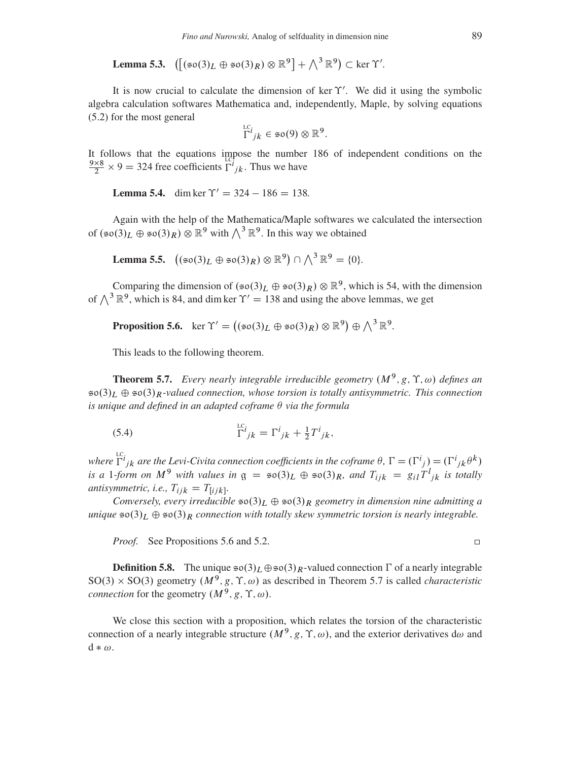**Lemma 5.3.**  $([\simeq \infty(3)_L \oplus \simeq \infty(3)_R) \otimes \mathbb{R}^9] + \wedge^3 \mathbb{R}^9) \subset \text{ker } \Upsilon'.$ 

It is now crucial to calculate the dimension of ker  $\Upsilon'$ . We did it using the symbolic algebra calculation softwares Mathematica and, independently, Maple, by solving equations [\(5.2\)](#page-21-1) for the most general

$$
\Gamma^{c_i}_{jk} \in \mathfrak{so}(9) \otimes \mathbb{R}^9.
$$

It follows that the equations impose the number 186 of independent conditions on the  $\frac{9\times8}{6}$  $\frac{\lambda \times 8}{2} \times 9 = 324$  free coefficients  $\Gamma^{i}_{jk}$ . Thus we have

**Lemma 5.4.** dim ker  $\Upsilon' = 324 - 186 = 138$ .

Again with the help of the Mathematica/Maple softwares we calculated the intersection of  $(\mathfrak{so}(3)_L \oplus \mathfrak{so}(3)_R) \otimes \mathbb{R}^9$  with  $\bigwedge^3 \mathbb{R}^9$ . In this way we obtained

Lemma 5.5.  $((\mathfrak{so}(3)_L \oplus \mathfrak{so}(3)_R) \otimes \mathbb{R}^9) \cap \bigwedge^3 \mathbb{R}^9 = \{0\}.$ 

Comparing the dimension of  $(\infty(3)_L \oplus \infty(3)_R) \otimes \mathbb{R}^9$ , which is 54, with the dimension of  $\bigwedge^3 \mathbb{R}^9$ , which is 84, and dim ker  $\Upsilon' = 138$  and using the above lemmas, we get

<span id="page-22-0"></span>**Proposition 5.6.**  $\ker \Upsilon' = ((\sin(3)_L \oplus \sin(3)_R) \otimes \mathbb{R}^9) \oplus \bigwedge^3 \mathbb{R}^9$ .

This leads to the following theorem.

<span id="page-22-1"></span>**Theorem 5.7.** Every nearly integrable irreducible geometry  $(M^9, g, \Upsilon, \omega)$  defines an  $\mathfrak{so}(3)_L \oplus \mathfrak{so}(3)_R$ -valued connection, whose torsion is totally antisymmetric. This connection *is unique and defined in an adapted coframe*  $\theta$  *via the formula* 

(5.4) 
$$
\Gamma^{i}{}_{jk} = \Gamma^{i}{}_{jk} + \frac{1}{2} T^{i}{}_{jk},
$$

where  $\Gamma^{i}{}_{jk}$  are the Levi-Civita connection coefficients in the coframe  $\theta$ ,  $\Gamma = (\Gamma^{i}{}_{j}) = (\Gamma^{i}{}_{jk} \theta^{k})$ is a 1-form on  $M^9$  with values in  $g = \infty(3)_L \oplus \infty(3)_R$ , and  $T_{ijk} = g_{il}T^l{}_{jk}$  is totally *antisymmetric, i.e.,*  $T_{ijk} = T_{[ijk]}$ .

*Conversely, every irreducible*  $\mathfrak{so}(3)_L \oplus \mathfrak{so}(3)_R$  *geometry in dimension nine admitting a unique*  $\mathfrak{so}(3)_L \oplus \mathfrak{so}(3)_R$  *connection with totally skew symmetric torsion is nearly integrable.* 

*Proof.* See Propositions [5.6](#page-22-0) and [5.2.](#page-21-3)

**Definition 5.8.** The unique  $\mathfrak{so}(3)_L \oplus \mathfrak{so}(3)_R$ -valued connection  $\Gamma$  of a nearly integrable  $SO(3) \times SO(3)$  geometry  $(M^9, g, \Upsilon, \omega)$  as described in Theorem [5.7](#page-22-1) is called *characteristic connection* for the geometry  $(M^9, g, \Upsilon, \omega)$ .

We close this section with a proposition, which relates the torsion of the characteristic connection of a nearly integrable structure  $(M^9, g, \Upsilon, \omega)$ , and the exterior derivatives d $\omega$  and  $d * \omega$ .

 $\Box$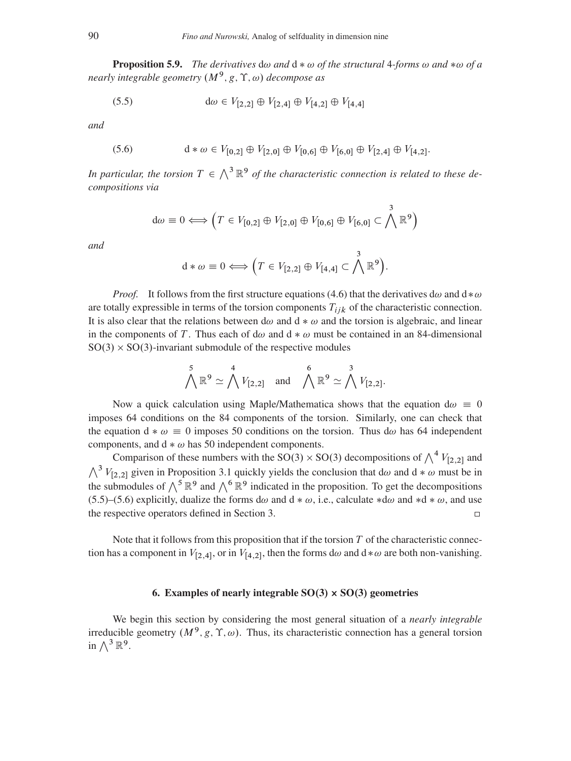**Proposition 5.9.** *The derivatives*  $d\omega$  *and*  $d * \omega$  *of the structural* 4*-forms*  $\omega$  *and*  $*\omega$  *of a* nearly integrable geometry  $(M^9, g, \Upsilon, \omega)$  decompose as

<span id="page-23-0"></span>(5.5) 
$$
d\omega \in V_{[2,2]} \oplus V_{[2,4]} \oplus V_{[4,2]} \oplus V_{[4,4]}
$$

*and*

<span id="page-23-1"></span>(5.6) 
$$
d * \omega \in V_{[0,2]} \oplus V_{[2,0]} \oplus V_{[0,6]} \oplus V_{[6,0]} \oplus V_{[2,4]} \oplus V_{[4,2]}.
$$

In particular, the torsion  $T \in \Lambda^3 \mathbb{R}^9$  of the characteristic connection is related to these de*compositions via*

$$
d\omega \equiv 0 \Longleftrightarrow \left(T \in V_{[0,2]} \oplus V_{[2,0]} \oplus V_{[0,6]} \oplus V_{[6,0]} \subset \bigwedge^3 \mathbb{R}^9\right)
$$

*and*

$$
d * \omega \equiv 0 \Longleftrightarrow \left(T \in V_{[2,2]} \oplus V_{[4,4]} \subset \bigwedge^3 \mathbb{R}^9\right).
$$

*Proof.* It follows from the first structure equations [\(4.6\)](#page-16-0) that the derivatives  $d\omega$  and  $d * \omega$ are totally expressible in terms of the torsion components  $T_{iik}$  of the characteristic connection. It is also clear that the relations between  $d\omega$  and  $d * \omega$  and the torsion is algebraic, and linear in the components of T. Thus each of d $\omega$  and d  $\ast \omega$  must be contained in an 84-dimensional  $SO(3) \times SO(3)$ -invariant submodule of the respective modules

$$
\bigwedge^5 \mathbb{R}^9 \simeq \bigwedge^4 V_{[2,2]} \quad \text{and} \quad \bigwedge^6 \mathbb{R}^9 \simeq \bigwedge^3 V_{[2,2]}.
$$

Now a quick calculation using Maple/Mathematica shows that the equation d $\omega \equiv 0$ imposes 64 conditions on the 84 components of the torsion. Similarly, one can check that the equation  $d * \omega \equiv 0$  imposes 50 conditions on the torsion. Thus  $d\omega$  has 64 independent components, and  $d * \omega$  has 50 independent components.

Comparison of these numbers with the SO(3)  $\times$  SO(3) decompositions of  $\bigwedge^4 V_{[2,2]}$  and  $\bigwedge^3 V_{[2,2]}$  given in Proposition [3.1](#page-9-0) quickly yields the conclusion that d $\omega$  and d  $*\omega$  must be in the submodules of  $\wedge^5 \mathbb{R}^9$  and  $\wedge^6 \mathbb{R}^9$  indicated in the proposition. To get the decompositions [\(5.5\)](#page-23-0)–[\(5.6\)](#page-23-1) explicitly, dualize the forms d $\omega$  and d  $* \omega$ , i.e., calculate  $* d\omega$  and  $* d * \omega$ , and use the respective operators defined in Section [3.](#page-8-0)  $\Box$ 

Note that it follows from this proposition that if the torsion  $T$  of the characteristic connection has a component in  $V_{[2,4]}$ , or in  $V_{[4,2]}$ , then the forms d $\omega$  and d $*\omega$  are both non-vanishing.

# 6. Examples of nearly integrable  $SO(3) \times SO(3)$  geometries

We begin this section by considering the most general situation of a *nearly integrable* irreducible geometry  $(M^9, g, \Upsilon, \omega)$ . Thus, its characteristic connection has a general torsion in  $\bigwedge^3 \mathbb{R}^9$ .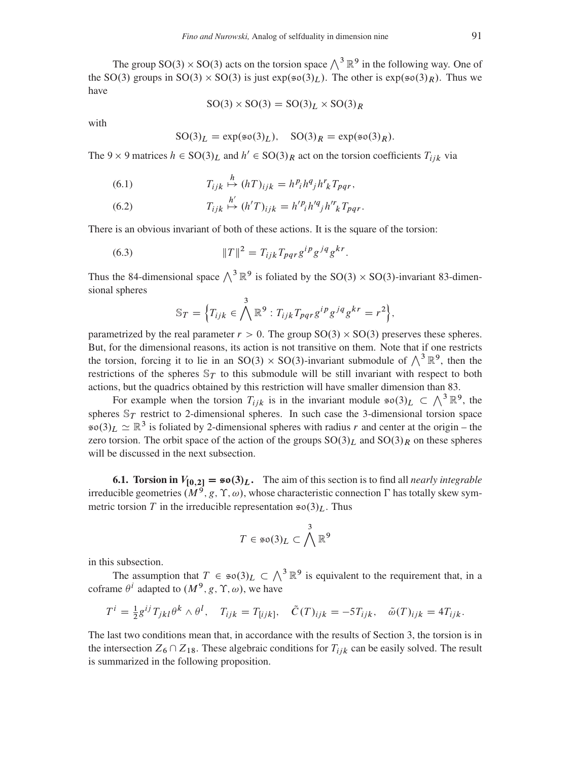The group SO(3)  $\times$  SO(3) acts on the torsion space  $\bigwedge^3 \mathbb{R}^9$  in the following way. One of the SO(3) groups in SO(3)  $\times$  SO(3) is just  $exp(s\sigma(3)<sub>L</sub>)$ . The other is  $exp(s\sigma(3)<sub>R</sub>)$ . Thus we have

$$
SO(3) \times SO(3) = SO(3)L \times SO(3)R
$$

with

$$
SO(3)L = exp(\text{so}(3)L), SO(3)R = exp(\text{so}(3)R).
$$

<span id="page-24-0"></span>The 9  $\times$  9 matrices  $h \in SO(3)<sub>L</sub>$  and  $h' \in SO(3)<sub>R</sub>$  act on the torsion coefficients  $T_{ijk}$  via

(6.1) 
$$
T_{ijk} \stackrel{h}{\mapsto} (hT)_{ijk} = h^p_i h^q_j h^r_k T_{pqr},
$$

<span id="page-24-1"></span>(6.2) 
$$
T_{ijk} \stackrel{h'}{\mapsto} (h'T)_{ijk} = h'^{p_i}h'^{q_j}h'^{r_k}T_{pqr}.
$$

There is an obvious invariant of both of these actions. It is the square of the torsion:

(6.3) 
$$
||T||^2 = T_{ijk} T_{pqr} g^{ip} g^{jq} g^{kr}.
$$

Thus the 84-dimensional space  $\wedge^3 \mathbb{R}^9$  is foliated by the SO(3) × SO(3)-invariant 83-dimensional spheres

$$
\mathbb{S}_T = \Big\{ T_{ijk} \in \bigwedge^3 \mathbb{R}^9 : T_{ijk} T_{pqr} g^{ip} g^{jq} g^{kr} = r^2 \Big\},\
$$

parametrized by the real parameter  $r > 0$ . The group  $SO(3) \times SO(3)$  preserves these spheres. But, for the dimensional reasons, its action is not transitive on them. Note that if one restricts the torsion, forcing it to lie in an SO(3)  $\times$  SO(3)-invariant submodule of  $\bigwedge^3 \mathbb{R}^9$ , then the restrictions of the spheres  $\mathbb{S}_T$  to this submodule will be still invariant with respect to both actions, but the quadrics obtained by this restriction will have smaller dimension than 83.

For example when the torsion  $T_{ijk}$  is in the invariant module  $\mathfrak{so}(3)_L \subset \bigwedge^3 \mathbb{R}^9$ , the spheres  $\mathbb{S}_T$  restrict to 2-dimensional spheres. In such case the 3-dimensional torsion space  $\mathfrak{so}(3)_L \simeq \mathbb{R}^3$  is foliated by 2-dimensional spheres with radius r and center at the origin – the zero torsion. The orbit space of the action of the groups  $SO(3)<sub>L</sub>$  and  $SO(3)<sub>R</sub>$  on these spheres will be discussed in the next subsection.

6.1. Torsion in  $V_{[0,2]} = \mathfrak{so}(3)_L$ . The aim of this section is to find all *nearly integrable* irreducible geometries  $(M^9, g, \Upsilon, \omega)$ , whose characteristic connection  $\Gamma$  has totally skew symmetric torsion T in the irreducible representation  $\mathfrak{so}(3)_L$ . Thus

$$
T\in \mathfrak{so}(3)_L\subset \bigwedge^3{\mathbb R}^9
$$

in this subsection.

The assumption that  $T \in \mathfrak{so}(3)_L \subset \bigwedge^3 \mathbb{R}^9$  is equivalent to the requirement that, in a coframe  $\theta^i$  adapted to  $(M^9, g, \Upsilon, \omega)$ , we have

$$
T^i = \frac{1}{2} g^{ij} T_{jkl} \theta^k \wedge \theta^l, \quad T_{ijk} = T_{[ijk]}, \quad \tilde{C}(T)_{ijk} = -5T_{ijk}, \quad \tilde{\omega}(T)_{ijk} = 4T_{ijk}.
$$

The last two conditions mean that, in accordance with the results of Section [3,](#page-8-0) the torsion is in the intersection  $Z_6 \cap Z_{18}$ . These algebraic conditions for  $T_{iik}$  can be easily solved. The result is summarized in the following proposition.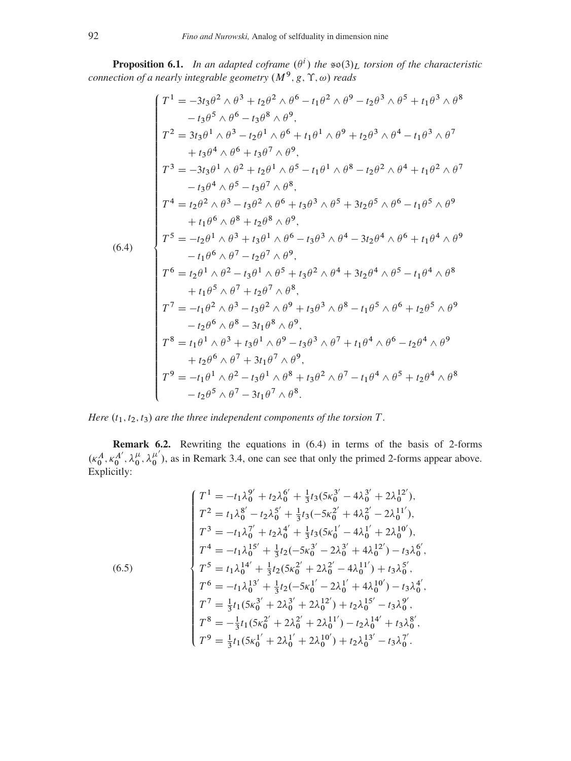**Proposition 6.1.** In an adapted coframe  $(\theta^i)$  the  $\infty(3)_L$  torsion of the characteristic *connection of a nearly integrable geometry*  $(M^9, g, \Upsilon, \omega)$  *reads* 

<span id="page-25-0"></span>
$$
(f^{1} = -3t_{3}\theta^{2} \wedge \theta^{3} + t_{2}\theta^{2} \wedge \theta^{6} - t_{1}\theta^{2} \wedge \theta^{9} - t_{2}\theta^{3} \wedge \theta^{5} + t_{1}\theta^{3} \wedge \theta^{8}
$$
\n
$$
-t_{3}\theta^{5} \wedge \theta^{6} - t_{3}\theta^{8} \wedge \theta^{9},
$$
\n
$$
T^{2} = 3t_{3}\theta^{1} \wedge \theta^{3} - t_{2}\theta^{1} \wedge \theta^{6} + t_{1}\theta^{1} \wedge \theta^{9} + t_{2}\theta^{3} \wedge \theta^{4} - t_{1}\theta^{3} \wedge \theta^{7}
$$
\n
$$
+t_{3}\theta^{4} \wedge \theta^{6} + t_{3}\theta^{7} \wedge \theta^{9},
$$
\n
$$
T^{3} = -3t_{3}\theta^{1} \wedge \theta^{2} + t_{2}\theta^{1} \wedge \theta^{5} - t_{1}\theta^{1} \wedge \theta^{8} - t_{2}\theta^{2} \wedge \theta^{4} + t_{1}\theta^{2} \wedge \theta^{7}
$$
\n
$$
-t_{3}\theta^{4} \wedge \theta^{5} - t_{3}\theta^{7} \wedge \theta^{8},
$$
\n
$$
T^{4} = t_{2}\theta^{2} \wedge \theta^{3} - t_{3}\theta^{2} \wedge \theta^{6} + t_{3}\theta^{3} \wedge \theta^{5} + 3t_{2}\theta^{5} \wedge \theta^{6} - t_{1}\theta^{5} \wedge \theta^{9}
$$
\n
$$
+t_{1}\theta^{6} \wedge \theta^{8} + t_{2}\theta^{8} \wedge \theta^{9},
$$
\n
$$
T^{5} = -t_{2}\theta^{1} \wedge \theta^{3} + t_{3}\theta^{1} \wedge \theta^{6} - t_{3}\theta^{3} \wedge \theta^{4} - 3t_{2}\theta^{4} \wedge \theta^{6} + t_{1}\theta^{4} \wedge \theta^{9}
$$
\n
$$
-t_{1}\theta^{6} \wedge \theta^{7} - t_{2}\theta^{7} \wedge \theta^{9},
$$
\n
$$
T^{6} = t_{2}\theta^{1} \wedge \theta^{2} - t_{3}\theta^{1} \wedge \theta^{5}
$$

*Here*  $(t_1, t_2, t_3)$  *are the three independent components of the torsion*  $T$ *.* 

<span id="page-25-2"></span>Remark 6.2. Rewriting the equations in [\(6.4\)](#page-25-0) in terms of the basis of 2-forms  $(\kappa_0^A, \kappa_0^{A'}, \lambda_0^{\mu'}, \lambda_0^{\mu'})$ , as in Remark [3.4,](#page-10-0) one can see that only the primed 2-forms appear above. Explicitly:

<span id="page-25-1"></span>
$$
\begin{cases}\nT^1 = -t_1 \lambda_0^{9'} + t_2 \lambda_0^{6'} + \frac{1}{3} t_3 (5 \kappa_0^{3'} - 4 \lambda_0^{3'} + 2 \lambda_0^{12'}), \\
T^2 = t_1 \lambda_0^{8'} - t_2 \lambda_0^{5'} + \frac{1}{3} t_3 (-5 \kappa_0^{2'} + 4 \lambda_0^{2'} - 2 \lambda_0^{11'}), \\
T^3 = -t_1 \lambda_0^{7'} + t_2 \lambda_0^{4'} + \frac{1}{3} t_3 (5 \kappa_0^{1'} - 4 \lambda_0^{1'} + 2 \lambda_0^{10'}), \\
T^4 = -t_1 \lambda_0^{15'} + \frac{1}{3} t_2 (-5 \kappa_0^{3'} - 2 \lambda_0^{3'} + 4 \lambda_0^{12'}) - t_3 \lambda_0^{6'}, \\
T^5 = t_1 \lambda_0^{14'} + \frac{1}{3} t_2 (5 \kappa_0^{2'} + 2 \lambda_0^{2'} - 4 \lambda_0^{11'}) + t_3 \lambda_0^{5'}, \\
T^6 = -t_1 \lambda_0^{13'} + \frac{1}{3} t_2 (-5 \kappa_0^{1'} - 2 \lambda_0^{1'} + 4 \lambda_0^{10'}) - t_3 \lambda_0^{4'}, \\
T^7 = \frac{1}{3} t_1 (5 \kappa_0^{3'} + 2 \lambda_0^{3'} + 2 \lambda_0^{12'}) + t_2 \lambda_0^{15'} - t_3 \lambda_0^{9'}, \\
T^8 = -\frac{1}{3} t_1 (5 \kappa_0^{2'} + 2 \lambda_0^{2'} + 2 \lambda_0^{11'}) - t_2 \lambda_0^{14'} + t_3 \lambda_0^{8'}, \\
T^9 = \frac{1}{3} t_1 (5 \kappa_0^{1'} + 2 \lambda_0^{1'} + 2 \lambda_0^{10'}) + t_2 \lambda_0^{13'} - t_3 \lambda_0^{7'}.\n\end{cases}
$$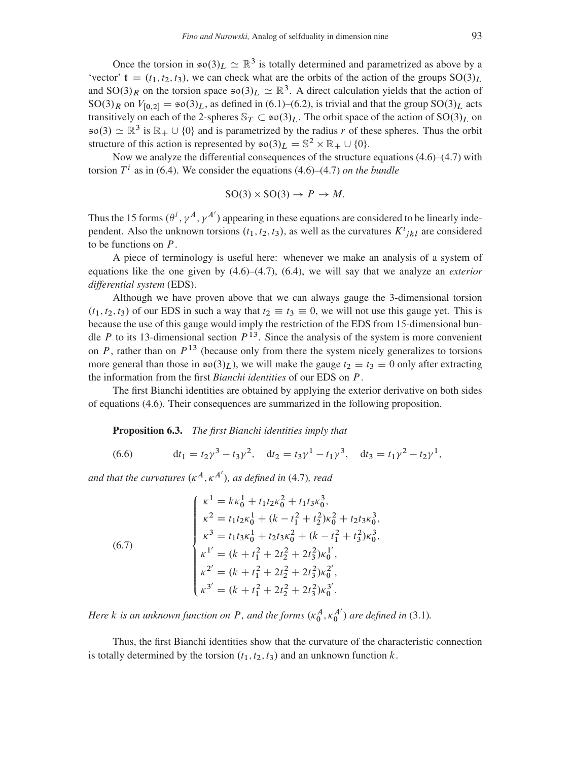Once the torsion in  $\mathfrak{so}(3)_L \simeq \mathbb{R}^3$  is totally determined and parametrized as above by a 'vector'  $t = (t_1, t_2, t_3)$ , we can check what are the orbits of the action of the groups  $SO(3)<sub>L</sub>$ and SO(3)<sub>R</sub> on the torsion space  $\mathfrak{so}(3)_L \simeq \mathbb{R}^3$ . A direct calculation yields that the action of  $SO(3)<sub>R</sub>$  on  $V_{[0,2]} = \epsilon \sigma(3)<sub>L</sub>$ , as defined in [\(6.1\)](#page-24-0)–[\(6.2\)](#page-24-1), is trivial and that the group  $SO(3)<sub>L</sub>$  acts transitively on each of the 2-spheres  $\mathcal{S}_T \subset \mathfrak{so}(3)_L$ . The orbit space of the action of  $SO(3)_L$  on  $\mathfrak{so}(3) \simeq \mathbb{R}^3$  is  $\mathbb{R}_+ \cup \{0\}$  and is parametrized by the radius r of these spheres. Thus the orbit structure of this action is represented by  $\mathfrak{so}(3)_L = \mathbb{S}^2 \times \mathbb{R}_+ \cup \{0\}.$ 

Now we analyze the differential consequences of the structure equations [\(4.6\)](#page-16-0)–[\(4.7\)](#page-16-1) with torsion  $T^i$  as in [\(6.4\)](#page-25-0). We consider the equations [\(4.6\)](#page-16-0)–[\(4.7\)](#page-16-1) *on the bundle* 

$$
SO(3) \times SO(3) \to P \to M.
$$

Thus the 15 forms  $(\theta^i, \gamma^A, \gamma^{A'})$  appearing in these equations are considered to be linearly independent. Also the unknown torsions  $(t_1, t_2, t_3)$ , as well as the curvatures  $K^i_{jkl}$  are considered to be functions on  $P$ .

A piece of terminology is useful here: whenever we make an analysis of a system of equations like the one given by [\(4.6\)](#page-16-0)–[\(4.7\)](#page-16-1), [\(6.4\)](#page-25-0), we will say that we analyze an *exterior differential system* (EDS).

Although we have proven above that we can always gauge the 3-dimensional torsion  $(t_1, t_2, t_3)$  of our EDS in such a way that  $t_2 \equiv t_3 \equiv 0$ , we will not use this gauge yet. This is because the use of this gauge would imply the restriction of the EDS from 15-dimensional bundle P to its 13-dimensional section  $P^{13}$ . Since the analysis of the system is more convenient on  $P$ , rather than on  $P<sup>13</sup>$  (because only from there the system nicely generalizes to torsions more general than those in  $\epsilon \varphi(3)_L$ , we will make the gauge  $t_2 \equiv t_3 \equiv 0$  only after extracting the information from the first *Bianchi identities* of our EDS on P.

The first Bianchi identities are obtained by applying the exterior derivative on both sides of equations [\(4.6\)](#page-16-0). Their consequences are summarized in the following proposition.

<span id="page-26-2"></span>Proposition 6.3. *The first Bianchi identities imply that*

<span id="page-26-1"></span>(6.6) 
$$
dt_1 = t_2 \gamma^3 - t_3 \gamma^2, \quad dt_2 = t_3 \gamma^1 - t_1 \gamma^3, \quad dt_3 = t_1 \gamma^2 - t_2 \gamma^1,
$$

and that the curvatures  $(\kappa^A, \kappa^{A'})$ *, as defined in* [\(4.7\)](#page-16-1)*, read* 

<span id="page-26-0"></span>(6.7)  

$$
\begin{cases}\n\kappa^1 = k\kappa_0^1 + t_1 t_2 \kappa_0^2 + t_1 t_3 \kappa_0^3, \\
\kappa^2 = t_1 t_2 \kappa_0^1 + (k - t_1^2 + t_2^2) \kappa_0^2 + t_2 t_3 \kappa_0^3, \\
\kappa^3 = t_1 t_3 \kappa_0^1 + t_2 t_3 \kappa_0^2 + (k - t_1^2 + t_3^2) \kappa_0^3, \\
\kappa^{1'} = (k + t_1^2 + 2t_2^2 + 2t_3^2) \kappa_0^{1'}, \\
\kappa^{2'} = (k + t_1^2 + 2t_2^2 + 2t_3^2) \kappa_0^{2'}, \\
\kappa^{3'} = (k + t_1^2 + 2t_2^2 + 2t_3^2) \kappa_0^{3'}.\n\end{cases}
$$

*Here k* is an unknown function on P, and the forms  $(\kappa_0^A, \kappa_0^A)$  are defined in [\(3.1\)](#page-11-0).

Thus, the first Bianchi identities show that the curvature of the characteristic connection is totally determined by the torsion  $(t_1, t_2, t_3)$  and an unknown function k.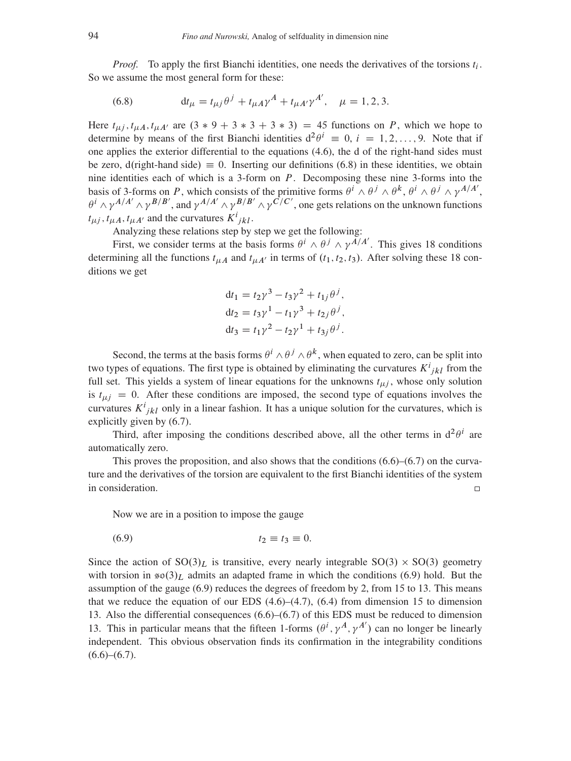*Proof.* To apply the first Bianchi identities, one needs the derivatives of the torsions  $t_i$ . So we assume the most general form for these:

<span id="page-27-0"></span>(6.8) 
$$
\mathrm{d}t_{\mu} = t_{\mu j} \theta^{j} + t_{\mu A} \gamma^{A} + t_{\mu A'} \gamma^{A'}, \quad \mu = 1, 2, 3.
$$

Here  $t_{\mu j}$ ,  $t_{\mu A}$ ,  $t_{\mu A'}$  are  $(3 * 9 + 3 * 3 + 3 * 3) = 45$  functions on P, which we hope to determine by means of the first Bianchi identities  $d^2\theta^i \equiv 0, i = 1, 2, ..., 9$ . Note that if one applies the exterior differential to the equations [\(4.6\)](#page-16-0), the d of the right-hand sides must be zero,  $d$ (right-hand side)  $\equiv 0$ . Inserting our definitions [\(6.8\)](#page-27-0) in these identities, we obtain nine identities each of which is a 3-form on  $P$ . Decomposing these nine 3-forms into the basis of 3-forms on P, which consists of the primitive forms  $\theta^i \wedge \theta^j \wedge \theta^k$ ,  $\theta^i \wedge \theta^j \wedge \theta^j$ ,  $\theta^j \wedge \theta^j$  $\theta^i \wedge \gamma^{A/A'} \wedge \gamma^{B/B'}$ , and  $\gamma^{A/A'} \wedge \gamma^{B/B'} \wedge \gamma^{C/C'}$ , one gets relations on the unknown functions  $t_{\mu j}$ ,  $t_{\mu A}$ ,  $t_{\mu A'}$  and the curvatures  $K^{i}{}_{jkl}$ .

Analyzing these relations step by step we get the following:

First, we consider terms at the basis forms  $\theta^i \wedge \theta^j \wedge \gamma^{A/A'}$ . This gives 18 conditions determining all the functions  $t_{\mu A}$  and  $t_{\mu A'}$  in terms of  $(t_1, t_2, t_3)$ . After solving these 18 conditions we get

$$
dt_1 = t_2 \gamma^3 - t_3 \gamma^2 + t_{1j} \theta^j,
$$
  
\n
$$
dt_2 = t_3 \gamma^1 - t_1 \gamma^3 + t_{2j} \theta^j,
$$
  
\n
$$
dt_3 = t_1 \gamma^2 - t_2 \gamma^1 + t_{3j} \theta^j.
$$

Second, the terms at the basis forms  $\theta^i \wedge \theta^j \wedge \theta^k$ , when equated to zero, can be split into two types of equations. The first type is obtained by eliminating the curvatures  $K^{i}_{jkl}$  from the full set. This yields a system of linear equations for the unknowns  $t_{\mu j}$ , whose only solution is  $t_{\mu i} = 0$ . After these conditions are imposed, the second type of equations involves the curvatures  $K^{i}_{jkl}$  only in a linear fashion. It has a unique solution for the curvatures, which is explicitly given by [\(6.7\)](#page-26-0).

Third, after imposing the conditions described above, all the other terms in  $d^2\theta^i$  are automatically zero.

This proves the proposition, and also shows that the conditions  $(6.6)$ – $(6.7)$  on the curvature and the derivatives of the torsion are equivalent to the first Bianchi identities of the system in consideration.  $\Box$ 

<span id="page-27-1"></span>Now we are in a position to impose the gauge

$$
(6.9) \t\t t_2 \equiv t_3 \equiv 0.
$$

Since the action of  $SO(3)<sub>L</sub>$  is transitive, every nearly integrable  $SO(3) \times SO(3)$  geometry with torsion in  $\mathfrak{so}(3)<sub>L</sub>$  admits an adapted frame in which the conditions [\(6.9\)](#page-27-1) hold. But the assumption of the gauge [\(6.9\)](#page-27-1) reduces the degrees of freedom by 2, from 15 to 13. This means that we reduce the equation of our EDS  $(4.6)$ – $(4.7)$ ,  $(6.4)$  from dimension 15 to dimension 13. Also the differential consequences [\(6.6\)](#page-26-1)–[\(6.7\)](#page-26-0) of this EDS must be reduced to dimension 13. This in particular means that the fifteen 1-forms  $(\theta^i, \gamma^A, \gamma^{A'})$  can no longer be linearly independent. This obvious observation finds its confirmation in the integrability conditions  $(6.6)$ – $(6.7)$ .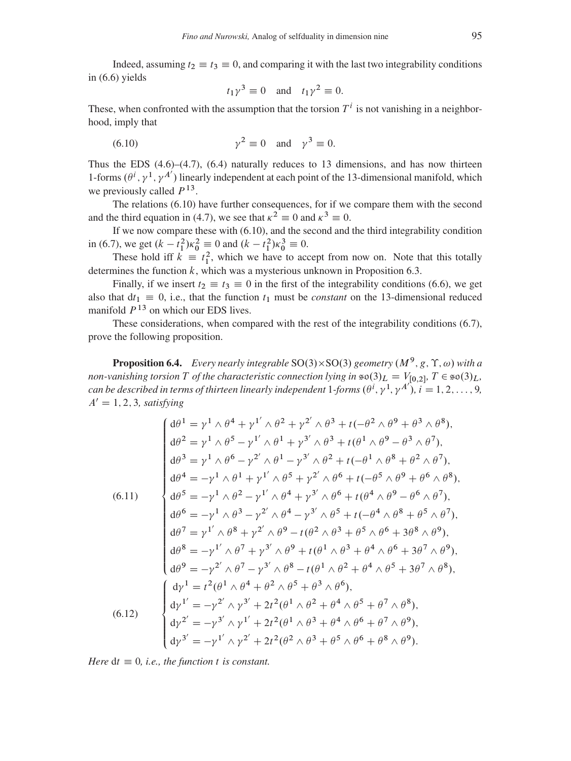Indeed, assuming  $t_2 \equiv t_3 \equiv 0$ , and comparing it with the last two integrability conditions in [\(6.6\)](#page-26-1) yields

<span id="page-28-0"></span>
$$
t_1\gamma^3 \equiv 0
$$
 and  $t_1\gamma^2 \equiv 0$ .

These, when confronted with the assumption that the torsion  $T<sup>i</sup>$  is not vanishing in a neighborhood, imply that

$$
(6.10) \t\t\t\t\t\gamma^2 \equiv 0 \t and \t\t\t\gamma^3 \equiv 0.
$$

Thus the EDS  $(4.6)$ – $(4.7)$ ,  $(6.4)$  naturally reduces to 13 dimensions, and has now thirteen 1-forms  $(\theta^i, \gamma^1, \gamma^{A'})$  linearly independent at each point of the 13-dimensional manifold, which we previously called  $P^{13}$ .

The relations [\(6.10\)](#page-28-0) have further consequences, for if we compare them with the second and the third equation in [\(4.7\)](#page-16-1), we see that  $\kappa^2 \equiv 0$  and  $\kappa^3 \equiv 0$ .

If we now compare these with [\(6.10\)](#page-28-0), and the second and the third integrability condition in [\(6.7\)](#page-26-0), we get  $(k - t_1^2)\kappa_0^2 \equiv 0$  and  $(k - t_1^2)\kappa_0^3 \equiv 0$ .

These hold iff  $k \equiv t_1^2$ , which we have to accept from now on. Note that this totally determines the function  $k$ , which was a mysterious unknown in Proposition [6.3.](#page-26-2)

Finally, if we insert  $t_2 \equiv t_3 \equiv 0$  in the first of the integrability conditions [\(6.6\)](#page-26-1), we get also that  $dt_1 \equiv 0$ , i.e., that the function  $t_1$  must be *constant* on the 13-dimensional reduced manifold  $P<sup>13</sup>$  on which our EDS lives.

These considerations, when compared with the rest of the integrability conditions [\(6.7\)](#page-26-0), prove the following proposition.

**Proposition 6.4.** Every nearly integrable  $SO(3) \times SO(3)$  geometry  $(M^9, g, \Upsilon, \omega)$  with a *non-vanishing torsion* T *of the characteristic connection lying in*  $\epsilon \in (3)_L = V_{[0,2]}$ ,  $T \in \epsilon \in (3)_L$ , can be described in terms of thirteen linearly independent -forms  $(\theta^i, \gamma^1, \gamma^{A'})$ ,  $i = 1, 2, ..., 9$ ,  $A' = 1, 2, 3$ *, satisfying* 

<span id="page-28-1"></span>
$$
\begin{cases}\nd\theta^{1} = \gamma^{1} \wedge \theta^{4} + \gamma^{1'} \wedge \theta^{2} + \gamma^{2'} \wedge \theta^{3} + t(-\theta^{2} \wedge \theta^{9} + \theta^{3} \wedge \theta^{8}), \\
d\theta^{2} = \gamma^{1} \wedge \theta^{5} - \gamma^{1'} \wedge \theta^{1} + \gamma^{3'} \wedge \theta^{3} + t(\theta^{1} \wedge \theta^{9} - \theta^{3} \wedge \theta^{7}), \\
d\theta^{3} = \gamma^{1} \wedge \theta^{6} - \gamma^{2'} \wedge \theta^{1} - \gamma^{3'} \wedge \theta^{2} + t(-\theta^{1} \wedge \theta^{8} + \theta^{2} \wedge \theta^{7}), \\
d\theta^{4} = -\gamma^{1} \wedge \theta^{1} + \gamma^{1'} \wedge \theta^{5} + \gamma^{2'} \wedge \theta^{6} + t(-\theta^{5} \wedge \theta^{9} + \theta^{6} \wedge \theta^{8}), \\
d\theta^{5} = -\gamma^{1} \wedge \theta^{2} - \gamma^{1'} \wedge \theta^{4} + \gamma^{3'} \wedge \theta^{6} + t(\theta^{4} \wedge \theta^{9} - \theta^{6} \wedge \theta^{7}), \\
d\theta^{6} = -\gamma^{1} \wedge \theta^{3} - \gamma^{2'} \wedge \theta^{4} - \gamma^{3'} \wedge \theta^{5} + t(-\theta^{4} \wedge \theta^{8} + \theta^{5} \wedge \theta^{7}), \\
d\theta^{7} = \gamma^{1'} \wedge \theta^{8} + \gamma^{2'} \wedge \theta^{9} - t(\theta^{2} \wedge \theta^{3} + \theta^{5} \wedge \theta^{6} + 3\theta^{8} \wedge \theta^{9}), \\
d\theta^{8} = -\gamma^{1'} \wedge \theta^{7} + \gamma^{3'} \wedge \theta^{9} + t(\theta^{1} \wedge \theta^{3} + \theta^{4} \wedge \theta^{6} + 3\theta^{7} \wedge \theta^{9}), \\
d\theta^{9} = -\gamma^{2'} \wedge \theta^{7} - \gamma^{3'} \wedge \theta^{8} - t(\theta^{1} \wedge \theta^{2} + \theta^{4} \wedge \theta^{5} + 3\theta^{7} \wedge \theta^{8}), \\
d\gamma^{1'} = -\gamma^{2'} \wedge \gamma^{3'} + 2t^{2}(\theta^{1} \wedge \theta
$$

<span id="page-28-2"></span>*Here*  $dt \equiv 0$ *, i.e., the function t is constant.*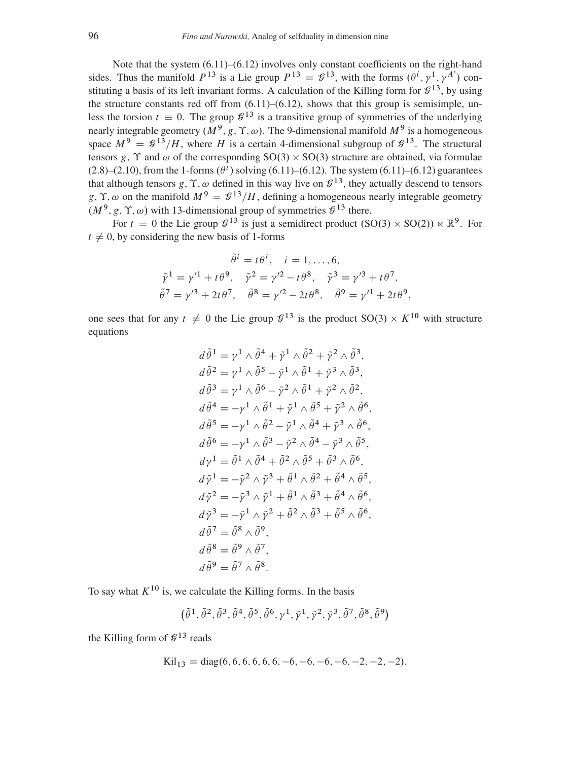Note that the system [\(6.11\)](#page-28-1)–[\(6.12\)](#page-28-2) involves only constant coefficients on the right-hand sides. Thus the manifold  $P^{13}$  is a Lie group  $P^{13} = \mathcal{L}^{13}$ , with the forms  $(\theta^i, \gamma^1, \gamma^{A'})$  constituting a basis of its left invariant forms. A calculation of the Killing form for  $\mathcal{G}^{13}$ , by using the structure constants red off from  $(6.11)$ – $(6.12)$ , shows that this group is semisimple, unless the torsion  $t \equiv 0$ . The group  $\mathcal{G}^{13}$  is a transitive group of symmetries of the underlying nearly integrable geometry  $(M^9, g, \Upsilon, \omega)$ . The 9-dimensional manifold  $M^9$  is a homogeneous space  $M^9 = \mathcal{G}^{13}/H$ , where H is a certain 4-dimensional subgroup of  $\mathcal{G}^{13}$ . The structural tensors g,  $\Upsilon$  and  $\omega$  of the corresponding  $SO(3) \times SO(3)$  structure are obtained, via formulae  $(2.8)$ – $(2.10)$ , from the 1-forms  $(\theta^i)$  solving [\(6.11\)](#page-28-1)–[\(6.12\)](#page-28-2). The system (6.11)–(6.12) guarantees that although tensors  $g, \Upsilon, \omega$  defined in this way live on  $\mathcal{L}^{13}$ , they actually descend to tensors g,  $\Upsilon$ ,  $\omega$  on the manifold  $M^9 = \mathcal{G}^{13}/H$ , defining a homogeneous nearly integrable geometry  $(M^9, g, \Upsilon, \omega)$  with 13-dimensional group of symmetries  $\mathcal{G}^{13}$  there.

For  $t = 0$  the Lie group  $\mathcal{G}^{13}$  is just a semidirect product  $(SO(3) \times SO(2)) \ltimes \mathbb{R}^9$ . For  $t \neq 0$ , by considering the new basis of 1-forms

$$
\tilde{\theta}^{i} = t\theta^{i}, \quad i = 1, ..., 6,
$$
  
\n
$$
\tilde{\gamma}^{1} = \gamma'^{1} + t\theta^{9}, \quad \tilde{\gamma}^{2} = \gamma'^{2} - t\theta^{8}, \quad \tilde{\gamma}^{3} = \gamma'^{3} + t\theta^{7},
$$
  
\n
$$
\tilde{\theta}^{7} = \gamma'^{3} + 2t\theta^{7}, \quad \tilde{\theta}^{8} = \gamma'^{2} - 2t\theta^{8}, \quad \tilde{\theta}^{9} = \gamma'^{1} + 2t\theta^{9},
$$

one sees that for any  $t \neq 0$  the Lie group  $\mathcal{G}^{13}$  is the product  $SO(3) \times K^{10}$  with structure equations

$$
d\tilde{\theta}^{1} = \gamma^{1} \wedge \tilde{\theta}^{4} + \tilde{\gamma}^{1} \wedge \tilde{\theta}^{2} + \tilde{\gamma}^{2} \wedge \tilde{\theta}^{3},
$$
  
\n
$$
d\tilde{\theta}^{2} = \gamma^{1} \wedge \tilde{\theta}^{5} - \tilde{\gamma}^{1} \wedge \tilde{\theta}^{1} + \tilde{\gamma}^{3} \wedge \tilde{\theta}^{3},
$$
  
\n
$$
d\tilde{\theta}^{3} = \gamma^{1} \wedge \tilde{\theta}^{6} - \tilde{\gamma}^{2} \wedge \tilde{\theta}^{1} + \tilde{\gamma}^{2} \wedge \tilde{\theta}^{2},
$$
  
\n
$$
d\tilde{\theta}^{4} = -\gamma^{1} \wedge \tilde{\theta}^{1} + \tilde{\gamma}^{1} \wedge \tilde{\theta}^{5} + \tilde{\gamma}^{2} \wedge \tilde{\theta}^{6},
$$
  
\n
$$
d\tilde{\theta}^{5} = -\gamma^{1} \wedge \tilde{\theta}^{2} - \tilde{\gamma}^{1} \wedge \tilde{\theta}^{4} + \tilde{\gamma}^{3} \wedge \tilde{\theta}^{6},
$$
  
\n
$$
d\tilde{\theta}^{6} = -\gamma^{1} \wedge \tilde{\theta}^{3} - \tilde{\gamma}^{2} \wedge \tilde{\theta}^{4} - \tilde{\gamma}^{3} \wedge \tilde{\theta}^{5},
$$
  
\n
$$
d\gamma^{1} = \tilde{\theta}^{1} \wedge \tilde{\theta}^{4} + \tilde{\theta}^{2} \wedge \tilde{\theta}^{5} + \tilde{\theta}^{3} \wedge \tilde{\theta}^{6},
$$
  
\n
$$
d\tilde{\gamma}^{1} = -\tilde{\gamma}^{2} \wedge \tilde{\gamma}^{3} + \tilde{\theta}^{1} \wedge \tilde{\theta}^{2} + \tilde{\theta}^{4} \wedge \tilde{\theta}^{5},
$$
  
\n
$$
d\tilde{\gamma}^{2} = -\tilde{\gamma}^{3} \wedge \tilde{\gamma}^{1} + \tilde{\theta}^{1} \wedge \tilde{\theta}^{3} + \tilde{\theta}^{4} \wedge \tilde{\theta}^{6},
$$

To say what  $K^{10}$  is, we calculate the Killing forms. In the basis

$$
\big(\tilde{\theta}^1,\tilde{\theta}^2,\tilde{\theta}^3,\tilde{\theta}^4,\tilde{\theta}^5,\tilde{\theta}^6,\gamma^1,\tilde{\gamma}^1,\tilde{\gamma}^2,\tilde{\gamma}^3,\tilde{\theta}^7,\tilde{\theta}^8,\tilde{\theta}^9\big)
$$

the Killing form of  $\mathcal{G}^{13}$  reads

$$
Kil_{13} = diag(6, 6, 6, 6, 6, 6, -6, -6, -6, -6, -2, -2, -2).
$$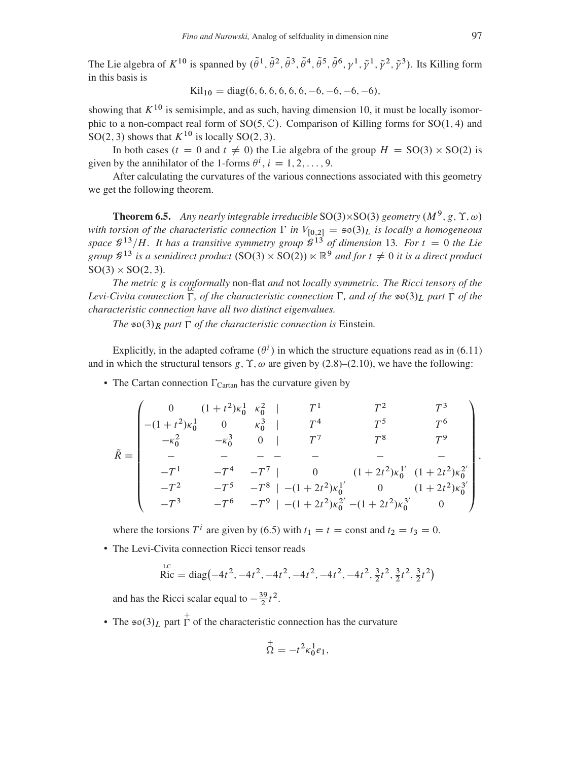The Lie algebra of  $K^{10}$  is spanned by  $(\tilde{\theta}^1, \tilde{\theta}^2, \tilde{\theta}^3, \tilde{\theta}^4, \tilde{\theta}^5, \tilde{\theta}^6, \gamma^1, \tilde{\gamma}^1, \tilde{\gamma}^2, \tilde{\gamma}^3)$ . Its Killing form in this basis is

$$
Kil_{10} = diag(6, 6, 6, 6, 6, 6, -6, -6, -6, -6),
$$

showing that  $K^{10}$  is semisimple, and as such, having dimension 10, it must be locally isomorphic to a non-compact real form of  $SO(5, \mathbb{C})$ . Comparison of Killing forms for  $SO(1, 4)$  and SO(2, 3) shows that  $K^{10}$  is locally SO(2, 3).

In both cases ( $t = 0$  and  $t \neq 0$ ) the Lie algebra of the group  $H = SO(3) \times SO(2)$  is given by the annihilator of the 1-forms  $\theta^i$ ,  $i = 1, 2, ..., 9$ .

After calculating the curvatures of the various connections associated with this geometry we get the following theorem.

<span id="page-30-0"></span>**Theorem 6.5.** Any nearly integrable irreducible  $SO(3)\times SO(3)$  geometry  $(M^9, g, \Upsilon, \omega)$ *with torsion of the characteristic connection*  $\Gamma$  *in*  $V_{[0,2]} = \infty(3)_L$  *is locally a homogeneous* space  $\mathcal{G}^{13}/H$ . It has a transitive symmetry group  $\mathcal{G}^{13}$  of dimension 13. For  $t = 0$  the Lie group  $\mathcal{G}^{13}$  is a semidirect product  $(SO(3) \times SO(2)) \ltimes \mathbb{R}^9$  and for  $t \neq 0$  it is a direct product  $SO(3) \times SO(2, 3)$ *.* 

The metric g is conformally non-flat and not *locally symmetric*. The Ricci tensors of the Levi-Civita connection  $\Gamma$ , of the characteristic connection  $\Gamma$ , and of the  $\infty(3)_L$  part  $\Gamma$  of the *characteristic connection have all two distinct eigenvalues.*

*The*  $\infty$  (3)  $_R$  *part*  $\overline{\Gamma}$  *of the characteristic connection is Einstein.* 

Explicitly, in the adapted coframe  $(\theta^i)$  in which the structure equations read as in [\(6.11\)](#page-28-1) and in which the structural tensors g,  $\Upsilon$ ,  $\omega$  are given by [\(2.8\)](#page-5-5)–[\(2.10\)](#page-5-6), we have the following:

• The Cartan connection  $\Gamma_{\text{Cartan}}$  has the curvature given by

$$
\tilde{R} = \begin{pmatrix}\n0 & (1+t^2)\kappa_0^1 & \kappa_0^2 & | & T^1 & T^2 & T^3 \\
-(1+t^2)\kappa_0^1 & 0 & \kappa_0^3 & | & T^4 & T^5 & T^6 \\
-\kappa_0^2 & -\kappa_0^3 & 0 & | & T^7 & T^8 & T^9 \\
- & - & - & - & - & - & - & - \\
-T^1 & -T^4 & -T^7 & | & 0 & (1+2t^2)\kappa_0^{1'} & (1+2t^2)\kappa_0^{2'} \\
-T^2 & -T^5 & -T^8 & | & -(1+2t^2)\kappa_0^{1'} & 0 & (1+2t^2)\kappa_0^{3'} \\
-T^3 & -T^6 & -T^9 & | & -(1+2t^2)\kappa_0^{2'} & -(1+2t^2)\kappa_0^{3'} & 0\n\end{pmatrix},
$$

where the torsions  $T^i$  are given by [\(6.5\)](#page-25-1) with  $t_1 = t =$  const and  $t_2 = t_3 = 0$ .

• The Levi-Civita connection Ricci tensor reads

$$
\text{Ric} = \text{diag}\left(-4t^2, -4t^2, -4t^2, -4t^2, -4t^2, -4t^2, \frac{3}{2}t^2, \frac{3}{2}t^2, \frac{3}{2}t^2\right)
$$

and has the Ricci scalar equal to  $-\frac{39}{2}$  $\frac{39}{2}t^2$ .

• The  $\neq \infty(3)_L$  part  $\Gamma$  of the characteristic connection has the curvature

$$
\stackrel{+}{\Omega}=-t^2\kappa_0^1e_1,
$$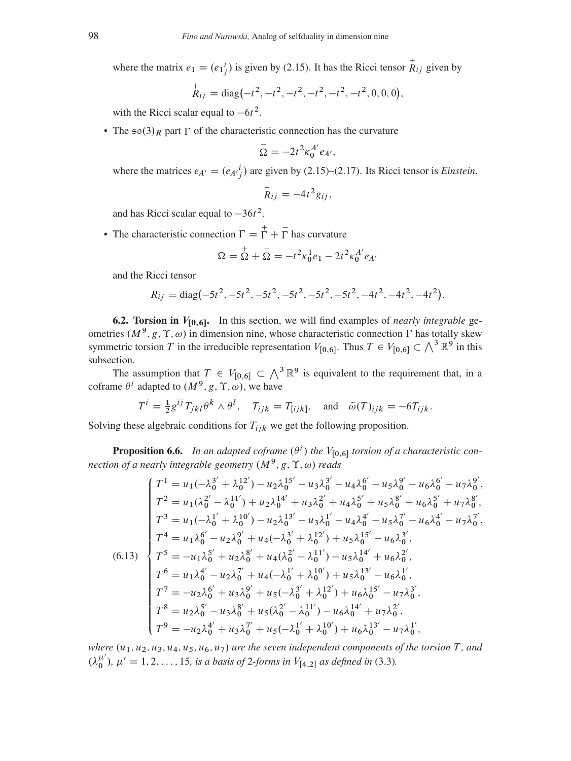where the matrix  $e_1 = (e_1^i_j)$  is given by [\(2.15\)](#page-5-4). It has the Ricci tensor  $\stackrel{+}{R}_{ij}$  given by

$$
\stackrel{+}{R}_{ij} = \text{diag}\left(-t^2, -t^2, -t^2, -t^2, -t^2, -t^2, 0, 0, 0\right),
$$

with the Ricci scalar equal to  $-6t^2$ .

• The  $\neq \infty(3)_R$  part  $\overline{\Gamma}$  of the characteristic connection has the curvature

$$
\bar{\Omega} = -2t^2 \kappa_0^{A'} e_{A'},
$$

where the matrices  $e_{A'} = (e_{A'}^i)$  are given by [\(2.15\)](#page-5-4)–[\(2.17\)](#page-6-1). Its Ricci tensor is *Einstein*,

$$
\bar{R}_{ij}=-4t^2g_{ij},
$$

and has Ricci scalar equal to  $-36t^2$ .

• The characteristic connection  $\Gamma = \Gamma + \overline{\Gamma}$  has curvature

$$
\Omega = \stackrel{+}{\Omega} + \stackrel{-}{\Omega} = -t^2 \kappa_0^1 e_1 - 2t^2 \kappa_0^{A'} e_{A'}
$$

and the Ricci tensor

$$
R_{ij} = \text{diag}\left(-5t^2, -5t^2, -5t^2, -5t^2, -5t^2, -5t^2, -4t^2, -4t^2, -4t^2\right).
$$

<span id="page-31-2"></span>**6.2. Torsion in**  $V_{[0,6]}$ . In this section, we will find examples of *nearly integrable* geometries  $(M^9, g, \Upsilon, \omega)$  in dimension nine, whose characteristic connection  $\Gamma$  has totally skew symmetric torsion T in the irreducible representation  $V_{[0,6]}$ . Thus  $T \in V_{[0,6]} \subset \bigwedge^3 \mathbb{R}^9$  in this subsection.

The assumption that  $T \in V_{[0,6]} \subset \Lambda^3 \mathbb{R}^9$  is equivalent to the requirement that, in a coframe  $\theta^i$  adapted to  $(M^9, g, \Upsilon, \omega)$ , we have

$$
T^i = \frac{1}{2} g^{ij} T_{jkl} \theta^k \wedge \theta^l, \quad T_{ijk} = T_{[ijk]}, \quad \text{and} \quad \tilde{\omega}(T)_{ijk} = -6T_{ijk}.
$$

Solving these algebraic conditions for  $T_{ijk}$  we get the following proposition.

<span id="page-31-1"></span>**Proposition 6.6.** In an adapted coframe  $(\theta^i)$  the  $V_{[0,6]}$  torsion of a characteristic connection of a nearly integrable geometry  $(M^9, g, \Upsilon, \omega)$  reads

<span id="page-31-0"></span>
$$
\begin{cases}\nT^1 = u_1(-\lambda_0^{3'} + \lambda_0^{12'}) - u_2\lambda_0^{15'} - u_3\lambda_0^{3'} - u_4\lambda_0^{6'} - u_5\lambda_0^{9'} - u_6\lambda_0^{6'} - u_7\lambda_0^{9'}, \\
T^2 = u_1(\lambda_0^{2'} - \lambda_0^{11'}) + u_2\lambda_0^{14'} + u_3\lambda_0^{2'} + u_4\lambda_0^{5'} + u_5\lambda_0^{8'} + u_6\lambda_0^{5'} + u_7\lambda_0^{8'}, \\
T^3 = u_1(-\lambda_0^{1'} + \lambda_0^{10'}) - u_2\lambda_0^{13'} - u_3\lambda_0^{1'} - u_4\lambda_0^{4'} - u_5\lambda_0^{7'} - u_6\lambda_0^{4'} - u_7\lambda_0^{7'}, \\
T^4 = u_1\lambda_0^{6'} - u_2\lambda_0^{9'} + u_4(-\lambda_0^{3'} + \lambda_0^{12'}) + u_5\lambda_0^{15'} - u_6\lambda_0^{3'}, \\
T^5 = -u_1\lambda_0^{5'} + u_2\lambda_0^{8'} + u_4(\lambda_0^{2'} - \lambda_0^{11'}) - u_5\lambda_0^{14'} + u_6\lambda_0^{2'}, \\
T^6 = u_1\lambda_0^{4'} - u_2\lambda_0^{7'} + u_4(-\lambda_0^{1'} + \lambda_0^{10'}) + u_5\lambda_0^{13'} - u_6\lambda_0^{1'}', \\
T^7 = -u_2\lambda_0^{6'} + u_3\lambda_0^{9'} + u_5(-\lambda_0^{3'} + \lambda_0^{12'}) + u_6\lambda_0^{15'} - u_7\lambda_0^{3'}, \\
T^8 = u_2\lambda_0^{5'} - u_3\lambda_0^{8'} + u_5(\lambda_0^{2'} - \lambda_0^{11'}) - u_6\lambda_0^{14'} + u_7\lambda_0^{2'}', \\
T^9 = -u_2\lambda_0^{4'} + u_3\lambda_0^{7'} + u_5(-\lambda_0^{1'} + \lambda_0^{10'}) + u_6\lambda_0^{13'} - u_7\lambda_0^{1'}.\n\end{cases}
$$

*where*  $(u_1, u_2, u_3, u_4, u_5, u_6, u_7)$  *are the seven independent components of the torsion* T, and  $(\lambda_0^{\mu'})$ ,  $\mu' = 1, 2, ..., 15$ , is a basis of 2-forms in  $V_{[4,2]}$  as defined in [\(3.3\)](#page-11-1).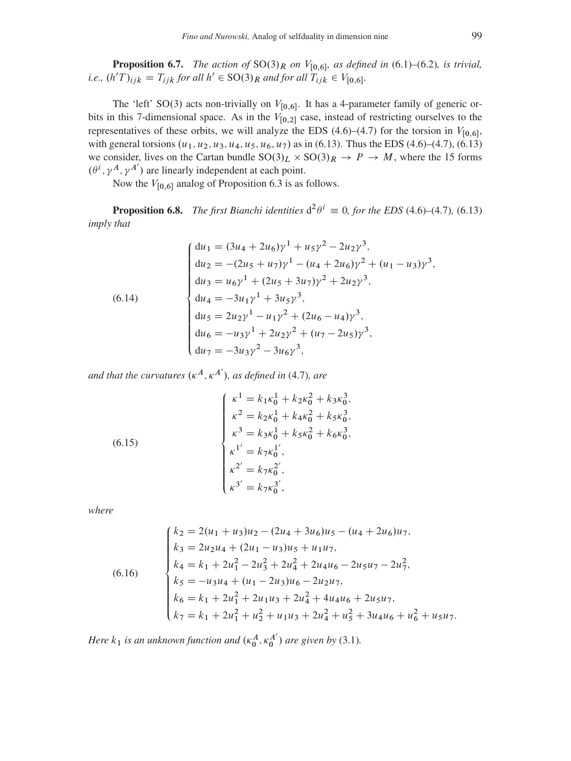**Proposition 6.7.** The action of  $SO(3)_R$  on  $V_{[0,6]}$ , as defined in (6.1)–(6.2), is trivial, *i.e.*,  $(h'T)_{ijk} = T_{ijk}$  for all  $h' \in SO(3)_R$  and for all  $T_{ijk} \in V_{[0,6]}$ .

The 'left' SO(3) acts non-trivially on  $V_{[0,6]}$ . It has a 4-parameter family of generic orbits in this 7-dimensional space. As in the  $V_{[0,2]}$  case, instead of restricting ourselves to the representatives of these orbits, we will analyze the EDS (4.6)–(4.7) for the torsion in  $V_{[0,6]}$ , with general torsions  $(u_1, u_2, u_3, u_4, u_5, u_6, u_7)$  as in (6.13). Thus the EDS (4.6)–(4.7), (6.13) we consider, lives on the Cartan bundle  $SO(3)<sub>L</sub> \times SO(3)<sub>R</sub> \rightarrow P \rightarrow M$ , where the 15 forms  $(\theta^i, \gamma^A, \gamma^{A'})$  are linearly independent at each point.

Now the  $V_{[0,6]}$  analog of Proposition 6.3 is as follows.

**Proposition 6.8.** The first Bianchi identities  $d^2\theta^i \equiv 0$ , for the EDS (4.6)–(4.7), (6.13) *imply that* 

<span id="page-32-2"></span>(6.14)  
\n
$$
\begin{cases}\n du_1 = (3u_4 + 2u_6)\gamma^1 + u_5\gamma^2 - 2u_2\gamma^3, \\
 du_2 = -(2u_5 + u_7)\gamma^1 - (u_4 + 2u_6)\gamma^2 + (u_1 - u_3)\gamma^3, \\
 du_3 = u_6\gamma^1 + (2u_5 + 3u_7)\gamma^2 + 2u_2\gamma^3, \\
 du_4 = -3u_1\gamma^1 + 3u_5\gamma^3, \\
 du_5 = 2u_2\gamma^1 - u_1\gamma^2 + (2u_6 - u_4)\gamma^3, \\
 du_6 = -u_3\gamma^1 + 2u_2\gamma^2 + (u_7 - 2u_5)\gamma^3, \\
 du_7 = -3u_3\gamma^2 - 3u_6\gamma^3,\n\end{cases}
$$

and that the curvatures  $(\kappa^A, \kappa^{A'})$ , as defined in (4.7), are

<span id="page-32-0"></span>(6.15)  

$$
\begin{cases}\n\kappa^1 = k_1 \kappa_0^1 + k_2 \kappa_0^2 + k_3 \kappa_0^3, \\
\kappa^2 = k_2 \kappa_0^1 + k_4 \kappa_0^2 + k_5 \kappa_0^3, \\
\kappa^3 = k_3 \kappa_0^1 + k_5 \kappa_0^2 + k_6 \kappa_0^3, \\
\kappa^1' = k_7 \kappa_0^{1'}, \\
\kappa^2' = k_7 \kappa_0^{2'}, \\
\kappa^3' = k_7 \kappa_0^{3'},\n\end{cases}
$$

where

<span id="page-32-1"></span>(6.16)  
\n
$$
\begin{cases}\nk_2 = 2(u_1 + u_3)u_2 - (2u_4 + 3u_6)u_5 - (u_4 + 2u_6)u_7, \\
k_3 = 2u_2u_4 + (2u_1 - u_3)u_5 + u_1u_7, \\
k_4 = k_1 + 2u_1^2 - 2u_3^2 + 2u_4^2 + 2u_4u_6 - 2u_5u_7 - 2u_7^2, \\
k_5 = -u_3u_4 + (u_1 - 2u_3)u_6 - 2u_2u_7, \\
k_6 = k_1 + 2u_1^2 + 2u_1u_3 + 2u_4^2 + 4u_4u_6 + 2u_5u_7, \\
k_7 = k_1 + 2u_1^2 + u_2^2 + u_1u_3 + 2u_4^2 + u_5^2 + 3u_4u_6 + u_6^2 + u_5u_7.\n\end{cases}
$$

Here  $k_1$  is an unknown function and  $(\kappa_0^A, \kappa_0^{A'})$  are given by (3.1).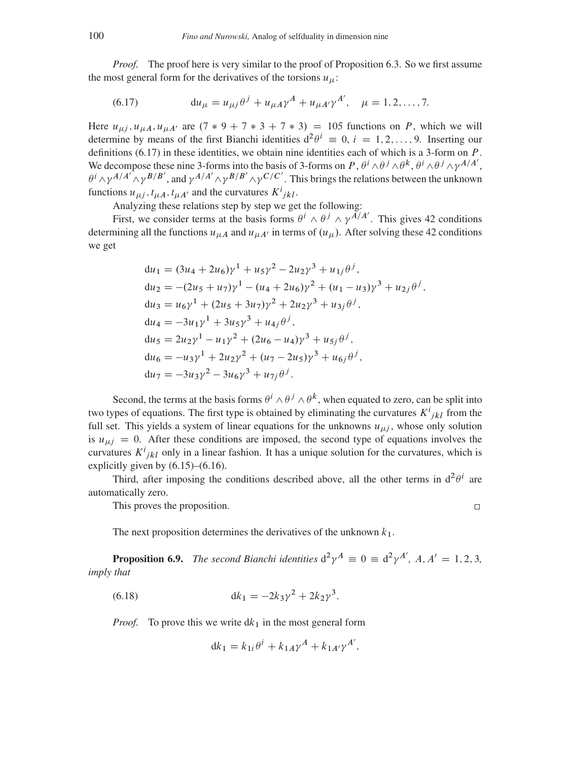*Proof.* The proof here is very similar to the proof of Proposition [6.3.](#page-26-2) So we first assume the most general form for the derivatives of the torsions  $u_{\mu}$ :

<span id="page-33-0"></span>(6.17) 
$$
\mathrm{d}u_{\mu} = u_{\mu j} \theta^{j} + u_{\mu A} \gamma^{A} + u_{\mu A'} \gamma^{A'}, \quad \mu = 1, 2, ..., 7.
$$

Here  $u_{\mu i}$ ,  $u_{\mu A}$ ,  $u_{\mu A'}$  are  $(7 * 9 + 7 * 3 + 7 * 3) = 105$  functions on P, which we will determine by means of the first Bianchi identities  $d^2\theta^i \equiv 0, i = 1, 2, ..., 9$ . Inserting our definitions [\(6.17\)](#page-33-0) in these identities, we obtain nine identities each of which is a 3-form on P. We decompose these nine 3-forms into the basis of 3-forms on P,  $\theta^i \wedge \theta^j \wedge \theta^k$ ,  $\theta^i \wedge \theta^j \wedge \gamma^{A/A'}$ ,  $\theta^i \wedge \gamma^{A/A'} \wedge \gamma^{B/B'}$ , and  $\gamma^{A/A'} \wedge \gamma^{B/B'} \wedge \gamma^{C/C'}$ . This brings the relations between the unknown functions  $u_{\mu j}$ ,  $t_{\mu A}$ ,  $t_{\mu A'}$  and the curvatures  $K^{i}{}_{jkl}$ .

Analyzing these relations step by step we get the following:

First, we consider terms at the basis forms  $\theta^i \wedge \theta^j \wedge \gamma^{A/A'}$ . This gives 42 conditions determining all the functions  $u_{\mu A}$  and  $u_{\mu A'}$  in terms of  $(u_{\mu})$ . After solving these 42 conditions we get

$$
du_1 = (3u_4 + 2u_6)\gamma^1 + u_5\gamma^2 - 2u_2\gamma^3 + u_{1j}\theta^j,
$$
  
\n
$$
du_2 = -(2u_5 + u_7)\gamma^1 - (u_4 + 2u_6)\gamma^2 + (u_1 - u_3)\gamma^3 + u_{2j}\theta^j,
$$
  
\n
$$
du_3 = u_6\gamma^1 + (2u_5 + 3u_7)\gamma^2 + 2u_2\gamma^3 + u_{3j}\theta^j,
$$
  
\n
$$
du_4 = -3u_1\gamma^1 + 3u_5\gamma^3 + u_{4j}\theta^j,
$$
  
\n
$$
du_5 = 2u_2\gamma^1 - u_1\gamma^2 + (2u_6 - u_4)\gamma^3 + u_{5j}\theta^j,
$$
  
\n
$$
du_6 = -u_3\gamma^1 + 2u_2\gamma^2 + (u_7 - 2u_5)\gamma^3 + u_{6j}\theta^j,
$$
  
\n
$$
du_7 = -3u_3\gamma^2 - 3u_6\gamma^3 + u_{7j}\theta^j.
$$

Second, the terms at the basis forms  $\theta^i \wedge \theta^j \wedge \theta^k$ , when equated to zero, can be split into two types of equations. The first type is obtained by eliminating the curvatures  $K^{i}_{jkl}$  from the full set. This yields a system of linear equations for the unknowns  $u_{\mu i}$ , whose only solution is  $u_{\mu i} = 0$ . After these conditions are imposed, the second type of equations involves the curvatures  $K^{i}_{jkl}$  only in a linear fashion. It has a unique solution for the curvatures, which is explicitly given by  $(6.15)$ – $(6.16)$ .

Third, after imposing the conditions described above, all the other terms in  $d^2\theta^i$  are automatically zero.

This proves the proposition.

 $\Box$ 

The next proposition determines the derivatives of the unknown  $k_1$ .

**Proposition 6.9.** The second Bianchi identities  $d^2\gamma^A \equiv 0 \equiv d^2\gamma^{A'}$ , A, A' = 1, 2, 3, *imply that*

(6.18) 
$$
dk_1 = -2k_3\gamma^2 + 2k_2\gamma^3.
$$

*Proof.* To prove this we write  $dk_1$  in the most general form

<span id="page-33-1"></span>
$$
dk_1 = k_{1i} \theta^i + k_{1A} \gamma^A + k_{1A'} \gamma^{A'},
$$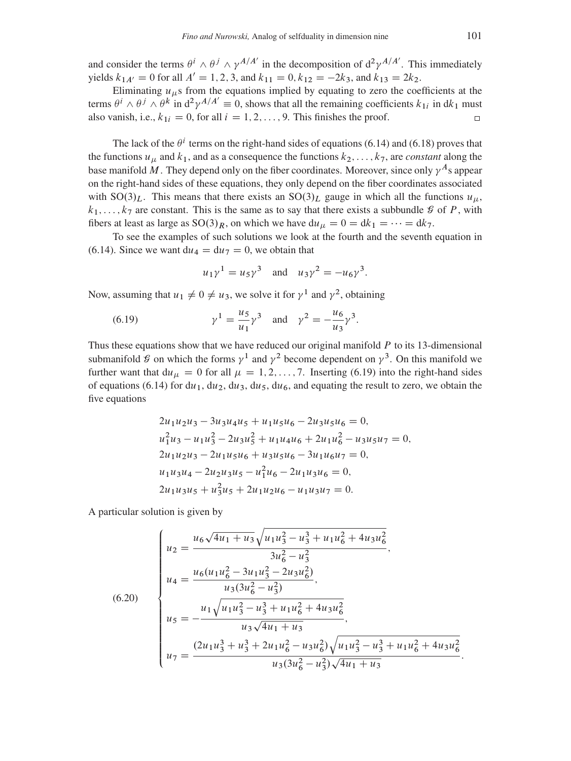and consider the terms  $\theta^i \wedge \theta^j \wedge \gamma^{A/A'}$  in the decomposition of  $d^2\gamma^{A/A'}$ . This immediately yields  $k_{1A'} = 0$  for all  $A' = 1, 2, 3$ , and  $k_{11} = 0$ ,  $k_{12} = -2k_3$ , and  $k_{13} = 2k_2$ .

Eliminating  $u_{\mu}$ s from the equations implied by equating to zero the coefficients at the terms  $\theta^i \wedge \theta^j \wedge \theta^k$  in  $d^2\gamma^{A/A'} = 0$ , shows that all the remaining coefficients  $k_{1i}$  in dk<sub>1</sub> must also vanish, i.e.,  $k_{1i} = 0$ , for all  $i = 1, 2, ..., 9$ . This finishes the proof.  $\Box$ 

The lack of the  $\theta^i$  terms on the right-hand sides of equations [\(6.14\)](#page-32-2) and [\(6.18\)](#page-33-1) proves that the functions  $u_{\mu}$  and  $k_1$ , and as a consequence the functions  $k_2, \ldots, k_7$ , are *constant* along the base manifold M. They depend only on the fiber coordinates. Moreover, since only  $\gamma^A$ s appear on the right-hand sides of these equations, they only depend on the fiber coordinates associated with  $SO(3)<sub>L</sub>$ . This means that there exists an  $SO(3)<sub>L</sub>$  gauge in which all the functions  $u<sub>\mu</sub>$ ,  $k_1, \ldots, k_7$  are constant. This is the same as to say that there exists a subbundle  $\mathcal G$  of P, with fibers at least as large as  $SO(3)_R$ , on which we have  $du_{\mu} = 0 = dk_1 = \cdots = dk_7$ .

To see the examples of such solutions we look at the fourth and the seventh equation in [\(6.14\)](#page-32-2). Since we want  $du_4 = du_7 = 0$ , we obtain that

<span id="page-34-0"></span>
$$
u_1 \gamma^1 = u_5 \gamma^3
$$
 and  $u_3 \gamma^2 = -u_6 \gamma^3$ .

Now, assuming that  $u_1 \neq 0 \neq u_3$ , we solve it for  $\gamma^1$  and  $\gamma^2$ , obtaining

(6.19) 
$$
\gamma^1 = \frac{u_5}{u_1} \gamma^3
$$
 and  $\gamma^2 = -\frac{u_6}{u_3} \gamma^3$ .

Thus these equations show that we have reduced our original manifold  $P$  to its 13-dimensional submanifold  $\mathcal G$  on which the forms  $\gamma^1$  and  $\gamma^2$  become dependent on  $\gamma^3$ . On this manifold we further want that  $du_{\mu} = 0$  for all  $\mu = 1, 2, ..., 7$ . Inserting [\(6.19\)](#page-34-0) into the right-hand sides of equations [\(6.14\)](#page-32-2) for du<sub>1</sub>, du<sub>2</sub>, du<sub>3</sub>, du<sub>5</sub>, du<sub>6</sub>, and equating the result to zero, we obtain the five equations

$$
2u_1u_2u_3 - 3u_3u_4u_5 + u_1u_5u_6 - 2u_3u_5u_6 = 0,
$$
  
\n
$$
u_1^2u_3 - u_1u_3^2 - 2u_3u_5^2 + u_1u_4u_6 + 2u_1u_6^2 - u_3u_5u_7 = 0,
$$
  
\n
$$
2u_1u_2u_3 - 2u_1u_5u_6 + u_3u_5u_6 - 3u_1u_6u_7 = 0,
$$
  
\n
$$
u_1u_3u_4 - 2u_2u_3u_5 - u_1^2u_6 - 2u_1u_3u_6 = 0,
$$
  
\n
$$
2u_1u_3u_5 + u_3^2u_5 + 2u_1u_2u_6 - u_1u_3u_7 = 0.
$$

A particular solution is given by

<span id="page-34-1"></span>
$$
(6.20)
$$
\n
$$
\begin{cases}\nu_2 = \frac{u_6 \sqrt{4u_1 + u_3} \sqrt{u_1 u_3^2 - u_3^3 + u_1 u_6^2 + 4u_3 u_6^2}}{3u_6^2 - u_3^2}, \\
u_4 = \frac{u_6 (u_1 u_6^2 - 3u_1 u_3^2 - 2u_3 u_6^2)}{u_3 (3u_6^2 - u_3^2)}, \\
u_5 = -\frac{u_1 \sqrt{u_1 u_3^2 - u_3^3 + u_1 u_6^2 + 4u_3 u_6^2}}{u_3 \sqrt{4u_1 + u_3}}, \\
u_7 = \frac{(2u_1 u_3^3 + u_3^3 + 2u_1 u_6^2 - u_3 u_6^2) \sqrt{u_1 u_3^2 - u_3^3 + u_1 u_6^2 + 4u_3 u_6^2}}{u_3 (3u_6^2 - u_3^2) \sqrt{4u_1 + u_3}}\n\end{cases}
$$

: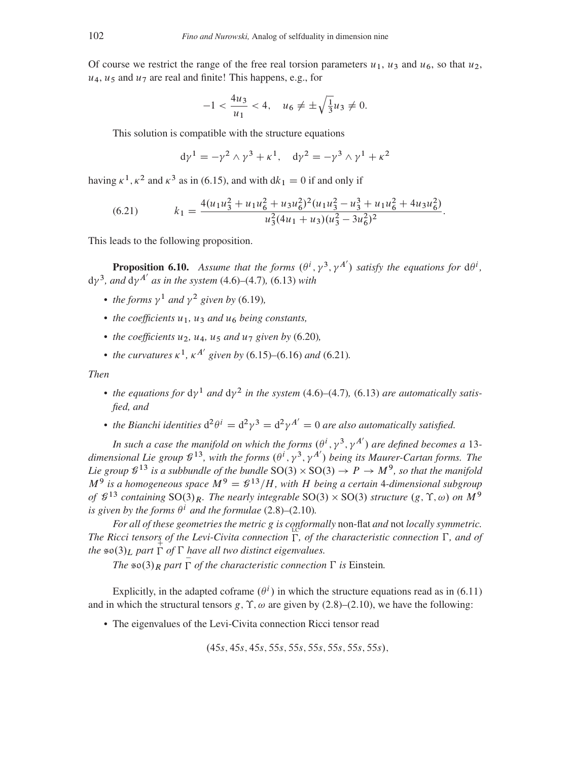Of course we restrict the range of the free real torsion parameters  $u_1$ ,  $u_3$  and  $u_6$ , so that  $u_2$ ,  $u_4$ ,  $u_5$  and  $u_7$  are real and finite! This happens, e.g., for

$$
-1 < \frac{4u_3}{u_1} < 4, \quad u_6 \neq \pm \sqrt{\frac{1}{3}}u_3 \neq 0.
$$

This solution is compatible with the structure equations

<span id="page-35-0"></span>
$$
d\gamma^{1} = -\gamma^{2} \wedge \gamma^{3} + \kappa^{1}, \quad d\gamma^{2} = -\gamma^{3} \wedge \gamma^{1} + \kappa^{2}
$$

having  $\kappa^1$ ,  $\kappa^2$  and  $\kappa^3$  as in [\(6.15\)](#page-32-0), and with  $dk_1 = 0$  if and only if

(6.21) 
$$
k_1 = \frac{4(u_1u_3^2 + u_1u_6^2 + u_3u_6^2)^2(u_1u_3^2 - u_3^3 + u_1u_6^2 + 4u_3u_6^2)}{u_3^2(4u_1 + u_3)(u_3^2 - 3u_6^2)^2}.
$$

This leads to the following proposition.

**Proposition 6.10.** Assume that the forms  $(\theta^i, \gamma^3, \gamma^{A'})$  satisfy the equations for  $d\theta^i$ ,  $d\gamma^3$ *, and*  $d\gamma^{A'}$  *as in the system* [\(4.6\)](#page-16-0)–[\(4.7\)](#page-16-1)*,* [\(6.13\)](#page-31-0) *with* 

- *the forms*  $\gamma^1$  *and*  $\gamma^2$  *given by* [\(6.19\)](#page-34-0)*,*
- *the coefficients*  $u_1$ ,  $u_3$  *and*  $u_6$  *being constants*,
- the coefficients  $u_2$ ,  $u_4$ ,  $u_5$  and  $u_7$  given by [\(6.20\)](#page-34-1),
- the curvatures  $\kappa^1$ ,  $\kappa^{A'}$  given by [\(6.15\)](#page-32-0)–[\(6.16\)](#page-32-1) and [\(6.21\)](#page-35-0)*.*

*Then*

- the equations for  $dy^1$  and  $dy^2$  in the system [\(4.6\)](#page-16-0)–[\(4.7\)](#page-16-1), [\(6.13\)](#page-31-0) are automatically satis*fied, and*
- the Bianchi identities  $d^2\theta^i = d^2\gamma^3 = d^2\gamma^{A'} = 0$  are also automatically satisfied.

*In such a case the manifold on which the forms*  $(\theta^i, \gamma^3, \gamma^{A'})$  are defined becomes a 13dimensional Lie group  $\mathcal{G}^{13}$ , with the forms  $(\theta^i, \gamma^3, \gamma^{A'})$  being its Maurer-Cartan forms. The Lie group  $\mathcal{G}^{13}$  is a subbundle of the bundle  $\text{SO}(3)\times \text{SO}(3)\to P\to M^9$ , so that the manifold  $M<sup>9</sup>$  is a homogeneous space  $M<sup>9</sup> = \mathcal{G}<sup>13</sup>/H$ , with H being a certain 4-dimensional subgroup *of*  $\mathcal{G}^{13}$  *containing* SO(3)<sub>R</sub>. The nearly integrable SO(3) × SO(3) structure (g,  $\Upsilon$ ,  $\omega$ ) on M<sup>9</sup> is given by the forms  $\theta^i$  and the formulae [\(2.8\)](#page-5-5)–[\(2.10\)](#page-5-6).

*For all of these geometries the metric* g *is conformally* non-flat *and* not *locally symmetric.* The Ricci tensors of the Levi-Civita connection  $\Gamma$ , of the characteristic connection  $\Gamma$ , and of *the*  $\mathfrak{so}(3)_L$  *part*  $\Gamma$  *of*  $\Gamma$  *have all two distinct eigenvalues.* 

*The*  $\mathfrak{so}(3)_R$  *part*  $\Gamma$  *of the characteristic connection*  $\Gamma$  *is* Einstein.

Explicitly, in the adapted coframe  $(\theta^i)$  in which the structure equations read as in [\(6.11\)](#page-28-1) and in which the structural tensors g,  $\Upsilon$ ,  $\omega$  are given by [\(2.8\)](#page-5-5)–[\(2.10\)](#page-5-6), we have the following:

The eigenvalues of the Levi-Civita connection Ricci tensor read

 $(45s, 45s, 45s, 55s, 55s, 55s, 55s, 55s)$ ,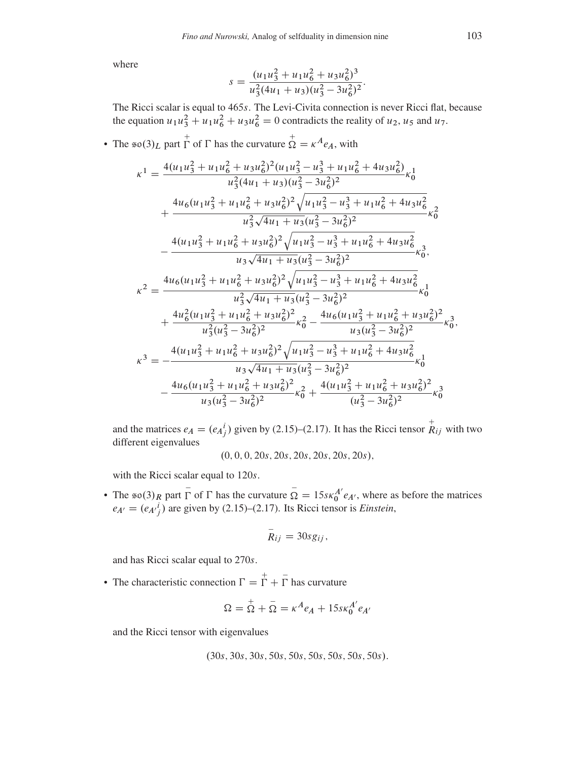where

$$
s = \frac{(u_1 u_3^2 + u_1 u_6^2 + u_3 u_6^2)^3}{u_3^2 (4u_1 + u_3)(u_3^2 - 3u_6^2)^2}.
$$

The Ricci scalar is equal to 465s. The Levi-Civita connection is never Ricci flat, because the equation  $u_1 u_3^2 + u_1 u_6^2 + u_3 u_6^2 = 0$  contradicts the reality of  $u_2$ ,  $u_5$  and  $u_7$ .

• The  $\sin(3)$  part  $\Gamma$  of  $\Gamma$  has the curvature  $\mathop{\Omega}^+ = \kappa^A e_A$ , with

$$
\kappa^{1} = \frac{4(u_{1}u_{3}^{2} + u_{1}u_{6}^{2} + u_{3}u_{6}^{2})^{2}(u_{1}u_{3}^{2} - u_{3}^{3} + u_{1}u_{6}^{2} + 4u_{3}u_{6}^{2})}{u_{3}^{2}(4u_{1} + u_{3})(u_{3}^{2} - 3u_{6}^{2})^{2}} \kappa_{0}^{1} \n+ \frac{4u_{6}(u_{1}u_{3}^{2} + u_{1}u_{6}^{2} + u_{3}u_{6}^{2})^{2}\sqrt{u_{1}u_{3}^{2} - u_{3}^{3} + u_{1}u_{6}^{2} + 4u_{3}u_{6}^{2}}}{u_{3}^{2}\sqrt{4u_{1} + u_{3}(u_{3}^{2} - 3u_{6}^{2})^{2}} \kappa_{0}^{2} \n- \frac{4(u_{1}u_{3}^{2} + u_{1}u_{6}^{2} + u_{3}u_{6}^{2})^{2}\sqrt{u_{1}u_{3}^{2} - u_{3}^{3} + u_{1}u_{6}^{2} + 4u_{3}u_{6}^{2}}}{u_{3}\sqrt{4u_{1} + u_{3}(u_{3}^{2} - 3u_{6}^{2})^{2}} \kappa_{0}^{3}, \n\kappa^{2} = \frac{4u_{6}(u_{1}u_{3}^{2} + u_{1}u_{6}^{2} + u_{3}u_{6}^{2})^{2}\sqrt{u_{1}u_{3}^{2} - u_{3}^{3} + u_{1}u_{6}^{2} + 4u_{3}u_{6}^{2}}}{u_{3}^{2}\sqrt{4u_{1} + u_{3}(u_{3}^{2} - 3u_{6}^{2})^{2}} \kappa_{0}^{1} \n+ \frac{4u_{6}^{2}(u_{1}u_{3}^{2} + u_{1}u_{6}^{2} + u_{3}u_{6}^{2})^{2}\sqrt{u_{1}u_{3}^{2} - u_{3}^{3} + u_{1}u_{6}^{2} + u_{3}u_{6}^{2}}}}{u_{3}(u_{3}^{2} - 3u_{6}^{2})^{2}} \kappa_{0}^{3}, \n\kappa^{3} = -\frac{4(u_{1}u_{3}^{2} + u_{1}u_{6}^{2} + u_{3}u
$$

and the matrices  $e_A = (e_A^i)$  given by (2.15)–(2.17). It has the Ricci tensor  $\overrightarrow{R}_{ij}$  with two different eigenvalues

$$
(0, 0, 0, 20s, 20s, 20s, 20s, 20s, 20s)
$$

with the Ricci scalar equal to 120s.

• The  $\infty(3)_R$  part  $\overline{\Gamma}$  of  $\Gamma$  has the curvature  $\overline{\Omega} = 15s\kappa_0^{A'}e_{A'}$ , where as before the matrices  $e_{A'} = (e_{A'}{}^i_j)$  are given by (2.15)–(2.17). Its Ricci tensor is *Einstein*,

$$
R_{ij}=30sg_{ij},
$$

and has Ricci scalar equal to 270s.

• The characteristic connection  $\Gamma = \Gamma + \overline{\Gamma}$  has curvature

$$
\Omega = \overline{\Omega} + \overline{\Omega} = \kappa^A e_A + 15 s \kappa_0^{A'} e_{A'}
$$

and the Ricci tensor with eigenvalues

$$
(30s, 30s, 30s, 50s, 50s, 50s, 50s, 50s, 50s).
$$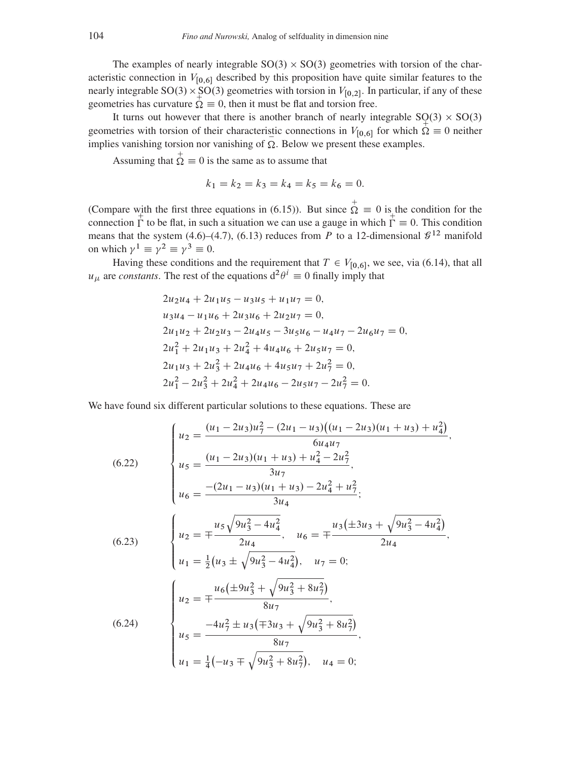The examples of nearly integrable  $SO(3) \times SO(3)$  geometries with torsion of the characteristic connection in  $V_{[0,6]}$  described by this proposition have quite similar features to the nearly integrable SO(3) × SO(3) geometries with torsion in  $V_{[0,2]}$ . In particular, if any of these geometries has curvature  $\overline{\Omega} \equiv 0$ , then it must be flat and torsion free.

It turns out however that there is another branch of nearly integrable  $SO(3) \times SO(3)$ geometries with torsion of their characteristic connections in  $V_{[0,6]}$  for which  $\Omega = 0$  neither implies vanishing torsion nor vanishing of  $\Omega$ . Below we present these examples.

Assuming that  $\overrightarrow{\Omega} \equiv 0$  is the same as to assume that

$$
k_1 = k_2 = k_3 = k_4 = k_5 = k_6 = 0.
$$

(Compare with the first three equations in (6.15)). But since  $\overrightarrow{\Omega} = 0$  is the condition for the connection  $\Gamma$  to be flat, in such a situation we can use a gauge in which  $\Gamma = 0$ . This condition means that the system (4.6)–(4.7), (6.13) reduces from P to a 12-dimensional  $\mathcal{G}^{12}$  manifold on which  $\gamma^1 \equiv \gamma^2 \equiv \gamma^3 \equiv 0$ .

Having these conditions and the requirement that  $T \in V_{[0,6]}$ , we see, via (6.14), that all  $u_{\mu}$  are constants. The rest of the equations  $d^2\theta^i \equiv 0$  finally imply that

$$
2u_2u_4 + 2u_1u_5 - u_3u_5 + u_1u_7 = 0,
$$
  
\n
$$
u_3u_4 - u_1u_6 + 2u_3u_6 + 2u_2u_7 = 0,
$$
  
\n
$$
2u_1u_2 + 2u_2u_3 - 2u_4u_5 - 3u_5u_6 - u_4u_7 - 2u_6u_7 = 0,
$$
  
\n
$$
2u_1^2 + 2u_1u_3 + 2u_4^2 + 4u_4u_6 + 2u_5u_7 = 0,
$$
  
\n
$$
2u_1u_3 + 2u_3^2 + 2u_4u_6 + 4u_5u_7 + 2u_7^2 = 0,
$$
  
\n
$$
2u_1^2 - 2u_2^2 + 2u_4^2 + 2u_4u_6 - 2u_5u_7 - 2u_7^2 = 0.
$$

We have found six different particular solutions to these equations. These are

<span id="page-37-0"></span>(6.22)  
\n
$$
\begin{cases}\nu_2 = \frac{(u_1 - 2u_3)u_7^2 - (2u_1 - u_3)(u_1 - 2u_3)(u_1 + u_3) + u_4^2)}{6u_4u_7}, \\
u_5 = \frac{(u_1 - 2u_3)(u_1 + u_3) + u_4^2 - 2u_7^2}{3u_7}, \\
u_6 = \frac{-(2u_1 - u_3)(u_1 + u_3) - 2u_4^2 + u_7^2}{3u_4}; \\
u_7 = \frac{u_5\sqrt{9u_3^2 - 4u_4^2}}{2u_4}, \quad u_6 = \pm \frac{u_3(\pm 3u_3 + \sqrt{9u_3^2 - 4u_4^2})}{2u_4}, \\
u_1 = \frac{1}{2}(u_3 \pm \sqrt{9u_3^2 - 4u_4^2}), \quad u_7 = 0; \\
u_2 = \mp \frac{u_6(\pm 9u_3^2 + \sqrt{9u_3^2 + 8u_7^2})}{8u_7}, \\
u_5 = \frac{-4u_7^2 \pm u_3(\mp 3u_3 + \sqrt{9u_3^2 + 8u_7^2})}{8u_7}, \\
u_1 = \frac{1}{4}(-u_3 \mp \sqrt{9u_3^2 + 8u_7^2}), \quad u_4 = 0;\n\end{cases}
$$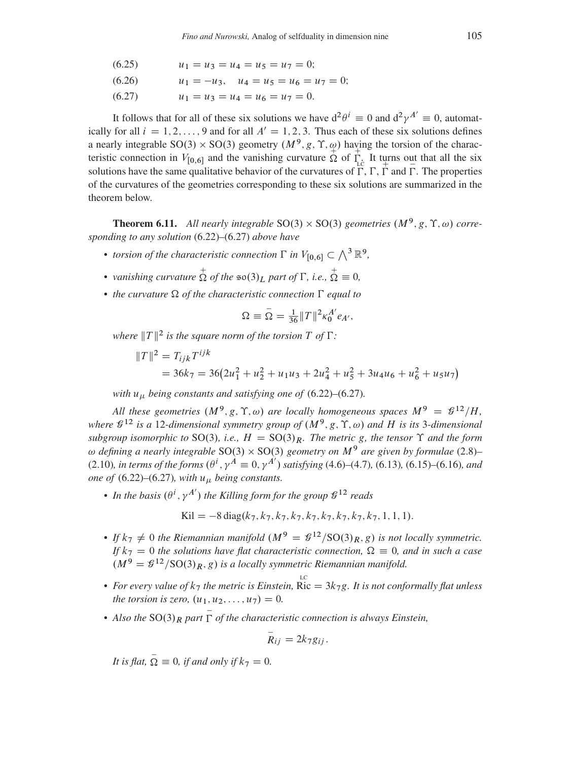$$
(6.25) \t\t u_1 = u_3 = u_4 = u_5 = u_7 = 0;
$$

$$
(6.26) \t u_1 = -u_3, \t u_4 = u_5 = u_6 = u_7 = 0;
$$

<span id="page-38-0"></span>(6.27)  $u_1 = u_3 = u_4 = u_6 = u_7 = 0.$ 

It follows that for all of these six solutions we have  $d^2\theta^i \equiv 0$  and  $d^2\gamma^{A'} \equiv 0$ , automatically for all  $i = 1, 2, ..., 9$  and for all  $A' = 1, 2, 3$ . Thus each of these six solutions defines a nearly integrable SO(3)  $\times$  SO(3) geometry  $(M^9, g, \Upsilon, \phi)$  having the torsion of the characteristic connection in  $V_{[0,6]}$  and the vanishing curvature  $\Omega$  of  $\Gamma_c$  It turns out that all the six solutions have the same qualitative behavior of the curvatures of  $\Gamma$ ,  $\Gamma$ ,  $\Gamma$  and  $\Gamma$ . The properties of the curvatures of the geometries corresponding to these six solutions are summarized in the theorem below.

<span id="page-38-1"></span>**Theorem 6.11.** All nearly integrable  $SO(3) \times SO(3)$  geometries  $(M^9, g, \Upsilon, \omega)$  corre*sponding to any solution* [\(6.22\)](#page-37-0)*–*[\(6.27\)](#page-38-0) *above have*

- torsion of the characteristic connection  $\Gamma$  in  $V_{[0,6]} \subset \bigwedge^3 \mathbb{R}^9$ ,
- vanishing curvature  $\sum_{n=1}^{+\infty}$  of the  $\infty(3)_L$  part of  $\Gamma$ , i.e.,  $\sum_{n=1}^{+\infty}$   $= 0$ ,
- *the curvature*  $\Omega$  *of the characteristic connection*  $\Gamma$  *equal to*

$$
\Omega \equiv \bar{\Omega} = \frac{1}{36} ||T||^2 \kappa_0^{A'} e_{A'},
$$

where  $||T||^2$  is the square norm of the torsion  $T$  of  $\Gamma$ :

$$
||T||^2 = T_{ijk}T^{ijk}
$$
  
= 36k<sub>7</sub> = 36(2u<sub>1</sub><sup>2</sup> + u<sub>2</sub><sup>2</sup> + u<sub>1</sub>u<sub>3</sub> + 2u<sub>4</sub><sup>2</sup> + u<sub>5</sub><sup>2</sup> + 3u<sub>4</sub>u<sub>6</sub> + u<sub>6</sub><sup>2</sup> + u<sub>5</sub>u<sub>7</sub>)

*with*  $u_{\mu}$  *being constants and satisfying one of* [\(6.22\)](#page-37-0)–[\(6.27\)](#page-38-0).

All these geometries  $(M^9, g, \Upsilon, \omega)$  are locally homogeneous spaces  $M^9 = \mathcal{L}^{12}/H$ , where  $\mathcal{G}^{12}$  is a 12-dimensional symmetry group of  $(M^9, g, \Upsilon, \omega)$  and H is its 3-dimensional *subgroup isomorphic to* SO(3), *i.e.,*  $H = SO(3)<sub>R</sub>$ *. The metric* g*, the tensor*  $\Upsilon$  *and the form*  $\omega$  defining a nearly integrable SO(3)  $\times$  SO(3) geometry on  $M^9$  are given by formulae [\(2.8\)](#page-5-5)–  $(2.10)$ *, in terms of the forms*  $(\theta^i, \gamma^A \equiv 0, \gamma^{A'})$  satisfying [\(4.6\)](#page-16-0)–[\(4.7\)](#page-16-1), [\(6.13\)](#page-31-0), [\(6.15\)](#page-32-0)–[\(6.16\)](#page-32-1)*, and one of* [\(6.22\)](#page-37-0)–[\(6.27\)](#page-38-0)*, with*  $u_{\mu}$  *being constants.* 

• In the basis  $(\theta^i, \gamma^{A'})$  the Killing form for the group  $\mathcal{G}^{12}$  reads

$$
Kil = -8 \operatorname{diag}(k_7, k_7, k_7, k_7, k_7, k_7, k_7, k_7, k_7, 1, 1, 1).
$$

- If  $k_7 \neq 0$  the Riemannian manifold  $(M^9 = \mathcal{C}^{\{12\}}/\text{SO}(3)_R, g)$  is not locally symmetric. *If*  $k_7 = 0$  *the solutions have flat characteristic connection,*  $\Omega \equiv 0$ *, and in such a case*  $(M^9 = \mathcal{C}^{12}/\mathrm{SO}(3)_R, g)$  is a locally symmetric Riemannian manifold.
- For every value of  $k_7$  the metric is Einstein, Ric =  $3k_7g$ . It is not conformally flat unless *the torsion is zero,*  $(u_1, u_2, \ldots, u_7) = 0$ *.*
- Also the  $SO(3)_R$  part  $\overline{\Gamma}$  of the characteristic connection is always Einstein,

$$
\bar{R}_{ij}=2k_7g_{ij}.
$$

*It is flat,*  $\overline{\Omega} \equiv 0$ *, if and only if*  $k_7 = 0$ *.*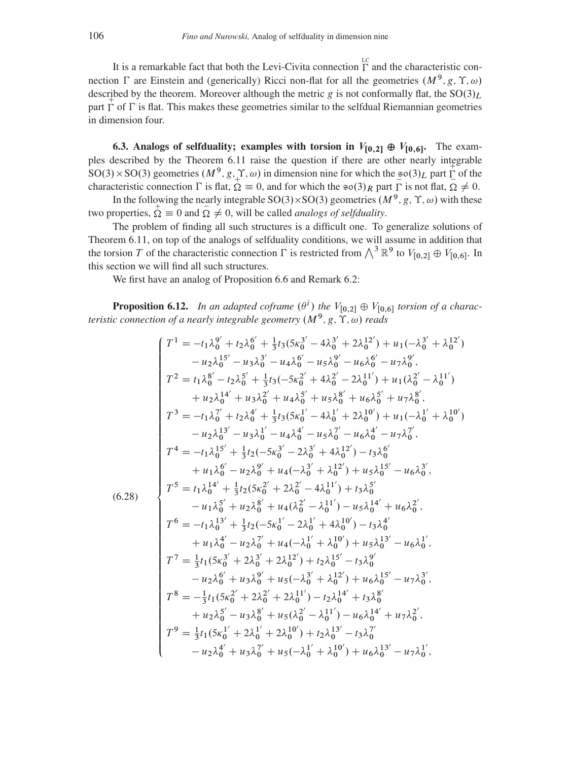It is a remarkable fact that both the Levi-Civita connection  $\Gamma$  and the characteristic connection  $\Gamma$  are Einstein and (generically) Ricci non-flat for all the geometries  $(M^9, g, \Upsilon, \omega)$ described by the theorem. Moreover although the metric g is not conformally flat, the  $SO(3)<sub>L</sub>$ . part  $\Gamma$  of  $\Gamma$  is flat. This makes these geometries similar to the selfdual Riemannian geometries in dimension four.

6.3. Analogs of selfduality; examples with torsion in  $V_{[0,2]} \oplus V_{[0,6]}$ . The examples described by the Theorem [6.11](#page-38-1) raise the question if there are other nearly integrable  $SO(3) \times SO(3)$  geometries  $(M^9, g, \hat{A}, \hat{C})$  in dimension nine for which the  $SO(3)_L$  part  $\Gamma$  of the characteristic connection  $\Gamma$  is flat,  $\overline{\Omega} = 0$ , and for which the  $\mathfrak{so}(3)_R$  part  $\overline{\Gamma}$  is not flat,  $\Omega \neq 0$ .

In the following the nearly integrable SO(3)×SO(3) geometries  $(M^9, g, \Upsilon, \omega)$  with these two properties,  $\overline{\Omega} \equiv 0$  and  $\overline{\Omega} \neq 0$ , will be called *analogs of selfduality*.

The problem of finding all such structures is a difficult one. To generalize solutions of Theorem [6.11,](#page-38-1) on top of the analogs of selfduality conditions, we will assume in addition that the torsion T of the characteristic connection  $\Gamma$  is restricted from  $\bigwedge^3 \mathbb{R}^9$  to  $V_{[0,2]} \oplus V_{[0,6]}$ . In this section we will find all such structures.

We first have an analog of Proposition [6.6](#page-31-1) and Remark [6.2:](#page-25-2)

**Proposition 6.12.** In an adapted coframe  $(\theta^i)$  the  $V_{[0,2]} \oplus V_{[0,6]}$  torsion of a charac*teristic connection of a nearly integrable geometry*  $(M^9, g, \Upsilon, \omega)$  *reads* 

<span id="page-39-0"></span>
$$
T^{1} = -t_{1}\lambda_{0}^{9'} + t_{2}\lambda_{0}^{6'} + \frac{1}{3}t_{3}(5\kappa_{0}^{3'} - 4\lambda_{0}^{3'} + 2\lambda_{0}^{12'}) + u_{1}(-\lambda_{0}^{3'} + \lambda_{0}^{12'})
$$
  
\n
$$
-u_{2}\lambda_{0}^{15'} - u_{3}\lambda_{0}^{3'} - u_{4}\lambda_{0}^{6'} - u_{5}\lambda_{0}^{6'} - u_{6}\lambda_{0}^{6'} - u_{7}\lambda_{0}^{9'},
$$
  
\n
$$
T^{2} = t_{1}\lambda_{0}^{8'} - t_{2}\lambda_{0}^{5'} + \frac{1}{3}t_{3}(-5\kappa_{0}^{2'} + 4\lambda_{0}^{2'} - 2\lambda_{0}^{11'}) + u_{1}(\lambda_{0}^{2'} - \lambda_{0}^{11'})
$$
  
\n
$$
+u_{2}\lambda_{0}^{14'} + u_{3}\lambda_{0}^{2'} + u_{4}\lambda_{0}^{5'} + u_{5}\lambda_{0}^{8'} + u_{6}\lambda_{0}^{5'} + u_{7}\lambda_{0}^{8'},
$$
  
\n
$$
T^{3} = -t_{1}\lambda_{0}^{7'} + t_{2}\lambda_{0}^{4'} + \frac{1}{3}t_{3}(5\kappa_{0}^{1'} - 4\lambda_{0}^{1'} + 2\lambda_{0}^{10'}) + u_{1}(-\lambda_{0}^{1'} + \lambda_{0}^{10'})
$$
  
\n
$$
-u_{2}\lambda_{0}^{13'} - u_{3}\lambda_{0}^{1'} - u_{4}\lambda_{0}^{4'} - u_{5}\lambda_{0}^{7'} - u_{6}\lambda_{0}^{4'} - u_{7}\lambda_{0}^{7'},
$$
  
\n
$$
T^{4} = -t_{1}\lambda_{0}^{15'} + \frac{1}{3}t_{2}(-5\kappa_{0}^{3'} - 2\lambda_{0}^{3'} + 4\lambda_{0}^{12'}) - t_{3}\lambda_{0}^{6'}
$$
  
\n
$$
+u_{1}\lambda_{0}^{6'} - u_{2}\lambda_{0}^{6'} + u_{4}(-\lambda_{0}^{3'} + \lambda_{0}^{12'}) + u_{5}\lambda_{0}^{15'} - u_{6}\lambda_{0}^{3'},
$$
  
\n(6.28)  
\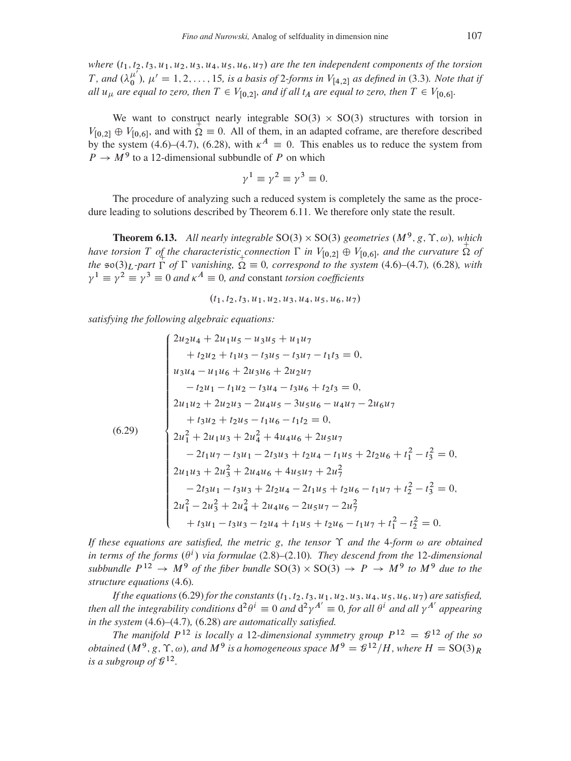where  $(t_1, t_2, t_3, u_1, u_2, u_3, u_4, u_5, u_6, u_7)$  are the ten independent components of the torsion *T*, and  $(\lambda_0^{\mu'})$ ,  $\mu' = 1, 2, \ldots, 15$ , is a basis of 2-forms in  $V_{[4,2]}$  as defined in (3.3). Note that if all  $u_{\mu}$  are equal to zero, then  $T \in V_{[0,2]}$ , and if all  $t_A$  are equal to zero, then  $T \in V_{[0,6]}$ .

We want to construct nearly integrable  $SO(3) \times SO(3)$  structures with torsion in  $V_{[0,2]} \oplus V_{[0,6]}$ , and with  $\overline{\Omega} \equiv 0$ . All of them, in an adapted coframe, are therefore described by the system (4.6)–(4.7), (6.28), with  $\kappa^A = 0$ . This enables us to reduce the system from  $P \rightarrow M^9$  to a 12-dimensional subbundle of P on which

$$
\gamma^1 \equiv \gamma^2 \equiv \gamma^3 \equiv 0
$$

The procedure of analyzing such a reduced system is completely the same as the procedure leading to solutions described by Theorem 6.11. We therefore only state the result.

**Theorem 6.13.** All nearly integrable SO(3)  $\times$  SO(3) geometries ( $M^9$ , g,  $\Upsilon$ ,  $\omega$ ), which have torsion T of the characteristic connection  $\Gamma$  in  $V_{[0,2]} \oplus V_{[0,6]}$ , and the curvature  $\overrightarrow{\Omega}$  of the  $\infty(3)_L$ -part  $\Gamma$  of  $\Gamma$  vanishing,  $\Omega \equiv 0$ , correspond to the system (4.6)–(4.7), (6.28), with  $\gamma^1 \equiv \gamma^2 \equiv \gamma^3 \equiv 0$  and  $\kappa^A \equiv 0$ , and constant torsion coefficients

$$
(t_1, t_2, t_3, u_1, u_2, u_3, u_4, u_5, u_6, u_7)
$$

satisfying the following algebraic equations:

<span id="page-40-0"></span>
$$
\begin{cases}\n2u_2u_4 + 2u_1u_5 - u_3u_5 + u_1u_7 \\
+ t_2u_2 + t_1u_3 - t_3u_5 - t_3u_7 - t_1t_3 = 0, \\
u_3u_4 - u_1u_6 + 2u_3u_6 + 2u_2u_7 \\
-t_2u_1 - t_1u_2 - t_3u_4 - t_3u_6 + t_2t_3 = 0, \\
2u_1u_2 + 2u_2u_3 - 2u_4u_5 - 3u_5u_6 - u_4u_7 - 2u_6u_7 \\
+t_3u_2 + t_2u_5 - t_1u_6 - t_1t_2 = 0, \\
2u_1^2 + 2u_1u_3 + 2u_4^2 + 4u_4u_6 + 2u_5u_7 \\
- 2t_1u_7 - t_3u_1 - 2t_3u_3 + t_2u_4 - t_1u_5 + 2t_2u_6 + t_1^2 - t_3^2 = 0, \\
2u_1u_3 + 2u_3^2 + 2u_4u_6 + 4u_5u_7 + 2u_7^2 \\
- 2t_3u_1 - t_3u_3 + 2t_2u_4 - 2t_1u_5 + t_2u_6 - t_1u_7 + t_2^2 - t_3^2 = 0, \\
2u_1^2 - 2u_3^2 + 2u_4^2 + 2u_4u_6 - 2u_5u_7 - 2u_7^2 \\
+t_3u_1 - t_3u_3 - t_2u_4 + t_1u_5 + t_2u_6 - t_1u_7 + t_1^2 - t_2^2 = 0.\n\end{cases}
$$

If these equations are satisfied, the metric g, the tensor  $\Upsilon$  and the 4-form  $\omega$  are obtained in terms of the forms  $(\theta^i)$  via formulae (2.8)–(2.10). They descend from the 12-dimensional subbundle  $P^{12} \rightarrow M^9$  of the fiber bundle SO(3)  $\times$  SO(3)  $\rightarrow P \rightarrow M^9$  to M<sup>9</sup> due to the structure equations (4.6).

If the equations (6.29) for the constants  $(t_1, t_2, t_3, u_1, u_2, u_3, u_4, u_5, u_6, u_7)$  are satisfied, then all the integrability conditions  $d^2\theta^i \equiv 0$  and  $d^2\gamma^{A'} \equiv 0$ , for all  $\theta^i$  and all  $\gamma^{A'}$  appearing in the system  $(4.6)$ – $(4.7)$ ,  $(6.28)$  are automatically satisfied.

The manifold  $P^{12}$  is locally a 12-dimensional symmetry group  $P^{12} = \mathcal{G}^{12}$  of the so *obtained*  $(M^9, g, \Upsilon, \omega)$ , and  $M^9$  is a homogeneous space  $M^9 = g^{12}/H$ , where  $H = SO(3)_R$ is a subgroup of  $\mathcal{G}^{12}$ .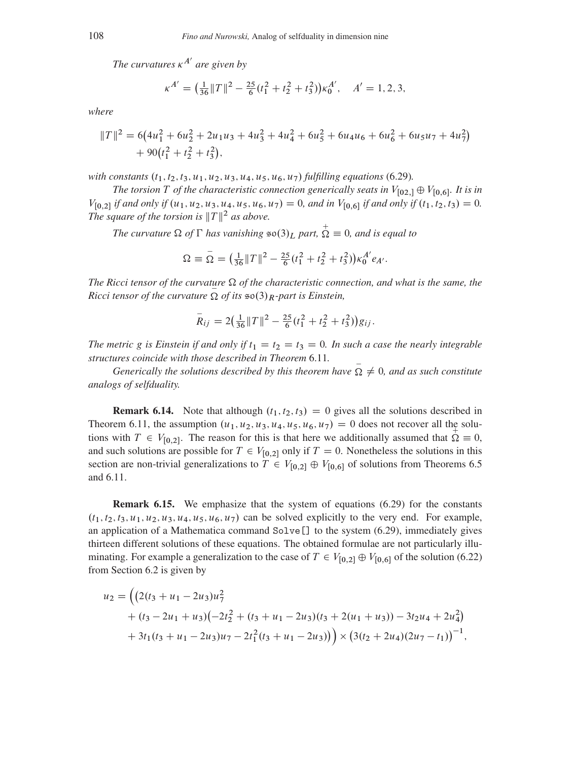The curvatures  $\kappa^{A'}$  are given by

$$
\kappa^{A'} = \left(\frac{1}{36} ||T||^2 - \frac{25}{6} (t_1^2 + t_2^2 + t_3^2)\right) \kappa_0^{A'}, \quad A' = 1, 2, 3,
$$

where

$$
||T||^2 = 6(4u_1^2 + 6u_2^2 + 2u_1u_3 + 4u_3^2 + 4u_4^2 + 6u_5^2 + 6u_4u_6 + 6u_6^2 + 6u_5u_7 + 4u_7^2) + 90(t_1^2 + t_2^2 + t_3^2),
$$

with constants  $(t_1, t_2, t_3, u_1, u_2, u_3, u_4, u_5, u_6, u_7)$  fulfilling equations (6.29).

The torsion T of the characteristic connection generically seats in  $V_{[02,1]}\oplus V_{[0,6]}$ . It is in  $V_{[0,2]}$  if and only if  $(u_1, u_2, u_3, u_4, u_5, u_6, u_7) = 0$ , and in  $V_{[0,6]}$  if and only if  $(t_1, t_2, t_3) = 0$ . The square of the torsion is  $||T||^2$  as above.

The curvature  $\Omega$  of  $\Gamma$  has vanishing  $\approx \infty(3)_L$  part,  $\overline{\Omega} \equiv 0$ , and is equal to

$$
\Omega \equiv \overline{\Omega} = \left(\frac{1}{36} \|T\|^2 - \frac{25}{6} (t_1^2 + t_2^2 + t_3^2) \right) \kappa_0^{A'} e_{A'}.
$$

The Ricci tensor of the curvature  $\Omega$  of the characteristic connection, and what is the same, the *Ricci tensor of the curvature*  $\Omega$  *of its*  $\infty(3)$  *R*-part is *Einstein*,

$$
\bar{R}_{ij} = 2\left(\frac{1}{36}||T||^2 - \frac{25}{6}(t_1^2 + t_2^2 + t_3^2)\right)g_{ij}.
$$

The metric g is Einstein if and only if  $t_1 = t_2 = t_3 = 0$ . In such a case the nearly integrable structures coincide with those described in Theorem 6.11.

Generically the solutions described by this theorem have  $\Omega \neq 0$ , and as such constitute analogs of selfduality.

**Remark 6.14.** Note that although  $(t_1, t_2, t_3) = 0$  gives all the solutions described in Theorem 6.11, the assumption  $(u_1, u_2, u_3, u_4, u_5, u_6, u_7) = 0$  does not recover all the solutions with  $T \in V_{[0,2]}$ . The reason for this is that here we additionally assumed that  $\Omega = 0$ , and such solutions are possible for  $T \in V_{[0,2]}$  only if  $T = 0$ . Nonetheless the solutions in this section are non-trivial generalizations to  $T \in V_{[0,2]} \oplus V_{[0,6]}$  of solutions from Theorems 6.5 and 6.11.

**Remark 6.15.** We emphasize that the system of equations (6.29) for the constants  $(t_1, t_2, t_3, u_1, u_2, u_3, u_4, u_5, u_6, u_7)$  can be solved explicitly to the very end. For example, an application of a Mathematica command  $Solve$  [] to the system (6.29), immediately gives thirteen different solutions of these equations. The obtained formulae are not particularly illuminating. For example a generalization to the case of  $T \in V_{[0,2]} \oplus V_{[0,6]}$  of the solution (6.22) from Section 6.2 is given by

$$
u_2 = ((2(t_3 + u_1 - 2u_3)u_7^2 + (t_3 - 2u_1 + u_3)(-2t_2^2 + (t_3 + u_1 - 2u_3)(t_3 + 2(u_1 + u_3)) - 3t_2u_4 + 2u_4^2) + 3t_1(t_3 + u_1 - 2u_3)u_7 - 2t_1^2(t_3 + u_1 - 2u_3)) \times (3(t_2 + 2u_4)(2u_7 - t_1))^{-1},
$$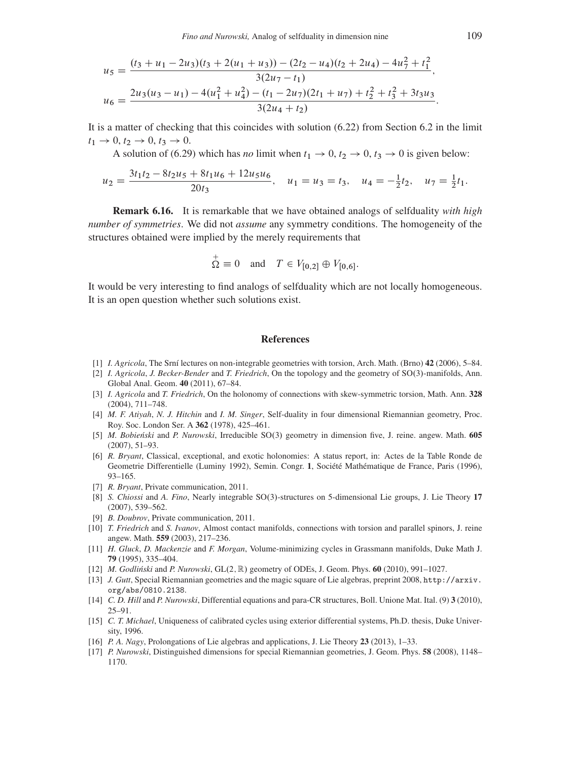$$
u_5 = \frac{(t_3 + u_1 - 2u_3)(t_3 + 2(u_1 + u_3)) - (2t_2 - u_4)(t_2 + 2u_4) - 4u_7^2 + t_1^2}{3(2u_7 - t_1)},
$$
  

$$
u_6 = \frac{2u_3(u_3 - u_1) - 4(u_1^2 + u_4^2) - (t_1 - 2u_7)(2t_1 + u_7) + t_2^2 + t_3^2 + 3t_3u_3}{3(2u_4 + t_2)}.
$$

It is a matter of checking that this coincides with solution [\(6.22\)](#page-37-0) from Section [6.2](#page-31-2) in the limit  $t_1 \to 0, t_2 \to 0, t_3 \to 0.$ 

A solution of [\(6.29\)](#page-40-0) which has *no* limit when  $t_1 \rightarrow 0, t_2 \rightarrow 0, t_3 \rightarrow 0$  is given below:

$$
u_2 = \frac{3t_1t_2 - 8t_2u_5 + 8t_1u_6 + 12u_5u_6}{20t_3}, \quad u_1 = u_3 = t_3, \quad u_4 = -\frac{1}{2}t_2, \quad u_7 = \frac{1}{2}t_1.
$$

<span id="page-42-0"></span>Remark 6.16. It is remarkable that we have obtained analogs of selfduality *with high number of symmetries*. We did not *assume* any symmetry conditions. The homogeneity of the structures obtained were implied by the merely requirements that

$$
\overline{\Omega} \equiv 0
$$
 and  $T \in V_{[0,2]} \oplus V_{[0,6]}.$ 

 $\pm$ 

It would be very interesting to find analogs of selfduality which are not locally homogeneous. It is an open question whether such solutions exist.

#### References

- <span id="page-42-10"></span>[1] *I. Agricola*, The Srní lectures on non-integrable geometries with torsion, Arch. Math. (Brno) 42 (2006), 5–84.
- <span id="page-42-2"></span>[2] *I. Agricola*, *J. Becker-Bender* and *T. Friedrich*, On the topology and the geometry of SO.3/-manifolds, Ann. Global Anal. Geom. 40 (2011), 67–84.
- <span id="page-42-11"></span>[3] *I. Agricola* and *T. Friedrich*, On the holonomy of connections with skew-symmetric torsion, Math. Ann. 328 (2004), 711–748.
- <span id="page-42-1"></span>[4] *M. F. Atiyah*, *N. J. Hitchin* and *I. M. Singer*, Self-duality in four dimensional Riemannian geometry, Proc. Roy. Soc. London Ser. A 362 (1978), 425–461.
- <span id="page-42-3"></span>[5] *M. Bobieński* and *P. Nurowski*, Irreducible SO(3) geometry in dimension five, J. reine. angew. Math. 605 (2007), 51–93.
- <span id="page-42-12"></span>[6] *R. Bryant*, Classical, exceptional, and exotic holonomies: A status report, in: Actes de la Table Ronde de Geometrie Differentielle (Luminy 1992), Semin. Congr. 1, Société Mathématique de France, Paris (1996), 93–165.
- <span id="page-42-15"></span>[7] *R. Bryant*, Private communication, 2011.
- <span id="page-42-4"></span>[8] *S. Chiossi* and *A. Fino*, Nearly integrable SO(3)-structures on 5-dimensional Lie groups, J. Lie Theory 17 (2007), 539–562.
- <span id="page-42-9"></span>[9] *B. Doubrov*, Private communication, 2011.
- <span id="page-42-13"></span>[10] *T. Friedrich* and *S. Ivanov*, Almost contact manifolds, connections with torsion and parallel spinors, J. reine angew. Math. 559 (2003), 217–236.
- <span id="page-42-17"></span>[11] *H. Gluck*, *D. Mackenzie* and *F. Morgan*, Volume-minimizing cycles in Grassmann manifolds, Duke Math J. 79 (1995), 335–404.
- <span id="page-42-7"></span>[12] *M. Godliński* and *P. Nurowski*, GL $(2,\mathbb{R})$  geometry of ODEs, J. Geom. Phys. **60** (2010), 991–1027.
- <span id="page-42-5"></span>[13] *J. Gutt*, Special Riemannian geometries and the magic square of Lie algebras, preprint 2008, [http://arxiv.](http://arxiv.org/abs/0810.2138) [org/abs/0810.2138](http://arxiv.org/abs/0810.2138).
- <span id="page-42-8"></span>[14] *C. D. Hill* and *P. Nurowski*, Differential equations and para-CR structures, Boll. Unione Mat. Ital. (9) 3 (2010), 25–91.
- <span id="page-42-16"></span>[15] *C. T. Michael*, Uniqueness of calibrated cycles using exterior differential systems, Ph.D. thesis, Duke University, 1996.
- <span id="page-42-14"></span>[16] *P. A. Nagy*, Prolongations of Lie algebras and applications, J. Lie Theory 23 (2013), 1–33.
- <span id="page-42-6"></span>[17] *P. Nurowski*, Distinguished dimensions for special Riemannian geometries, J. Geom. Phys. 58 (2008), 1148– 1170.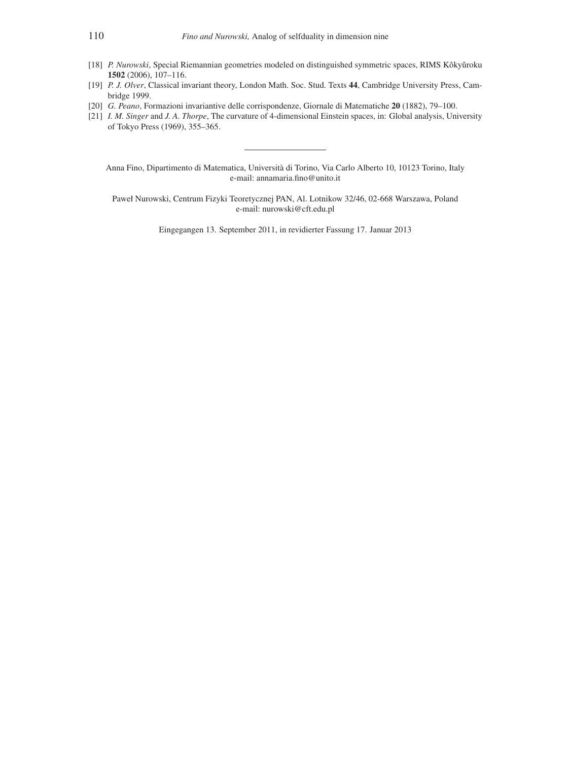- <span id="page-43-3"></span>[18] *P. Nurowski*, Special Riemannian geometries modeled on distinguished symmetric spaces, RIMS Kôkyûroku 1502 (2006), 107–116.
- <span id="page-43-2"></span>[19] *P. J. Olver*, Classical invariant theory, London Math. Soc. Stud. Texts 44, Cambridge University Press, Cambridge 1999.
- <span id="page-43-1"></span>[20] *G. Peano*, Formazioni invariantive delle corrispondenze, Giornale di Matematiche 20 (1882), 79–100.
- <span id="page-43-0"></span>[21] *I. M. Singer* and *J. A. Thorpe*, The curvature of 4-dimensional Einstein spaces, in: Global analysis, University of Tokyo Press (1969), 355–365.

Anna Fino, Dipartimento di Matematica, Università di Torino, Via Carlo Alberto 10, 10123 Torino, Italy e-mail: annamaria.fino@unito.it

Paweł Nurowski, Centrum Fizyki Teoretycznej PAN, Al. Lotnikow 32/46, 02-668 Warszawa, Poland e-mail: nurowski@cft.edu.pl

Eingegangen 13. September 2011, in revidierter Fassung 17. Januar 2013